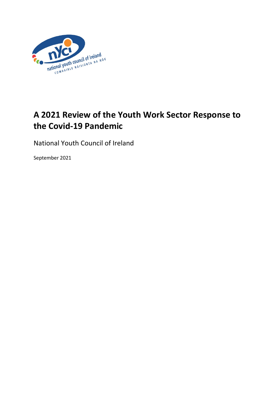

# **A 2021 Review of the Youth Work Sector Response to the Covid-19 Pandemic**

National Youth Council of Ireland

September 2021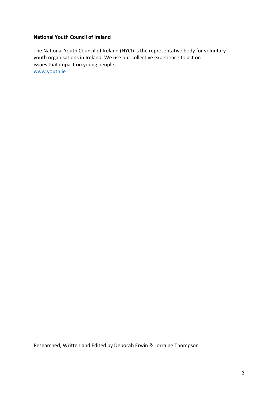### **National Youth Council of Ireland**

The National Youth Council of Ireland (NYCI) is the representative body for voluntary youth organisations in Ireland. We use our collective experience to act on issues that impact on young people. [www.youth.ie](http://www.youth.ie/)

Researched, Written and Edited by Deborah Erwin & Lorraine Thompson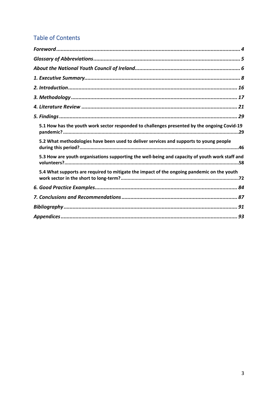# **Table of Contents**

<span id="page-2-0"></span>

| 5.1 How has the youth work sector responded to challenges presented by the ongoing Covid-19    |
|------------------------------------------------------------------------------------------------|
| 5.2 What methodologies have been used to deliver services and supports to young people         |
| 5.3 How are youth organisations supporting the well-being and capacity of youth work staff and |
| 5.4 What supports are required to mitigate the impact of the ongoing pandemic on the youth     |
|                                                                                                |
|                                                                                                |
|                                                                                                |
|                                                                                                |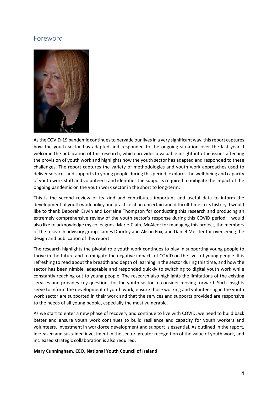# Foreword



As the COVID-19 pandemic continues to pervade our lives in a very significant way, this report captures how the youth sector has adapted and responded to the ongoing situation over the last year. I welcome the publication of this research, which provides a valuable insight into the issues affecting the provision of youth work and highlights how the youth sector has adapted and responded to these challenges. The report captures the variety of methodologies and youth work approaches used to deliver services and supports to young people during this period; explores the well-being and capacity of youth work staff and volunteers; and identifies the supports required to mitigate the impact of the ongoing pandemic on the youth work sector in the short to long-term.

This is the second review of its kind and contributes important and useful data to inform the development of youth work policy and practice at an uncertain and difficult time in its history. I would like to thank Deborah Erwin and Lorraine Thompson for conducting this research and producing an extremely comprehensive review of the youth sector's response during this COVID period. I would also like to acknowledge my colleagues: Marie-Claire McAleer for managing this project, the members of the research advisory group, James Doorley and Alison Fox, and Daniel Meister for overseeing the design and publication of this report.

The research highlights the pivotal role youth work continues to play in supporting young people to thrive in the future and to mitigate the negative impacts of COVID on the lives of young people. It is refreshing to read about the breadth and depth of learning in the sector during this time, and how the sector has been nimble, adaptable and responded quickly to switching to digital youth work while constantly reaching out to young people. The research also highlights the limitations of the existing services and provides key questions for the youth sector to consider moving forward. Such insights serve to inform the development of youth work, ensure those working and volunteering in the youth work sector are supported in their work and that the services and supports provided are responsive to the needs of all young people, especially the most vulnerable.

As we start to enter a new phase of recovery and continue to live with COVID, we need to build back better and ensure youth work continues to build resilience and capacity for youth workers and volunteers. Investment in workforce development and support is essential. As outlined in the report, increased and sustained investment in the sector, greater recognition of the value of youth work, and increased strategic collaboration is also required.

**Mary Cunningham, CEO, National Youth Council of Ireland**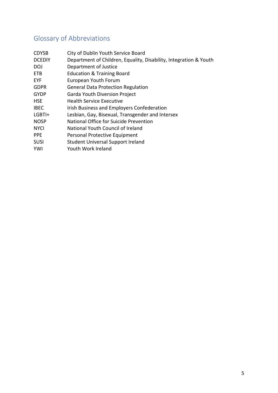# <span id="page-4-0"></span>Glossary of Abbreviations

| <b>CDYSB</b>  | City of Dublin Youth Service Board                                |
|---------------|-------------------------------------------------------------------|
| <b>DCEDIY</b> | Department of Children, Equality, Disability, Integration & Youth |
| DOJ           | Department of Justice                                             |
| ETB           | <b>Education &amp; Training Board</b>                             |
| <b>EYF</b>    | European Youth Forum                                              |
| <b>GDPR</b>   | <b>General Data Protection Regulation</b>                         |
| <b>GYDP</b>   | Garda Youth Diversion Project                                     |
| <b>HSE</b>    | <b>Health Service Executive</b>                                   |
| <b>IBEC</b>   | Irish Business and Employers Confederation                        |
| LGBTI+        | Lesbian, Gay, Bisexual, Transgender and Intersex                  |
| <b>NOSP</b>   | National Office for Suicide Prevention                            |
| <b>NYCI</b>   | National Youth Council of Ireland                                 |
| <b>PPE</b>    | Personal Protective Equipment                                     |
| <b>SUSI</b>   | <b>Student Universal Support Ireland</b>                          |
| <b>YWI</b>    | Youth Work Ireland                                                |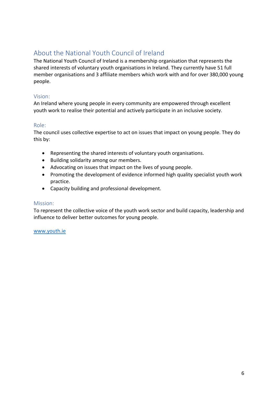# <span id="page-5-0"></span>About the National Youth Council of Ireland

The National Youth Council of Ireland is a membership organisation that represents the shared interests of voluntary youth organisations in Ireland. They currently have 51 full member organisations and 3 affiliate members which work with and for over 380,000 young people.

# Vision:

An Ireland where young people in every community are empowered through excellent youth work to realise their potential and actively participate in an inclusive society.

### Role:

The council uses collective expertise to act on issues that impact on young people. They do this by:

- Representing the shared interests of voluntary youth organisations.
- Building solidarity among our members.
- Advocating on issues that impact on the lives of young people.
- Promoting the development of evidence informed high quality specialist youth work practice.
- Capacity building and professional development.

### Mission:

To represent the collective voice of the youth work sector and build capacity, leadership and influence to deliver better outcomes for young people.

### [www.youth.ie](http://www.youth.ie/)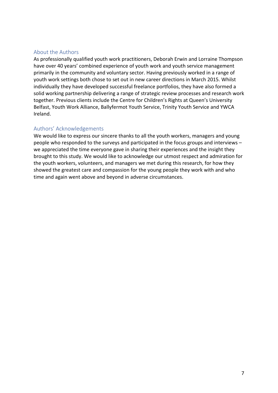### About the Authors

As professionally qualified youth work practitioners, Deborah Erwin and Lorraine Thompson have over 40 years' combined experience of youth work and youth service management primarily in the community and voluntary sector. Having previously worked in a range of youth work settings both chose to set out in new career directions in March 2015. Whilst individually they have developed successful freelance portfolios, they have also formed a solid working partnership delivering a range of strategic review processes and research work together. Previous clients include the Centre for Children's Rights at Queen's University Belfast, Youth Work Alliance, Ballyfermot Youth Service, Trinity Youth Service and YWCA Ireland.

### Authors' Acknowledgements

We would like to express our sincere thanks to all the youth workers, managers and young people who responded to the surveys and participated in the focus groups and interviews – we appreciated the time everyone gave in sharing their experiences and the insight they brought to this study. We would like to acknowledge our utmost respect and admiration for the youth workers, volunteers, and managers we met during this research, for how they showed the greatest care and compassion for the young people they work with and who time and again went above and beyond in adverse circumstances.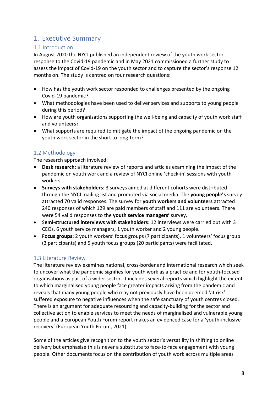# <span id="page-7-0"></span>1. Executive Summary

# 1.1 Introduction

In August 2020 the NYCI published an independent review of the youth work sector response to the Covid-19 pandemic and in May 2021 commissioned a further study to assess the impact of Covid-19 on the youth sector and to capture the sector's response 12 months on. The study is centred on four research questions:

- How has the youth work sector responded to challenges presented by the ongoing Covid-19 pandemic?
- What methodologies have been used to deliver services and supports to young people during this period?
- How are youth organisations supporting the well-being and capacity of youth work staff and volunteers?
- What supports are required to mitigate the impact of the ongoing pandemic on the youth work sector in the short to long-term?

# 1.2 Methodology

The research approach involved:

- **Desk research:** a literature review of reports and articles examining the impact of the pandemic on youth work and a review of NYCI online 'check-in' sessions with youth workers.
- **Surveys with stakeholders**: 3 surveys aimed at different cohorts were distributed through the NYCI mailing list and promoted via social media. The **young people's** survey attracted 70 valid responses. The survey for **youth workers and volunteers** attracted 240 responses of which 129 are paid members of staff and 111 are volunteers. There were 54 valid responses to the **youth service managers'** survey.
- S**emi-structured interviews with stakeholders**: 12 interviews were carried out with 3 CEOs, 6 youth service managers, 1 youth worker and 2 young people.
- **Focus groups:** 2 youth workers' focus groups (7 participants), 1 volunteers' focus group (3 participants) and 5 youth focus groups (20 participants) were facilitated.

# 1.3 Literature Review

The literature review examines national, cross-border and international research which seek to uncover what the pandemic signifies for youth work as a practice and for youth-focused organisations as part of a wider sector. It includes several reports which highlight the extent to which marginalised young people face greater impacts arising from the pandemic and reveals that many young people who may not previously have been deemed 'at risk' suffered exposure to negative influences when the safe sanctuary of youth centres closed. There is an argument for adequate resourcing and capacity-building for the sector and collective action to enable services to meet the needs of marginalised and vulnerable young people and a European Youth Forum report makes an evidenced case for a 'youth-inclusive recovery' (European Youth Forum, 2021).

Some of the articles give recognition to the youth sector's versatility in shifting to online delivery but emphasise this is never a substitute to face-to-face engagement with young people. Other documents focus on the contribution of youth work across multiple areas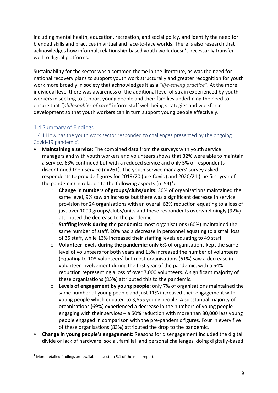including mental health, education, recreation, and social policy, and identify the need for blended skills and practices in virtual and face-to-face worlds. There is also research that acknowledges how informal, relationship-based youth work doesn't necessarily transfer well to digital platforms.

Sustainability for the sector was a common theme in the literature, as was the need for national recovery plans to support youth work structurally and greater recognition for youth work more broadly in society that acknowledges it as a *"life-saving practice"*. At the more individual level there was awareness of the additional level of strain experienced by youth workers in seeking to support young people and their families underlining the need to ensure that *"philosophies of care"* inform staff well-being strategies and workforce development so that youth workers can in turn support young people effectively.

# 1.4 Summary of Findings

## 1.4.1 How has the youth work sector responded to challenges presented by the ongoing Covid-19 pandemic?

- **Maintaining a service:** The combined data from the surveys with youth service managers and with youth workers and volunteers shows that 32% were able to maintain a service, 63% continued but with a reduced service and only 5% of respondents discontinued their service (n=261). The youth service managers' survey asked respondents to provide figures for 2019/20 (pre-Covid) and 2020/21 (the first year of the pandemic) in relation to the following aspects (n=54)<sup>[1](#page-8-0)</sup>:
	- o **Change in numbers of groups/clubs/units:** 30% of organisations maintained the same level, 9% saw an increase but there was a significant decrease in service provision for 24 organisations with an overall 62% reduction equating to a loss of just over 1000 groups/clubs/units and these respondents overwhelmingly (92%) attributed the decrease to the pandemic.
	- o **Staffing levels during the pandemic:** most organisations (60%) maintained the same number of staff, 20% had a decrease in personnel equating to a small loss of 35 staff, while 13% increased their staffing levels equating to 49 staff.
	- o **Volunteer levels during the pandemic:** only 6% of organisations kept the same level of volunteers for both years and 15% increased the number of volunteers (equating to 108 volunteers) but most organisations (61%) saw a decrease in volunteer involvement during the first year of the pandemic, with a 64% reduction representing a loss of over 7,000 volunteers. A significant majority of these organisations (85%) attributed this to the pandemic.
	- o **Levels of engagement by young people:** only 7% of organisations maintained the same number of young people and just 11% increased their engagement with young people which equated to 3,655 young people. A substantial majority of organisations (69%) experienced a decrease in the numbers of young people engaging with their services – a 50% reduction with more than 80,000 less young people engaged in comparison with the pre-pandemic figures. Four in every five of these organisations (83%) attributed the drop to the pandemic.
- **Change in young people's engagement:** Reasons for disengagement included the digital divide or lack of hardware, social, familial, and personal challenges, doing digitally-based

<span id="page-8-0"></span> $1$  More detailed findings are available in section 5.1 of the main report.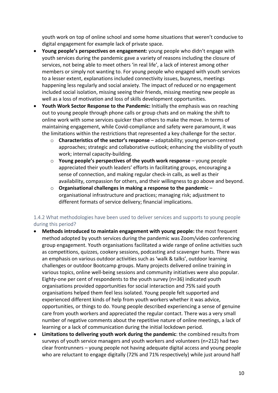youth work on top of online school and some home situations that weren't conducive to digital engagement for example lack of private space.

- **Young people's perspectives on engagement:** young people who didn't engage with youth services during the pandemic gave a variety of reasons including the closure of services, not being able to meet others 'in real life', a lack of interest among other members or simply not wanting to. For young people who engaged with youth services to a lesser extent, explanations included connectivity issues, busyness, meetings happening less regularly and social anxiety. The impact of reduced or no engagement included social isolation, missing seeing their friends, missing meeting new people as well as a loss of motivation and loss of skills development opportunities.
- **Youth Work Sector Response to the Pandemic:** Initially the emphasis was on reaching out to young people through phone calls or group chats and on making the shift to online work with some services quicker than others to make the move. In terms of maintaining engagement, while Covid-compliance and safety were paramount, it was the limitations within the restrictions that represented a key challenge for the sector.
	- o **Characteristics of the sector's response** adaptability; young person-centred approaches; strategic and collaborative outlook; enhancing the visibility of youth work; internal capacity-building.
	- o **Young people's perspectives of the youth work response** young people appreciated their youth leaders' efforts in facilitating groups, encouraging a sense of connection, and making regular check-in calls, as well as their availability, compassion for others, and their willingness to go above and beyond.
	- o **Organisational challenges in making a response to the pandemic** organisational infrastructure and practices; managing risk; adjustment to different formats of service delivery; financial implications.

### 1.4.2 What methodologies have been used to deliver services and supports to young people during this period?

- **Methods introduced to maintain engagement with young people:** the most frequent method adopted by youth services during the pandemic was Zoom/video conferencing group engagement. Youth organisations facilitated a wide range of online activities such as competitions, quizzes, cookery sessions, podcasting and scavenger hunts. There was an emphasis on various outdoor activities such as 'walk & talks', outdoor learning challenges or outdoor Bootcamp groups. Many projects delivered online training in various topics, online well-being sessions and community initiatives were also popular. Eighty-one per cent of respondents to the youth survey (n=36) indicated youth organisations provided opportunities for social interaction and 75% said youth organisations helped them feel less isolated. Young people felt supported and experienced different kinds of help from youth workers whether it was advice, opportunities, or things to do. Young people described experiencing a sense of genuine care from youth workers and appreciated the regular contact. There was a very small number of negative comments about the repetitive nature of online meetings, a lack of learning or a lack of communication during the initial lockdown period.
- **Limitations to delivering youth work during the pandemic**: the combined results from surveys of youth service managers and youth workers and volunteers (n=212) had two clear frontrunners – young people not having adequate digital access and young people who are reluctant to engage digitally (72% and 71% respectively) while just around half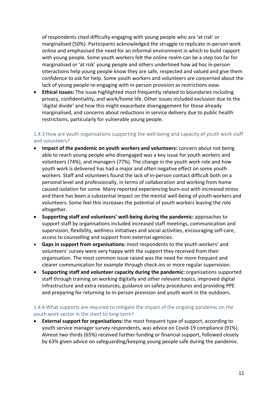of respondents cited difficulty engaging with young people who are 'at risk' or marginalised (50%). Participants acknowledged the struggle to replicate in-person work online and emphasised the need for an informal environment in which to build rapport with young people. Some youth workers felt the online realm can be a step too far for marginalised or 'at risk' young people and others underlined how ad hoc in-person interactions help young people know they are safe, respected and valued and give them confidence to ask for help. Some youth workers and volunteers are concerned about the lack of young people re-engaging with in-person provision as restrictions ease.

• **Ethical issues:** The issue highlighted most frequently related to boundaries including privacy, confidentiality, and work/home life. Other issues included exclusion due to the 'digital divide' and how this might exacerbate disengagement for those already marginalised, and concerns about reductions in service delivery due to public health restrictions, particularly for vulnerable young people.

## 1.4.3 How are youth organisations supporting the well-being and capacity of youth work staff and volunteers?

- **Impact of the pandemic on youth workers and volunteers:** concern about not being able to reach young people who disengaged was a key issue for youth workers and volunteers (74%), and managers (77%). The change in the youth work role and how youth work is delivered has had a major and often negative effect on some youth workers. Staff and volunteers found the lack of in-person contact difficult both on a personal level and professionally, in terms of collaboration and working from home caused isolation for some. Many reported experiencing burn-out with increased stress and there has been a substantial impact on the mental well-being of youth workers and volunteers. Some feel this increases the potential of youth workers leaving the role altogether.
- **Supporting staff and volunteers' well-being during the pandemic:** approaches to support staff by organisations included increased staff meetings, communication and supervision, flexibility, wellness initiatives and social activities, encouraging self-care, access to counselling and support from external agencies.
- **Gaps in support from organisations:** most respondents to the youth workers' and volunteers' survey were very happy with the support they received from their organisation. The most common issue raised was the need for more frequent and clearer communication for example through check-ins or more regular supervision.
- **Supporting staff and volunteer capacity during the pandemic:** organisations supported staff through training on working digitally and other relevant topics, improved digital infrastructure and extra resources, guidance on safety procedures and providing PPE and preparing for returning to in-person provision and youth work in the outdoors.

### 1.4.4 What supports are required to mitigate the impact of the ongoing pandemic on the youth work sector in the short to long-term?

• **External support for organisations:** the most frequent type of support, according to youth service manager survey respondents, was advice on Covid-19 compliance (91%). Almost two thirds (65%) received further funding or financial support, followed closely by 63% given advice on safeguarding/keeping young people safe during the pandemic.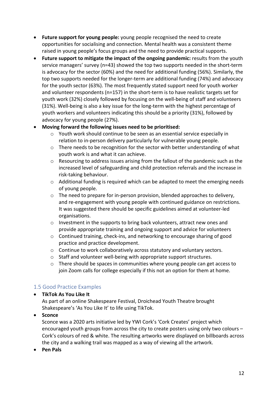- **Future support for young people:** young people recognised the need to create opportunities for socialising and connection. Mental health was a consistent theme raised in young people's focus groups and the need to provide practical supports.
- **Future support to mitigate the impact of the ongoing pandemic:** results from the youth service managers' survey (n=43) showed the top two supports needed in the short-term is advocacy for the sector (60%) and the need for additional funding (56%). Similarly, the top two supports needed for the longer-term are additional funding (74%) and advocacy for the youth sector (63%). The most frequently stated support need for youth worker and volunteer respondents (n=157) in the short-term is to have realistic targets set for youth work (32%) closely followed by focusing on the well-being of staff and volunteers (31%). Well-being is also a key issue for the long-term with the highest percentage of youth workers and volunteers indicating this should be a priority (31%), followed by advocacy for young people (27%).

### • **Moving forward the following issues need to be prioritised:**

- $\circ$  Youth work should continue to be seen as an essential service especially in relation to in-person delivery particularly for vulnerable young people.
- o There needs to be recognition for the sector with better understanding of what youth work is and what it can achieve.
- $\circ$  Resourcing to address issues arising from the fallout of the pandemic such as the increased level of safeguarding and child protection referrals and the increase in risk-taking behaviour.
- $\circ$  Additional funding is required which can be adapted to meet the emerging needs of young people.
- $\circ$  The need to prepare for in-person provision, blended approaches to delivery, and re-engagement with young people with continued guidance on restrictions. It was suggested there should be specific guidelines aimed at volunteer-led organisations.
- $\circ$  Investment in the supports to bring back volunteers, attract new ones and provide appropriate training and ongoing support and advice for volunteers
- o Continued training, check-ins, and networking to encourage sharing of good practice and practice development.
- o Continue to work collaboratively across statutory and voluntary sectors.
- o Staff and volunteer well-being with appropriate support structures.
- $\circ$  There should be spaces in communities where young people can get access to join Zoom calls for college especially if this not an option for them at home.

### 1.5 Good Practice Examples

### • **TikTok As You Like It**

As part of an online Shakespeare Festival, Droichead Youth Theatre brought Shakespeare's 'As You Like It' to life using TikTok.

### • **Sconce**

Sconce was a 2020 arts initiative led by YWI Cork's 'Cork Creates' project which encouraged youth groups from across the city to create posters using only two colours – Cork's colours of red & white. The resulting artworks were displayed on billboards across the city and a walking trail was mapped as a way of viewing all the artwork.

• **Pen Pals**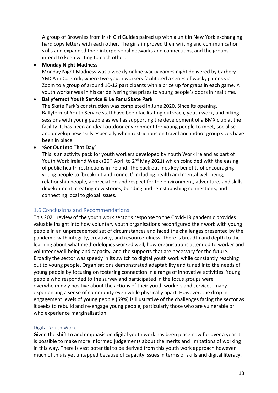A group of Brownies from Irish Girl Guides paired up with a unit in New York exchanging hard copy letters with each other. The girls improved their writing and communication skills and expanded their interpersonal networks and connections, and the groups intend to keep writing to each other.

### • **Monday Night Madness**

Monday Night Madness was a weekly online wacky games night delivered by Carbery YMCA in Co. Cork, where two youth workers facilitated a series of wacky games via Zoom to a group of around 10-12 participants with a prize up for grabs in each game. A youth worker was in his car delivering the prizes to young people's doors in real time.

#### • **Ballyfermot Youth Service & Le Fanu Skate Park**

The Skate Park's construction was completed in June 2020. Since its opening, Ballyfermot Youth Service staff have been facilitating outreach, youth work, and biking sessions with young people as well as supporting the development of a BMX club at the facility. It has been an ideal outdoor environment for young people to meet, socialise and develop new skills especially when restrictions on travel and indoor group sizes have been in place.

### • '**Get Out Into That Day'**

This is an activity pack for youth workers developed by Youth Work Ireland as part of Youth Work Ireland Week (26<sup>th</sup> April to 2<sup>nd</sup> May 2021) which coincided with the easing of public health restrictions in Ireland. The pack outlines key benefits of encouraging young people to 'breakout and connect' including health and mental well-being, relationship people, appreciation and respect for the environment, adventure, and skills development, creating new stories, bonding and re-establishing connections, and connecting local to global issues.

### 1.6 Conclusions and Recommendations

This 2021 review of the youth work sector's response to the Covid-19 pandemic provides valuable insight into how voluntary youth organisations reconfigured their work with young people in an unprecedented set of circumstances and faced the challenges presented by the pandemic with integrity, creativity, and resourcefulness. There is breadth and depth to the learning about what methodologies worked well, how organisations attended to worker and volunteer well-being and capacity, and the supports that are necessary for the future. Broadly the sector was speedy in its switch to digital youth work while constantly reaching out to young people. Organisations demonstrated adaptability and tuned into the needs of young people by focusing on fostering connection in a range of innovative activities. Young people who responded to the survey and participated in the focus groups were overwhelmingly positive about the actions of their youth workers and services, many experiencing a sense of community even while physically apart. However, the drop in engagement levels of young people (69%) is illustrative of the challenges facing the sector as it seeks to rebuild and re-engage young people, particularly those who are vulnerable or who experience marginalisation.

### Digital Youth Work

Given the shift to and emphasis on digital youth work has been place now for over a year it is possible to make more informed judgements about the merits and limitations of working in this way. There is vast potential to be derived from this youth work approach however much of this is yet untapped because of capacity issues in terms of skills and digital literacy,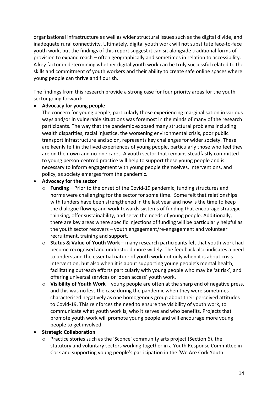organisational infrastructure as well as wider structural issues such as the digital divide, and inadequate rural connectivity. Ultimately, digital youth work will not substitute face-to-face youth work, but the findings of this report suggest it can sit alongside traditional forms of provision to expand reach – often geographically and sometimes in relation to accessibility. A key factor in determining whether digital youth work can be truly successful related to the skills and commitment of youth workers and their ability to create safe online spaces where young people can thrive and flourish.

The findings from this research provide a strong case for four priority areas for the youth sector going forward:

### • **Advocacy for young people**

The concern for young people, particularly those experiencing marginalisation in various ways and/or in vulnerable situations was foremost in the minds of many of the research participants. The way that the pandemic exposed many structural problems including wealth disparities, racial injustice, the worsening environmental crisis, poor public transport infrastructure and so on, represents key challenges for wider society. These are keenly felt in the lived experiences of young people, particularly those who feel they are on their own and no-one cares. A youth sector that remains steadfastly committed to young person-centred practice will help to support these young people and is necessary to inform engagement with young people themselves, interventions, and policy, as society emerges from the pandemic.

### • **Advocacy for the sector**

- o **Funding** Prior to the onset of the Covid-19 pandemic, funding structures and norms were challenging for the sector for some time. Some felt that relationships with funders have been strengthened in the last year and now is the time to keep the dialogue flowing and work towards systems of funding that encourage strategic thinking, offer sustainability, and serve the needs of young people. Additionally, there are key areas where specific injections of funding will be particularly helpful as the youth sector recovers – youth engagement/re-engagement and volunteer recruitment, training and support.
- o **Status & Value of Youth Work** many research participants felt that youth work had become recognised and understood more widely. The feedback also indicates a need to understand the essential nature of youth work not only when it is about crisis intervention, but also when it is about supporting young people's mental health, facilitating outreach efforts particularly with young people who may be 'at risk', and offering universal services or 'open access' youth work.
- o **Visibility of Youth Work** young people are often at the sharp end of negative press, and this was no less the case during the pandemic when they were sometimes characterised negatively as one homogenous group about their perceived attitudes to Covid-19. This reinforces the need to ensure the visibility of youth work, to communicate what youth work is, who it serves and who benefits. Projects that promote youth work will promote young people and will encourage more young people to get involved.

### • **Strategic Collaboration**

Practice stories such as the 'Sconce' community arts project (Section 6), the statutory and voluntary sectors working together in a Youth Response Committee in Cork and supporting young people's participation in the 'We Are Cork Youth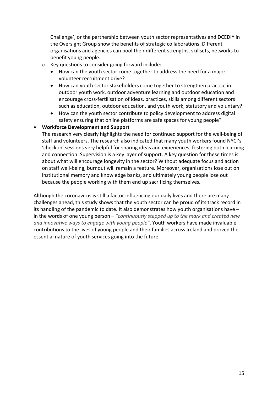Challenge', or the partnership between youth sector representatives and DCEDIY in the Oversight Group show the benefits of strategic collaborations. Different organisations and agencies can pool their different strengths, skillsets, networks to benefit young people.

- o Key questions to consider going forward include:
	- How can the youth sector come together to address the need for a major volunteer recruitment drive?
	- How can youth sector stakeholders come together to strengthen practice in outdoor youth work, outdoor adventure learning and outdoor education and encourage cross-fertilisation of ideas, practices, skills among different sectors such as education, outdoor education, and youth work, statutory and voluntary?
	- How can the youth sector contribute to policy development to address digital safety ensuring that online platforms are safe spaces for young people?

### • **Workforce Development and Support**

The research very clearly highlights the need for continued support for the well-being of staff and volunteers. The research also indicated that many youth workers found NYCI's 'check-in' sessions very helpful for sharing ideas and experiences, fostering both learning and connection. Supervision is a key layer of support. A key question for these times is about what will encourage longevity in the sector? Without adequate focus and action on staff well-being, burnout will remain a feature. Moreover, organisations lose out on institutional memory and knowledge banks, and ultimately young people lose out because the people working with them end up sacrificing themselves.

Although the coronavirus is still a factor influencing our daily lives and there are many challenges ahead, this study shows that the youth sector can be proud of its track record in its handling of the pandemic to date. It also demonstrates how youth organisations have – in the words of one young person – *"continuously stepped up to the mark and created new and innovative ways to engage with young people"*. Youth workers have made invaluable contributions to the lives of young people and their families across Ireland and proved the essential nature of youth services going into the future.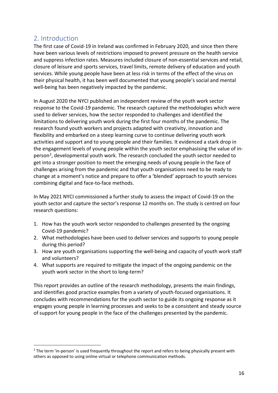# <span id="page-15-0"></span>2. Introduction

The first case of Covid-19 in Ireland was confirmed in February 2020, and since then there have been various levels of restrictions imposed to prevent pressure on the health service and suppress infection rates. Measures included closure of non-essential services and retail, closure of leisure and sports services, travel limits, remote delivery of education and youth services. While young people have been at less risk in terms of the effect of the virus on their physical health, it has been well documented that young people's social and mental well-being has been negatively impacted by the pandemic.

In August 2020 the NYCI published an independent review of the youth work sector response to the Covid-19 pandemic. The research captured the methodologies which were used to deliver services, how the sector responded to challenges and identified the limitations to delivering youth work during the first four months of the pandemic. The research found youth workers and projects adapted with creativity, innovation and flexibility and embarked on a steep learning curve to continue delivering youth work activities and support and to young people and their families. It evidenced a stark drop in the engagement levels of young people within the youth sector emphasising the value of in-person<sup>[2](#page-15-1)</sup>, developmental youth work. The research concluded the youth sector needed to get into a stronger position to meet the emerging needs of young people in the face of challenges arising from the pandemic and that youth organisations need to be ready to change at a moment's notice and prepare to offer a 'blended' approach to youth services combining digital and face-to-face methods.

In May 2021 NYCI commissioned a further study to assess the impact of Covid-19 on the youth sector and capture the sector's response 12 months on. The study is centred on four research questions:

- 1. How has the youth work sector responded to challenges presented by the ongoing Covid-19 pandemic?
- 2. What methodologies have been used to deliver services and supports to young people during this period?
- 3. How are youth organisations supporting the well-being and capacity of youth work staff and volunteers?
- 4. What supports are required to mitigate the impact of the ongoing pandemic on the youth work sector in the short to long-term?

This report provides an outline of the research methodology, presents the main findings, and identifies good practice examples from a variety of youth-focused organisations. It concludes with recommendations for the youth sector to guide its ongoing response as it engages young people in learning processes and seeks to be a consistent and steady source of support for young people in the face of the challenges presented by the pandemic.

<span id="page-15-1"></span><sup>&</sup>lt;sup>2</sup> The term 'in-person' is used frequently throughout the report and refers to being physically present with others as opposed to using online virtual or telephone communication methods.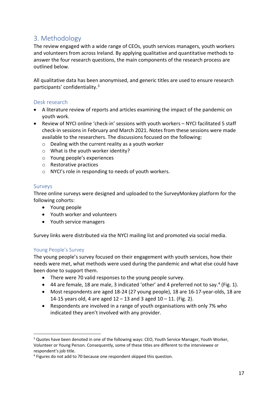# <span id="page-16-0"></span>3. Methodology

The review engaged with a wide range of CEOs, youth services managers, youth workers and volunteers from across Ireland. By applying qualitative and quantitative methods to answer the four research questions, the main components of the research process are outlined below.

All qualitative data has been anonymised, and generic titles are used to ensure research participants' confidentiality.[3](#page-16-1)

### Desk research

- A literature review of reports and articles examining the impact of the pandemic on youth work.
- Review of NYCI online 'check-in' sessions with youth workers NYCI facilitated 5 staff check-in sessions in February and March 2021. Notes from these sessions were made available to the researchers. The discussions focused on the following:
	- o Dealing with the current reality as a youth worker
	- o What is the youth worker identity?
	- o Young people's experiences
	- o Restorative practices
	- o NYCI's role in responding to needs of youth workers.

### Surveys

Three online surveys were designed and uploaded to the SurveyMonkey platform for the following cohorts:

- Young people
- Youth worker and volunteers
- Youth service managers

Survey links were distributed via the NYCI mailing list and promoted via social media.

### Young People's Survey

The young people's survey focused on their engagement with youth services, how their needs were met, what methods were used during the pandemic and what else could have been done to support them.

- There were 70 valid responses to the young people survey.
- [4](#page-16-2)4 are female, 18 are male, 3 indicated 'other' and 4 preferred not to say.<sup>4</sup> (Fig. 1).
- Most respondents are aged 18-24 (27 young people), 18 are 16-17-year-olds, 18 are 14-15 years old, 4 are aged  $12 - 13$  and 3 aged  $10 - 11$ . (Fig. 2).
- Respondents are involved in a range of youth organisations with only 7% who indicated they aren't involved with any provider.

<span id="page-16-1"></span><sup>&</sup>lt;sup>3</sup> Quotes have been denoted in one of the following ways: CEO, Youth Service Manager, Youth Worker, Volunteer or Young Person. Consequently, some of these titles are different to the interviewee or respondent's job title.

<span id="page-16-2"></span><sup>4</sup> Figures do not add to 70 because one respondent skipped this question.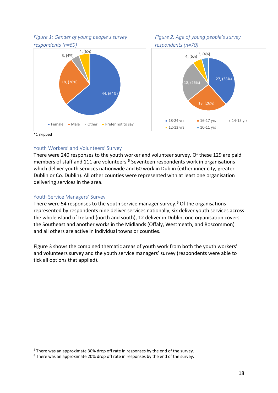*Figure 1: Gender of young people's survey respondents (n=69)*







\*1 skipped

#### Youth Workers' and Volunteers' Survey

There were 240 responses to the youth worker and volunteer survey. Of these 129 are paid members of staff and 111 are volunteers.<sup>[5](#page-17-0)</sup> Seventeen respondents work in organisations which deliver youth services nationwide and 60 work in Dublin (either inner city, greater Dublin or Co. Dublin). All other counties were represented with at least one organisation delivering services in the area.

#### Youth Service Managers' Survey

There were 54 responses to the youth service manager survey.<sup>[6](#page-17-1)</sup> Of the organisations represented by respondents nine deliver services nationally, six deliver youth services across the whole island of Ireland (north and south), 12 deliver in Dublin, one organisation covers the Southeast and another works in the Midlands (Offaly, Westmeath, and Roscommon) and all others are active in individual towns or counties.

Figure 3 shows the combined thematic areas of youth work from both the youth workers' and volunteers survey and the youth service managers' survey (respondents were able to tick all options that applied).

<span id="page-17-0"></span><sup>&</sup>lt;sup>5</sup> There was an approximate 30% drop off rate in responses by the end of the survey.

<span id="page-17-1"></span> $6$  There was an approximate 20% drop off rate in responses by the end of the survey.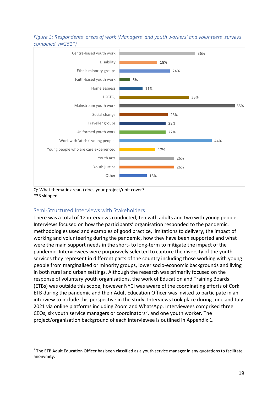



Q: What thematic area(s) does your project/unit cover? \*33 skipped

# Semi-Structured Interviews with Stakeholders

There was a total of 12 interviews conducted, ten with adults and two with young people. Interviews focused on how the participants' organisation responded to the pandemic, methodologies used and examples of good practice, limitations to delivery, the impact of working and volunteering during the pandemic, how they have been supported and what were the main support needs in the short- to long-term to mitigate the impact of the pandemic. Interviewees were purposively selected to capture the diversity of the youth services they represent in different parts of the country including those working with young people from marginalised or minority groups, lower socio-economic backgrounds and living in both rural and urban settings. Although the research was primarily focused on the response of voluntary youth organisations, the work of Education and Training Boards (ETBs) was outside this scope, however NYCI was aware of the coordinating efforts of Cork ETB during the pandemic and their Adult Education Officer was invited to participate in an interview to include this perspective in the study. Interviews took place during June and July 2021 via online platforms including Zoom and WhatsApp. Interviewees comprised three CEOs, six youth service managers or coordinators<sup>[7](#page-18-0)</sup>, and one youth worker. The project/organisation background of each interviewee is outlined in Appendix 1.

<span id="page-18-0"></span><sup>&</sup>lt;sup>7</sup> The ETB Adult Education Officer has been classified as a youth service manager in any quotations to facilitate anonymity.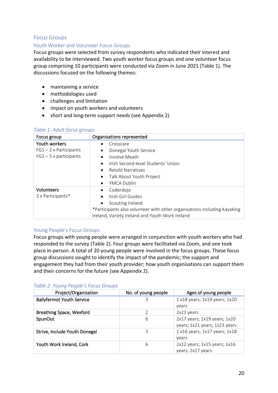### Focus Groups

### Youth Worker and Volunteer Focus Groups

Focus groups were selected from survey respondents who indicated their interest and availability to be interviewed. Two youth worker focus groups and one volunteer focus group comprising 10 participants were conducted via Zoom in June 2021 (Table 1). The discussions focused on the following themes:

- maintaining a service
- methodologies used
- challenges and limitation
- impact on youth workers and volunteers
- short and long-term support needs (see Appendix 2)

### *Table 1: Adult focus groups*

| Focus group                                                               | Organisations represented                                                                                                                                                                           |
|---------------------------------------------------------------------------|-----------------------------------------------------------------------------------------------------------------------------------------------------------------------------------------------------|
| Youth workers<br>$FG1 - 2 \times$ Participants<br>$FG2 - 5x$ participants | Crosscare<br>Donegal Youth Service<br>Involve Meath<br>Irish Second-level Students' Union<br>Retold Narratives<br>$\bullet$<br>Talk About Youth Project<br>$\bullet$<br><b>YMCA Dublin</b><br>٠     |
| <b>Volunteers</b><br>3 x Participants*                                    | Coderdojo<br>$\bullet$<br>Irish Girl Guides<br>٠<br>Scouting Ireland<br>*Participants also volunteer with other organisations including Kayaking<br>Ireland, Variety Ireland and Youth Work Ireland |

### Young People's Focus Groups

Focus groups with young people were arranged in conjunction with youth workers who had responded to the survey (Table 2). Four groups were facilitated via Zoom, and one took place in-person. A total of 20 young people were involved in the focus groups. These focus group discussions sought to identify the impact of the pandemic; the support and engagement they had from their youth provider; how youth organisations can support them and their concerns for the future (see Appendix 2).

### *Table 2: Young People's Focus Groups*

| Project/Organisation             | No. of young people | Ages of young people                                          |
|----------------------------------|---------------------|---------------------------------------------------------------|
| <b>Ballyfermot Youth Service</b> | З                   | $1$ x18 years; $1x19$ years; $1x20$                           |
|                                  |                     | years                                                         |
| <b>Breathing Space, Wexford</b>  | I.                  | 2x21 years                                                    |
| SpunOut                          | 6                   | 2x17 years; 1x19 years; 1x20<br>years; 1x21 years; 1x23 years |
| Strive, Include Youth Donegal    | 3                   | $1$ x16 years; $1x17$ years; $1x18$<br>years                  |
| Youth Work Ireland, Cork         | 6                   | $2x12$ years; $1x15$ years; $1x16$<br>years; 2x17 years       |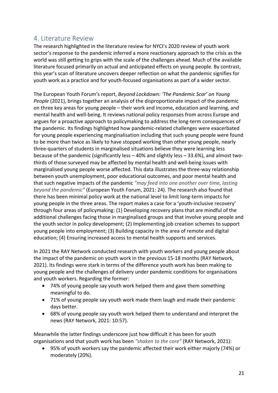# <span id="page-20-0"></span>4. Literature Review

The research highlighted in the literature review for NYCI's 2020 review of youth work sector's response to the pandemic inferred a more reactionary approach to the crisis as the world was still getting to grips with the scale of the challenges ahead. Much of the available literature focused primarily on actual and anticipated effects on young people. By contrast, this year's scan of literature uncovers deeper reflection on what the pandemic signifies for youth work as a practice and for youth-focused organisations as part of a wider sector.

The European Youth Forum's report, *Beyond Lockdown: 'The Pandemic Scar' on Young People* (2021), brings together an analysis of the disproportionate impact of the pandemic on three key areas for young people – their work and income, education and learning, and mental health and well-being. It reviews national policy responses from across Europe and argues for a proactive approach to policymaking to address the long-term consequences of the pandemic. Its findings highlighted how pandemic-related challenges were exacerbated for young people experiencing marginalisation including that such young people were found to be more than twice as likely to have stopped working than other young people, nearly three-quarters of students in marginalised situations believe they were learning less because of the pandemic (significantly less – 40% and slightly less – 33.6%), and almost twothirds of those surveyed may be affected by mental health and well-being issues with marginalised young people worse affected. This data illustrates the three-way relationship between youth unemployment, poor educational outcomes, and poor mental health and that such negative impacts of the pandemic *"may feed into one another over time, lasting beyond the pandemic"* (European Youth Forum, 2021: 24). The research also found that there has been minimal policy work at the national level to limit long-term impacts for young people in the three areas. The report makes a case for a 'youth-inclusive recovery' through four areas of policymaking: (1) Developing recovery plans that are mindful of the additional challenges facing those in marginalised groups and that involve young people and the youth sector in policy development; (2) Implementing job creation schemes to support young people into employment; (3) Building capacity in the area of remote and digital education; (4) Ensuring increased access to mental health supports and services.

In 2021 the RAY Network conducted research with youth workers and young people about the impact of the pandemic on youth work in the previous 15-18 months (RAY Network, 2021). Its findings were stark in terms of the difference youth work has been making to young people and the challenges of delivery under pandemic conditions for organisations and youth workers. Regarding the former:

- 74% of young people say youth work helped them and gave them something meaningful to do.
- 71% of young people say youth work made them laugh and made their pandemic days better.
- 68% of young people say youth work helped them to understand and interpret the news (RAY Network, 2021: 10:57).

Meanwhile the latter findings underscore just how difficult it has been for youth organisations and that youth work has been *"shaken to the core"* (RAY Network, 2021):

• 95% of youth workers say the pandemic affected their work either majorly (74%) or moderately (20%).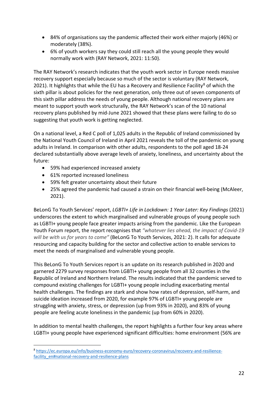- 84% of organisations say the pandemic affected their work either majorly (46%) or moderately (38%).
- 6% of youth workers say they could still reach all the young people they would normally work with (RAY Network, 2021: 11:50).

The RAY Network's research indicates that the youth work sector in Europe needs massive recovery support especially because so much of the sector is voluntary (RAY Network, 2021). It highlights that while the EU has a Recovery and Resilience Facility<sup>[8](#page-21-0)</sup> of which the sixth pillar is about policies for the next generation, only three out of seven components of this sixth pillar address the needs of young people. Although national recovery plans are meant to support youth work structurally, the RAY Network's scan of the 10 national recovery plans published by mid-June 2021 showed that these plans were failing to do so suggesting that youth work is getting neglected.

On a national level, a Red C poll of 1,025 adults in the Republic of Ireland commissioned by the National Youth Council of Ireland in April 2021 reveals the toll of the pandemic on young adults in Ireland. In comparison with other adults, respondents to the poll aged 18-24 declared substantially above average levels of anxiety, loneliness, and uncertainty about the future:

- 59% had experienced increased anxiety
- 61% reported increased loneliness
- 59% felt greater uncertainty about their future
- 25% agreed the pandemic had caused a strain on their financial well-being (McAleer, 2021).

BeLonG To Youth Services' report, *LGBTI+ Life in Lockdown: 1 Year Later: Key Findings* (2021) underscores the extent to which marginalised and vulnerable groups of young people such as LGBTI+ young people face greater impacts arising from the pandemic. Like the European Youth Forum report, the report recognises that *"whatever lies ahead, the impact of Covid-19 will be with us for years to come"* (BeLonG To Youth Services, 2021: 2). It calls for adequate resourcing and capacity building for the sector and collective action to enable services to meet the needs of marginalised and vulnerable young people.

This BeLonG To Youth Services report is an update on its research published in 2020 and garnered 2279 survey responses from LGBTI+ young people from all 32 counties in the Republic of Ireland and Northern Ireland. The results indicated that the pandemic served to compound existing challenges for LGBTI+ young people including exacerbating mental health challenges. The findings are stark and show how rates of depression, self-harm, and suicide ideation increased from 2020, for example 97% of LGBTI+ young people are struggling with anxiety, stress, or depression (up from 93% in 2020), and 83% of young people are feeling acute loneliness in the pandemic (up from 60% in 2020).

In addition to mental health challenges, the report highlights a further four key areas where LGBTI+ young people have experienced significant difficulties: home environment (56% are

<span id="page-21-0"></span><sup>8</sup> [https://ec.europa.eu/info/business-economy-euro/recovery-coronavirus/recovery-and-resilience](https://ec.europa.eu/info/business-economy-euro/recovery-coronavirus/recovery-and-resilience-facility_en#national-recovery-and-resilience-plans)[facility\\_en#national-recovery-and-resilience-plans](https://ec.europa.eu/info/business-economy-euro/recovery-coronavirus/recovery-and-resilience-facility_en#national-recovery-and-resilience-plans)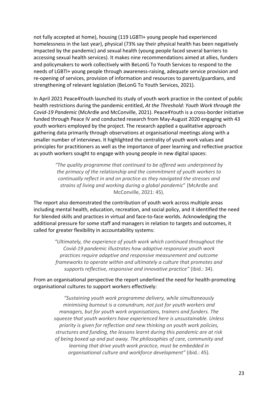not fully accepted at home), housing (119 LGBTI+ young people had experienced homelessness in the last year), physical (73% say their physical health has been negatively impacted by the pandemic) and sexual health (young people faced several barriers to accessing sexual health services). It makes nine recommendations aimed at allies, funders and policymakers to work collectively with BeLonG To Youth Services to respond to the needs of LGBTI+ young people through awareness-raising, adequate service provision and re-opening of services, provision of information and resources to parents/guardians, and strengthening of relevant legislation (BeLonG To Youth Services, 2021).

In April 2021 Peace4Youth launched its study of youth work practice in the context of public health restrictions during the pandemic entitled, *At the Threshold: Youth Work through the Covid-19 Pandemic* (McArdle and McConville, 2021). Peace4Youth is a cross-border initiative funded through Peace IV and conducted research from May-August 2020 engaging with 43 youth workers employed by the project. The research applied a qualitative approach gathering data primarily through observations at organisational meetings along with a smaller number of interviews. It highlighted the centrality of youth work values and principles for practitioners as well as the importance of peer learning and reflective practice as youth workers sought to engage with young people in new digital spaces:

> *"The quality programme that continued to be offered was underpinned by the primacy of the relationship and the commitment of youth workers to continually reflect in and on practice as they navigated the stresses and strains of living and working during a global pandemic*" (McArdle and McConville, 2021: 45).

The report also demonstrated the contribution of youth work across multiple areas including mental health, education, recreation, and social policy, and it identified the need for blended skills and practices in virtual and face-to-face worlds. Acknowledging the additional pressure for some staff and managers in relation to targets and outcomes, it called for greater flexibility in accountability systems:

> *"Ultimately, the experience of youth work which continued throughout the Covid-19 pandemic illustrates how adaptive responsive youth work practices require adaptive and responsive measurement and outcome frameworks to operate within and ultimately a culture that promotes and supports reflective, responsive and innovative practice"* (ibid.: 34).

From an organisational perspective the report underlined the need for health-promoting organisational cultures to support workers effectively:

*"Sustaining youth work programme delivery, while simultaneously minimising burnout is a conundrum, not just for youth workers and managers, but for youth work organisations, trainers and funders. The squeeze that youth workers have experienced here is unsustainable. Unless priority is given for reflection and new thinking on youth work policies, structures and funding, the lessons learnt during this pandemic are at risk of being boxed up and put away. The philosophies of care, community and learning that drive youth work practice, must be embedded in organisational culture and workforce development"* (ibid.: 45).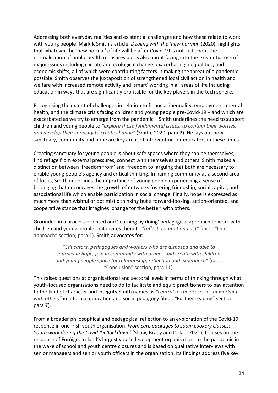Addressing both everyday realities and existential challenges and how these relate to work with young people, Mark K Smith's article, *Dealing with the 'new normal'* (2020), highlights that whatever the 'new normal' of life will be after Covid-19 is not just about the normalisation of public health measures but is also about facing into the existential risk of major issues including climate and ecological change, exacerbating inequalities, and economic shifts, all of which were contributing factors in making the threat of a pandemic possible. Smith observes the juxtaposition of strengthened local civil action in health and welfare with increased remote activity and 'smart' working in all areas of life including education in ways that are significantly profitable for the key players in the tech sphere.

Recognising the extent of challenges in relation to financial inequality, employment, mental health, and the climate crisis facing children and young people pre-Covid-19 – and which are exacerbated as we try to emerge from the pandemic – Smith underlines the need to support children and young people to *"explore these fundamental issues, to contain their worries, and develop their capacity to create change"* (Smith, 2020: para 2). He lays out how sanctuary, community and hope are key areas of intervention for educators in these times.

Creating sanctuary for young people is about safe spaces where they can be themselves, find refuge from external pressures, connect with themselves and others. Smith makes a distinction between 'freedom from' and 'freedom to' arguing that both are necessary to enable young people's agency and critical thinking. In naming community as a second area of focus, Smith underlines the importance of young people experiencing a sense of belonging that encourages the growth of networks fostering friendship, social capital, and associational life which enable participation in social change. Finally, hope is expressed as much more than wishful or optimistic thinking but a forward-looking, action-oriented, and cooperative stance that imagines 'change for the better' with others.

Grounded in a process-oriented and 'learning by doing' pedagogical approach to work with children and young people that invites them to *"reflect, commit and act"* (ibid.: "Our approach" section, para 1). Smith advocates for:

> *"Educators, pedagogues and workers who are disposed and able to journey in hope, join in community with others, and create with children and young people space for relationship, reflection and experience"* (ibid.: "Conclusion" section, para 11).

This raises questions at organisational and sectoral levels in terms of thinking through what youth-focused organisations need to do to facilitate and equip practitioners to pay attention to the kind of character and integrity Smith names as *"central to the processes of working with others"* in informal education and social pedagogy (ibid.: "Further reading" section, para 7).

From a broader philosophical and pedagogical reflection to an exploration of the Covid-19 response in one Irish youth organisation, *From care packages to zoom cookery classes: Youth work during the Covid-19 'lockdown'* (Shaw, Brady and Dolan, 2021), focuses on the response of Foróige, Ireland's largest youth development organisation, to the pandemic in the wake of school and youth centre closures and is based on qualitative interviews with senior managers and senior youth officers in the organisation. Its findings address five key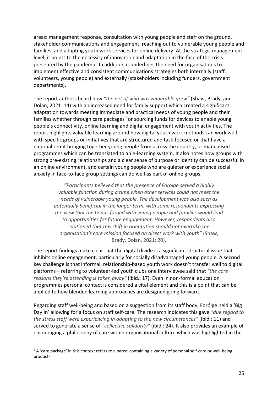areas: management response, consultation with young people and staff on the ground, stakeholder communications and engagement, reaching out to vulnerable young people and families, and adapting youth work services for online delivery. At the strategic management level, it points to the necessity of innovation and adaptation in the face of the crisis presented by the pandemic. In addition, it underlines the need for organisations to implement effective and consistent communications strategies both internally (staff, volunteers, young people) and externally (stakeholders including funders, government departments).

The report authors heard how *"the net of who was vulnerable grew"* (Shaw, Brady, and Dolan, 2021: 14) with an increased need for family support which created a significant adaptation towards meeting immediate and practical needs of young people and their families whether through care packages<sup>[9](#page-24-0)</sup> or sourcing funds for devices to enable young people's connectivity, online learning and digital engagement with youth activities. The report highlights valuable learning around how digital youth work methods can work well with specific groups or initiatives that are structured and task-focused or that have a national remit bringing together young people from across the country, or manualised programmes which can be translated to an e-learning system. It also notes how groups with strong pre-existing relationships and a clear sense of purpose or identity can be successful in an online environment, and certain young people who are quieter or experience social anxiety in face-to-face group settings can do well as part of online groups.

*"Participants believed that the presence of Foróige served a highly valuable function during a time when other services could not meet the needs of vulnerable young people. The development was also seen as potentially beneficial in the longer term, with some respondents expressing the view that the bonds forged with young people and families would lead to opportunities for future engagement. However, respondents also cautioned that this shift in orientation should not overtake the organisation's core mission focused on direct work with youth"* (Shaw, Brady, Dolan, 2021: 20).

The report findings make clear that the digital divide is a significant structural issue that inhibits online engagement, particularly for socially disadvantaged young people. A second key challenge is that informal, relationship-based youth work doesn't transfer well to digital platforms – referring to volunteer-led youth clubs one interviewee said that *"the core reasons they're attending is taken away"* (ibid.: 17). Even in non-formal education programmes personal contact is considered a vital element and this is a point that can be applied to how blended learning approaches are designed going forward.

Regarding staff well-being and based on a suggestion from its staff body, Foróige held a 'Big Day In' allowing for a focus on staff self-care. The research indicates this gave *"due regard to the stress staff were experiencing in adapting to the new circumstances"* (ibid.: 11) and served to generate a sense of *"collective solidarity"* (ibid.: 24). It also provides an example of encouraging a philosophy of care within organisational culture which was highlighted in the

<span id="page-24-0"></span><sup>&</sup>lt;sup>9</sup> A 'care package' in this context refers to a parcel containing a variety of personal self-care or well-being products.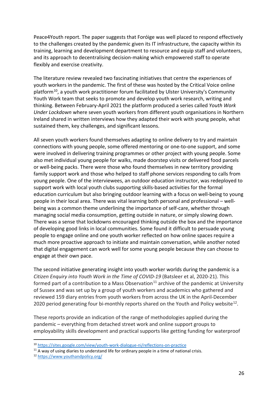Peace4Youth report. The paper suggests that Foróige was well placed to respond effectively to the challenges created by the pandemic given its IT infrastructure, the capacity within its training, learning and development department to resource and equip staff and volunteers, and its approach to decentralising decision-making which empowered staff to operate flexibly and exercise creativity.

The literature review revealed two fascinating initiatives that centre the experiences of youth workers in the pandemic. The first of these was hosted by the Critical Voice online platform<sup>[10](#page-25-0)</sup>, a youth work practitioner forum facilitated by Ulster University's Community Youth Work team that seeks to promote and develop youth work research, writing and thinking. Between February-April 2021 the platform produced a series called *Youth Work Under Lockdown* where seven youth workers from different youth organisations in Northern Ireland shared in written interviews how they adapted their work with young people, what sustained them, key challenges, and significant lessons.

All seven youth workers found themselves adapting to online delivery to try and maintain connections with young people, some offered mentoring or one-to-one support, and some were involved in delivering training programmes or other project with young people. Some also met individual young people for walks, made doorstep visits or delivered food parcels or well-being packs. There were those who found themselves in new territory providing family support work and those who helped to staff phone services responding to calls from young people. One of the interviewees, an outdoor education instructor, was redeployed to support work with local youth clubs supporting skills-based activities for the formal education curriculum but also bringing outdoor learning with a focus on well-being to young people in their local area. There was vital learning both personal and professional – wellbeing was a common theme underlining the importance of self-care, whether through managing social media consumption, getting outside in nature, or simply slowing down. There was a sense that lockdowns encouraged thinking outside the box and the importance of developing good links in local communities. Some found it difficult to persuade young people to engage online and one youth worker reflected on how online spaces require a much more proactive approach to initiate and maintain conversation, while another noted that digital engagement can work well for some young people because they can choose to engage at their own pace.

The second initiative generating insight into youth worker worlds during the pandemic is a *Citizen Enquiry into Youth Work in the Time of COVID-19* (Batsleer et al, 2020-21). This formed part of a contribution to a Mass Observation<sup>[11](#page-25-1)</sup> archive of the pandemic at University of Sussex and was set up by a group of youth workers and academics who gathered and reviewed 159 diary entries from youth workers from across the UK in the April-December 2020 period generating four bi-monthly reports shared on the Youth and Policy website<sup>12</sup>.

These reports provide an indication of the range of methodologies applied during the pandemic – everything from detached street work and online support groups to employability skills development and practical supports like getting funding for waterproof

<span id="page-25-0"></span><sup>10</sup> <https://sites.google.com/view/youth-work-dialogue-ni/reflections-on-practice>

<span id="page-25-1"></span> $11$  A way of using diaries to understand life for ordinary people in a time of national crisis.

<span id="page-25-2"></span><sup>12</sup> <https://www.youthandpolicy.org/>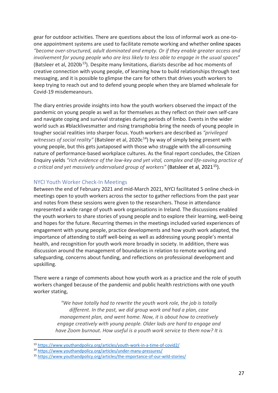gear for outdoor activities. There are questions about the loss of informal work as one-toone appointment systems are used to facilitate remote working and whether online spaces *"become over-structured, adult dominated and empty. Or if they enable greater access and involvement for young people who are less likely to less able to engage in the usual spaces*" (Batsleer et al,  $2020b^{13}$  $2020b^{13}$  $2020b^{13}$ ). Despite many limitations, diarists describe ad hoc moments of creative connection with young people, of learning how to build relationships through text messaging, and it is possible to glimpse the care for others that drives youth workers to keep trying to reach out and to defend young people when they are blamed wholesale for Covid-19 misdemeanours.

The diary entries provide insights into how the youth workers observed the impact of the pandemic on young people as well as for themselves as they reflect on their own self-care and navigate coping and survival strategies during periods of limbo. Events in the wider world such as #blacklivesmatter and rising transphobia bring the needs of young people in tougher social realities into sharper focus. Youth workers are described as *"privileged witnesses of social reality"* (Batsleer et al, 2020c<sup>[14](#page-26-1)</sup>) by way of simply being present with young people, but this gets juxtaposed with those who struggle with the all-consuming nature of performance-based workplace cultures. As the final report concludes, the Citizen Enquiry yields *"rich evidence of the low-key and yet vital, complex and life-saving practice of a critical and yet massively undervalued group of workers"* (Batsleer et al, 2021[15\)](#page-26-2).

### NYCI Youth Worker Check-In Meetings

Between the end of February 2021 and mid-March 2021, NYCI facilitated 5 online check-in meetings open to youth workers across the sector to gather reflections from the past year and notes from these sessions were given to the researchers. Those in attendance represented a wide range of youth work organisations in Ireland. The discussions enabled the youth workers to share stories of young people and to explore their learning, well-being and hopes for the future. Recurring themes in the meetings included varied experiences of engagement with young people, practice developments and how youth work adapted, the importance of attending to staff well-being as well as addressing young people's mental health, and recognition for youth work more broadly in society. In addition, there was discussion around the management of boundaries in relation to remote working and safeguarding, concerns about funding, and reflections on professional development and upskilling.

There were a range of comments about how youth work as a practice and the role of youth workers changed because of the pandemic and public health restrictions with one youth worker stating,

> *"We have totally had to rewrite the youth work role, the job is totally different. In the past, we did group work and had a plan, case management plan, and went home. Now, it is about how to creatively engage creatively with young people. Older lads are hard to engage and have Zoom burnout. How useful is a youth work service to them now? It is*

<span id="page-26-0"></span><sup>13</sup> <https://www.youthandpolicy.org/articles/youth-work-in-a-time-of-covid2/>

<span id="page-26-1"></span><sup>14</sup> <https://www.youthandpolicy.org/articles/under-many-pressures/>

<span id="page-26-2"></span><sup>15</sup> <https://www.youthandpolicy.org/articles/the-importance-of-our-wild-stories/>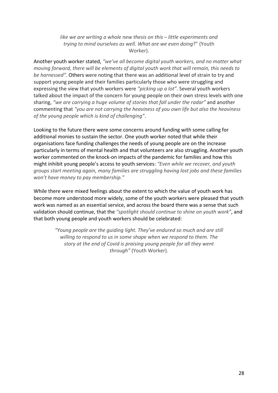*like we are writing a whole new thesis on this – little experiments and trying to mind ourselves as well. What are we even doing*?" (Youth Worker).

Another youth worker stated, *"we've all become digital youth workers, and no matter what moving forward, there will be elements of digital youth work that will remain, this needs to be harnessed"*. Others were noting that there was an additional level of strain to try and support young people and their families particularly those who were struggling and expressing the view that youth workers were *"picking up a lot"*. Several youth workers talked about the impact of the concern for young people on their own stress levels with one sharing, *"we are carrying a huge volume of stories that fall under the radar"* and another commenting that *"you are not carrying the heaviness of you own life but also the heaviness of the young people which is kind of challenging"*.

Looking to the future there were some concerns around funding with some calling for additional monies to sustain the sector. One youth worker noted that while their organisations face funding challenges the needs of young people are on the increase particularly in terms of mental health and that volunteers are also struggling. Another youth worker commented on the knock-on impacts of the pandemic for families and how this might inhibit young people's access to youth services: *"Even while we recover, and youth groups start meeting again, many families are struggling having lost jobs and these families won't have money to pay membership."*

While there were mixed feelings about the extent to which the value of youth work has become more understood more widely, some of the youth workers were pleased that youth work was named as an essential service, and across the board there was a sense that such validation should continue, that the *"spotlight should continue to shine on youth work"*, and that both young people and youth workers should be celebrated:

> *"Young people are the guiding light. They've endured so much and are still willing to respond to us in some shape when we respond to them. The story at the end of Covid is praising young people for all they went through"* (Youth Worker).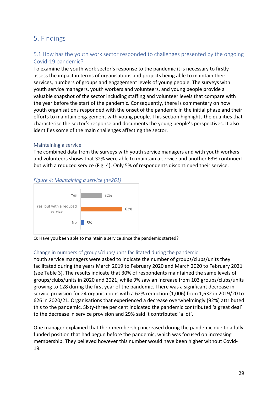# <span id="page-28-0"></span>5. Findings

# <span id="page-28-1"></span>5.1 How has the youth work sector responded to challenges presented by the ongoing Covid-19 pandemic?

To examine the youth work sector's response to the pandemic it is necessary to firstly assess the impact in terms of organisations and projects being able to maintain their services, numbers of groups and engagement levels of young people. The surveys with youth service managers, youth workers and volunteers, and young people provide a valuable snapshot of the sector including staffing and volunteer levels that compare with the year before the start of the pandemic. Consequently, there is commentary on how youth organisations responded with the onset of the pandemic in the initial phase and their efforts to maintain engagement with young people. This section highlights the qualities that characterise the sector's response and documents the young people's perspectives. It also identifies some of the main challenges affecting the sector.

### Maintaining a service

The combined data from the surveys with youth service managers and with youth workers and volunteers shows that 32% were able to maintain a service and another 63% continued but with a reduced service (Fig. 4). Only 5% of respondents discontinued their service.





Q: Have you been able to maintain a service since the pandemic started?

### Change in numbers of groups/clubs/units facilitated during the pandemic

Youth service managers were asked to indicate the number of groups/clubs/units they facilitated during the years March 2019 to February 2020 and March 2020 to February 2021 (see Table 3). The results indicate that 30% of respondents maintained the same levels of groups/clubs/units in 2020 and 2021, while 9% saw an increase from 103 groups/clubs/units growing to 128 during the first year of the pandemic. There was a significant decrease in service provision for 24 organisations with a 62% reduction (1,006) from 1,632 in 2019/20 to 626 in 2020/21. Organisations that experienced a decrease overwhelmingly (92%) attributed this to the pandemic. Sixty-three per cent indicated the pandemic contributed 'a great deal' to the decrease in service provision and 29% said it contributed 'a lot'.

One manager explained that their membership increased during the pandemic due to a fully funded position that had begun before the pandemic, which was focused on increasing membership. They believed however this number would have been higher without Covid-19.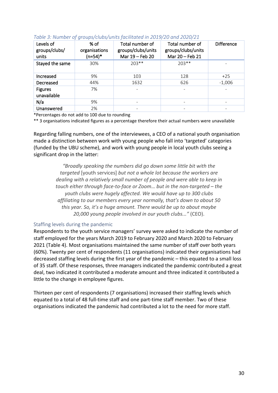| Levels of<br>groups/clubs/<br>units | % of<br>organisations<br>$(n=54)^*$ | Total number of<br>groups/clubs/units<br>Mar 19 - Feb 20 | Total number of<br>groups/clubs/units<br>Mar 20 - Feb 21 | <b>Difference</b> |
|-------------------------------------|-------------------------------------|----------------------------------------------------------|----------------------------------------------------------|-------------------|
| Stayed the same                     | 30%                                 | $203**$                                                  | $203**$                                                  |                   |
| Increased                           | 9%                                  | 103                                                      | 128                                                      | $+25$             |
| Decreased                           | 44%                                 | 1632                                                     | 626                                                      | $-1,006$          |
| <b>Figures</b><br>unavailable       | 7%                                  |                                                          |                                                          |                   |
| N/a                                 | 9%                                  |                                                          |                                                          |                   |
| Unanswered                          | 2%                                  |                                                          |                                                          |                   |

### *Table 3: Number of groups/clubs/units facilitated in 2019/20 and 2020/21*

\*Percentages do not add to 100 due to rounding

\*\* 3 organisations indicated figures as a percentage therefore their actual numbers were unavailable

Regarding falling numbers, one of the interviewees, a CEO of a national youth organisation made a distinction between work with young people who fall into 'targeted' categories (funded by the UBU scheme), and work with young people in local youth clubs seeing a significant drop in the latter:

> *"Broadly speaking the numbers did go down some little bit with the targeted* [youth services] *but not a whole lot because the workers are dealing with a relatively small number of people and were able to keep in touch either through face-to-face or Zoom… but in the non-targeted – the youth clubs were hugely affected. We would have up to 300 clubs affiliating to our members every year normally, that's down to about 50 this year. So, it's a huge amount. There would be up to about maybe 20,000 young people involved in our youth clubs..."* (CEO).

### Staffing levels during the pandemic

Respondents to the youth service managers' survey were asked to indicate the number of staff employed for the years March 2019 to February 2020 and March 2020 to February 2021 (Table 4). Most organisations maintained the same number of staff over both years (60%). Twenty per cent of respondents (11 organisations) indicated their organisations had decreased staffing levels during the first year of the pandemic – this equated to a small loss of 35 staff. Of these responses, three managers indicated the pandemic contributed a great deal, two indicated it contributed a moderate amount and three indicated it contributed a little to the change in employee figures.

Thirteen per cent of respondents (7 organisations) increased their staffing levels which equated to a total of 48 full-time staff and one part-time staff member. Two of these organisations indicated the pandemic had contributed a lot to the need for more staff.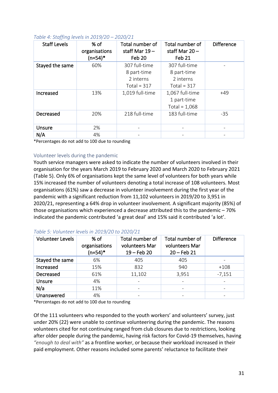| <b>Staff Levels</b> | $%$ of<br>organisations<br>$(n=54)^*$ | Total number of<br>staff Mar $19-$<br>Feb 20               | Total number of<br>staff Mar $20 -$<br>Feb 21              | <b>Difference</b> |
|---------------------|---------------------------------------|------------------------------------------------------------|------------------------------------------------------------|-------------------|
| Stayed the same     | 60%                                   | 307 full-time<br>8 part-time<br>2 interns<br>Total = $317$ | 307 full-time<br>8 part-time<br>2 interns<br>Total = $317$ |                   |
| Increased           | 13%                                   | 1,019 full-time                                            | 1,067 full-time<br>1 part-time<br>Total = $1,068$          | $+49$             |
| Decreased           | 20%                                   | 218 full-time                                              | 183 full-time                                              | $-35$             |
| Unsure              | 2%                                    |                                                            |                                                            |                   |
| N/A                 | 4%                                    |                                                            |                                                            |                   |

\*Percentages do not add to 100 due to rounding

### Volunteer levels during the pandemic

Youth service managers were asked to indicate the number of volunteers involved in their organisation for the years March 2019 to February 2020 and March 2020 to February 2021 (Table 5). Only 6% of organisations kept the same level of volunteers for both years while 15% increased the number of volunteers denoting a total increase of 108 volunteers. Most organisations (61%) saw a decrease in volunteer involvement during the first year of the pandemic with a significant reduction from 11,102 volunteers in 2019/20 to 3,951 in 2020/21, representing a 64% drop in volunteer involvement. A significant majority (85%) of those organisations which experienced a decrease attributed this to the pandemic – 70% indicated the pandemic contributed 'a great deal' and 15% said it contributed 'a lot'.

| <b>Volunteer Levels</b> | % of<br>organisations<br>$(n=54)^*$ | Total number of<br>volunteers Mar<br>$19 - Feb 20$ | Total number of<br>volunteers Mar<br>$20 - Feb 21$ | <b>Difference</b> |
|-------------------------|-------------------------------------|----------------------------------------------------|----------------------------------------------------|-------------------|
| Stayed the same         | 6%                                  | 405                                                | 405                                                |                   |
| Increased               | 15%                                 | 832                                                | 940                                                | $+108$            |
| Decreased               | 61%                                 | 11,102                                             | 3,951                                              | $-7,151$          |
| Unsure                  | 4%                                  |                                                    |                                                    |                   |
| N/a                     | 11%                                 |                                                    |                                                    |                   |
| Unanswered              | 4%                                  |                                                    |                                                    |                   |

| Table 5: Volunteer levels in 2019/20 to 2020/21 |  |  |  |
|-------------------------------------------------|--|--|--|
|-------------------------------------------------|--|--|--|

\*Percentages do not add to 100 due to rounding

Of the 111 volunteers who responded to the youth workers' and volunteers' survey, just under 20% (22) were unable to continue volunteering during the pandemic. The reasons volunteers cited for not continuing ranged from club closures due to restrictions, looking after older people during the pandemic, having risk factors for Covid-19 themselves, having *"enough to deal with"* as a frontline worker, or because their workload increased in their paid employment. Other reasons included some parents' reluctance to facilitate their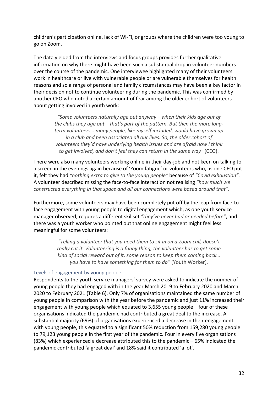children's participation online, lack of Wi-Fi, or groups where the children were too young to go on Zoom.

The data yielded from the interviews and focus groups provides further qualitative information on why there might have been such a substantial drop in volunteer numbers over the course of the pandemic. One interviewee highlighted many of their volunteers work in healthcare or live with vulnerable people or are vulnerable themselves for health reasons and so a range of personal and family circumstances may have been a key factor in their decision not to continue volunteering during the pandemic. This was confirmed by another CEO who noted a certain amount of fear among the older cohort of volunteers about getting involved in youth work:

> *"Some volunteers naturally age out anyway – when their kids age out of the clubs they age out – that's part of the pattern. But then the more longterm volunteers… many people, like myself included, would have grown up in a club and been associated all our lives. So, the older cohort of volunteers they'd have underlying health issues and are afraid now I think to get involved, and don't feel they can return in the same way"* (CEO).

There were also many volunteers working online in their day-job and not keen on talking to a screen in the evenings again because of 'Zoom fatigue' or volunteers who, as one CEO put it, felt they had *"nothing extra to give to the young people"* because of *"Covid exhaustion"*. A volunteer described missing the face-to-face interaction not realising *"how much we constructed everything in that space and all our connections were based around that"*.

Furthermore, some volunteers may have been completely put off by the leap from face-toface engagement with young people to digital engagement which, as one youth service manager observed, requires a different skillset *"they've never had or needed before"*, and there was a youth worker who pointed out that online engagement might feel less meaningful for some volunteers:

> *"Telling a volunteer that you need them to sit in on a Zoom call, doesn't really cut it. Volunteering is a funny thing, the volunteer has to get some kind of social reward out of it, some reason to keep them coming back… you have to have something for them to do"* (Youth Worker).

### Levels of engagement by young people

Respondents to the youth service managers' survey were asked to indicate the number of young people they had engaged with in the year March 2019 to February 2020 and March 2020 to February 2021 (Table 6). Only 7% of organisations maintained the same number of young people in comparison with the year before the pandemic and just 11% increased their engagement with young people which equated to 3,655 young people – four of these organisations indicated the pandemic had contributed a great deal to the increase. A substantial majority (69%) of organisations experienced a decrease in their engagement with young people, this equated to a significant 50% reduction from 159,280 young people to 79,123 young people in the first year of the pandemic. Four in every five organisations (83%) which experienced a decrease attributed this to the pandemic – 65% indicated the pandemic contributed 'a great deal' and 18% said it contributed 'a lot'.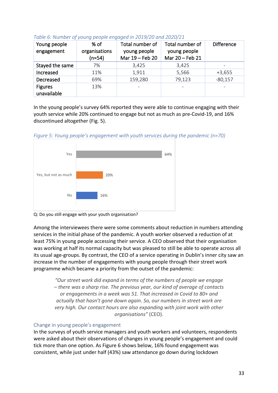| Young people<br>engagement    | % of<br>organisations<br>$(n=54)$ | Total number of<br>young people<br>Mar 19 - Feb 20 | Total number of<br>young people<br>Mar 20 - Feb 21 | <b>Difference</b> |
|-------------------------------|-----------------------------------|----------------------------------------------------|----------------------------------------------------|-------------------|
| Stayed the same               | 7%                                | 3,425                                              | 3,425                                              |                   |
| Increased                     | 11%                               | 1,911                                              | 5,566                                              | $+3,655$          |
| Decreased                     | 69%                               | 159,280                                            | 79,123                                             | $-80,157$         |
| <b>Figures</b><br>unavailable | 13%                               |                                                    |                                                    |                   |

### *Table 6: Number of young people engaged in 2019/20 and 2020/21*

In the young people's survey 64% reported they were able to continue engaging with their youth service while 20% continued to engage but not as much as pre-Covid-19, and 16% discontinued altogether (Fig. 5).

*Figure 5: Young people's engagement with youth services during the pandemic (n=70)*



Q: Do you still engage with your youth organisation?

Among the interviewees there were some comments about reduction in numbers attending services in the initial phase of the pandemic. A youth worker observed a reduction of at least 75% in young people accessing their service. A CEO observed that their organisation was working at half its normal capacity but was pleased to still be able to operate across all its usual age-groups. By contrast, the CEO of a service operating in Dublin's inner city saw an increase in the number of engagements with young people through their street work programme which became a priority from the outset of the pandemic:

*"Our street work did expand in terms of the numbers of people we engage – there was a sharp rise. The previous year, our kind of average of contacts or engagements in a week was 51. That increased in Covid to 80+ and actually that hasn't gone down again. So, our numbers in street work are very high. Our contact hours are also expanding with joint work with other organisations"* (CEO).

# Change in young people's engagement

In the surveys of youth service managers and youth workers and volunteers, respondents were asked about their observations of changes in young people's engagement and could tick more than one option. As Figure 6 shows below, 16% found engagement was consistent, while just under half (43%) saw attendance go down during lockdown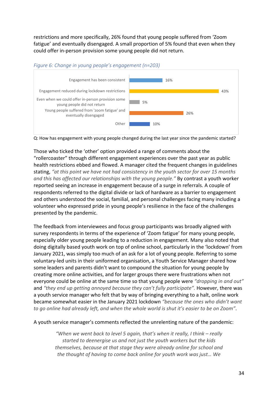restrictions and more specifically, 26% found that young people suffered from 'Zoom fatigue' and eventually disengaged. A small proportion of 5% found that even when they could offer in-person provision some young people did not return.



### *Figure 6: Change in young people's engagement (n=203)*

Q: How has engagement with young people changed during the last year since the pandemic started?

Those who ticked the 'other' option provided a range of comments about the "rollercoaster" through different engagement experiences over the past year as public health restrictions ebbed and flowed. A manager cited the frequent changes in guidelines stating, *"at this point we have not had consistency in the youth sector for over 15 months and this has affected our relationships with the young people."* By contrast a youth worker reported seeing an increase in engagement because of a surge in referrals. A couple of respondents referred to the digital divide or lack of hardware as a barrier to engagement and others understood the social, familial, and personal challenges facing many including a volunteer who expressed pride in young people's resilience in the face of the challenges presented by the pandemic.

The feedback from interviewees and focus group participants was broadly aligned with survey respondents in terms of the experience of 'Zoom fatigue' for many young people, especially older young people leading to a reduction in engagement. Many also noted that doing digitally based youth work on top of online school, particularly in the 'lockdown' from January 2021, was simply too much of an ask for a lot of young people. Referring to some voluntary-led units in their uniformed organisation, a Youth Service Manager shared how some leaders and parents didn't want to compound the situation for young people by creating more online activities, and for larger groups there were frustrations when not everyone could be online at the same time so that young people were *"dropping in and out"* and *"they end up getting annoyed because they can't fully participate".* However, there was a youth service manager who felt that by way of bringing everything to a halt, online work became somewhat easier in the January 2021 lockdown *"because the ones who didn't want to go online had already left, and when the whole world is shut it's easier to be on Zoom"*.

A youth service manager's comments reflected the unrelenting nature of the pandemic:

*"When we went back to level 5 again, that's when it really, I think – really started to deenergise us and not just the youth workers but the kids themselves, because at that stage they were already online for school and the thought of having to come back online for youth work was just… We*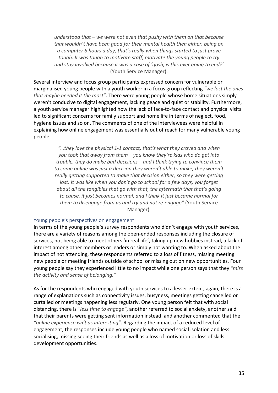*understood that – we were not even that pushy with them on that because that wouldn't have been good for their mental health then either, being on a computer 8 hours a day, that's really when things started to just prove tough. It was tough to motivate staff, motivate the young people to try and stay involved because it was a case of 'gosh, is this ever going to end?'* (Youth Service Manager).

Several interview and focus group participants expressed concern for vulnerable or marginalised young people with a youth worker in a focus group reflecting *"we lost the ones that maybe needed it the most"*. There were young people whose home situations simply weren't conducive to digital engagement, lacking peace and quiet or stability. Furthermore, a youth service manager highlighted how the lack of face-to-face contact and physical visits led to significant concerns for family support and home life in terms of neglect, food, hygiene issues and so on. The comments of one of the interviewees were helpful in explaining how online engagement was essentially out of reach for many vulnerable young people:

> *"…they love the physical 1-1 contact, that's what they craved and when you took that away from them – you know they're kids who do get into trouble, they do make bad decisions – and I think trying to convince them to come online was just a decision they weren't able to make, they weren't really getting supported to make that decision either, so they were getting lost. It was like when you don't go to school for a few days, you forget about all the tangibles that go with that, the aftermath that that's going to cause, it just becomes normal, and I think it just became normal for them to disengage from us and try and not re-engage"* (Youth Service Manager).

#### Young people's perspectives on engagement

In terms of the young people's survey respondents who didn't engage with youth services, there are a variety of reasons among the open-ended responses including the closure of services, not being able to meet others 'in real life', taking up new hobbies instead, a lack of interest among other members or leaders or simply not wanting to. When asked about the impact of not attending, these respondents referred to a loss of fitness, missing meeting new people or meeting friends outside of school or missing out on new opportunities. Four young people say they experienced little to no impact while one person says that they *"miss the activity and sense of belonging."*

As for the respondents who engaged with youth services to a lesser extent, again, there is a range of explanations such as connectivity issues, busyness, meetings getting cancelled or curtailed or meetings happening less regularly. One young person felt that with social distancing, there is *"less time to engage"*, another referred to social anxiety, another said that their parents were getting sent information instead, and another commented that the *"online experience isn't as interesting"*. Regarding the impact of a reduced level of engagement, the responses include young people who named social isolation and less socialising, missing seeing their friends as well as a loss of motivation or loss of skills development opportunities.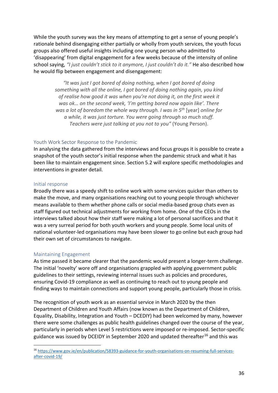While the youth survey was the key means of attempting to get a sense of young people's rationale behind disengaging either partially or wholly from youth services, the youth focus groups also offered useful insights including one young person who admitted to 'disappearing' from digital engagement for a few weeks because of the intensity of online school saying, *"I just couldn't stick to it anymore, I just couldn't do it."* He also described how he would flip between engagement and disengagement:

> *"It was just I got bored of doing nothing, when I got bored of doing something with all the online, I got bored of doing nothing again, you kind of realise how good it was when you're not doing it, on the first week it was ok… on the second week, 'I'm getting bored now again like'. There was a lot of boredom the whole way through. I was in 5th* [year] *online for a while, it was just torture. You were going through so much stuff. Teachers were just talking at you not to you"* (Young Person).

### Youth Work Sector Response to the Pandemic

In analysing the data gathered from the interviews and focus groups it is possible to create a snapshot of the youth sector's initial response when the pandemic struck and what it has been like to maintain engagement since. Section 5.2 will explore specific methodologies and interventions in greater detail.

### Initial response

Broadly there was a speedy shift to online work with some services quicker than others to make the move, and many organisations reaching out to young people through whichever means available to them whether phone calls or social media-based group chats even as staff figured out technical adjustments for working from home. One of the CEOs in the interviews talked about how their staff were making a lot of personal sacrifices and that it was a very surreal period for both youth workers and young people. Some local units of national volunteer-led organisations may have been slower to go online but each group had their own set of circumstances to navigate.

### Maintaining Engagement

As time passed it became clearer that the pandemic would present a longer-term challenge. The initial 'novelty' wore off and organisations grappled with applying government public guidelines to their settings, reviewing internal issues such as policies and procedures, ensuring Covid-19 compliance as well as continuing to reach out to young people and finding ways to maintain connections and support young people, particularly those in crisis.

The recognition of youth work as an essential service in March 2020 by the then Department of Children and Youth Affairs (now known as the Department of Children, Equality, Disability, Integration and Youth – DCEDIY) had been welcomed by many, however there were some challenges as public health guidelines changed over the course of the year, particularly in periods when Level 5 restrictions were imposed or re-imposed. Sector-specific guidance was issued by DCEIDY in September 2020 and updated thereafter<sup>[16](#page-35-0)</sup> and this was

<span id="page-35-0"></span><sup>16</sup> [https://www.gov.ie/en/publication/58393-guidance-for-youth-organisations-on-resuming-full-services](https://www.gov.ie/en/publication/58393-guidance-for-youth-organisations-on-resuming-full-services-after-covid-19/)[after-covid-19/](https://www.gov.ie/en/publication/58393-guidance-for-youth-organisations-on-resuming-full-services-after-covid-19/)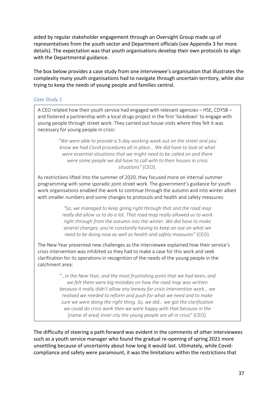aided by regular stakeholder engagement through an Oversight Group made up of representatives from the youth sector and Department officials (see Appendix 3 for more details). The expectation was that youth organisations develop their own protocols to align with the Departmental guidance.

The box below provides a case study from one interviewee's organisation that illustrates the complexity many youth organisations had to navigate through uncertain territory, while also trying to keep the needs of young people and families central.

# *Case Study 1*

A CEO related how their youth service had engaged with relevant agencies – HSE, CDYSB – and fostered a partnership with a local drugs project in the first 'lockdown' to engage with young people through street work. They carried out house visits where they felt it was necessary for young people in crisis:

> *"We were able to provide a 5-day working week out on the street and you know we had Covid procedures all in place… We did have to look at what were essential situations that we might need to be called on and there were some people we did have to call with to their houses in crisis situations"* (CEO).

As restrictions lifted into the summer of 2020, they focused more on internal summer programming with some sporadic joint street work. The government's guidance for youth work organisations enabled the work to continue through the autumn and into winter albeit with smaller numbers and some changes to protocols and health and safety measures:

> *"So, we managed to keep going right through that and the road map really did allow us to do a lot. That road map really allowed us to work right through from the autumn into the winter. We did have to make several changes; you're constantly having to keep an eye on what we need to be doing now as well as health and safety measures"* (CEO).

The New Year presented new challenges as the interviewee explained how their service's crisis intervention was inhibited so they had to make a case for this work and seek clarification for its operations in recognition of the needs of the young people in the catchment area:

> *"…in the New Year, and the most frustrating point that we had been, and we felt there were big mistakes on how the road map was written because it really didn't allow any leeway for crisis intervention work… we realised we needed to reform and push for what we need and to make sure we were doing the right thing. So, we did… we got the clarification we could do crisis work then we were happy with that because in the*  [name of area] *inner city the young people are all in crisis"* (CEO).

The difficulty of steering a path forward was evident in the comments of other interviewees such as a youth service manager who found the gradual re-opening of spring 2021 more unsettling because of uncertainty about how long it would last. Ultimately, while Covidcompliance and safety were paramount, it was the limitations within the restrictions that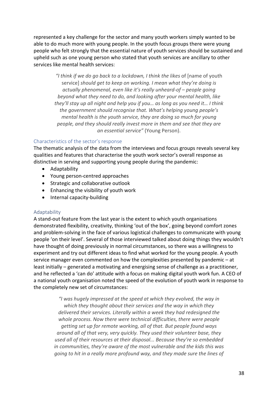represented a key challenge for the sector and many youth workers simply wanted to be able to do much more with young people. In the youth focus groups there were young people who felt strongly that the essential nature of youth services should be sustained and upheld such as one young person who stated that youth services are ancillary to other services like mental health services:

*"I think if we do go back to a lockdown, I think the likes* of [name of youth service] *should get to keep on working. I mean what they're doing is actually phenomenal, even like it's really unheard-of – people going beyond what they need to do, and looking after your mental health, like they'll stay up all night and help you if you… as long as you need it… I think the government should recognise that. What's helping young people's mental health is the youth service, they are doing so much for young people, and they should really invest more in them and see that they are an essential service"* (Young Person).

#### Characteristics of the sector's response

The thematic analysis of the data from the interviews and focus groups reveals several key qualities and features that characterise the youth work sector's overall response as distinctive in serving and supporting young people during the pandemic:

- Adaptability
- Young person-centred approaches
- Strategic and collaborative outlook
- Enhancing the visibility of youth work
- Internal capacity-building

#### Adaptability

A stand-out feature from the last year is the extent to which youth organisations demonstrated flexibility, creativity, thinking 'out of the box', going beyond comfort zones and problem-solving in the face of various logistical challenges to communicate with young people 'on their level'. Several of those interviewed talked about doing things they wouldn't have thought of doing previously in normal circumstances, so there was a willingness to experiment and try out different ideas to find what worked for the young people. A youth service manager even commented on how the complexities presented by pandemic – at least initially – generated a motivating and energising sense of challenge as a practitioner, and he reflected a 'can do' attitude with a focus on making digital youth work fun. A CEO of a national youth organisation noted the speed of the evolution of youth work in response to the completely new set of circumstances:

*"I was hugely impressed at the speed at which they evolved, the way in which they thought about their services and the way in which they delivered their services. Literally within a week they had redesigned the whole process. Now there were technical difficulties, there were people getting set up for remote working, all of that. But people found ways around all of that very, very quickly. They used their volunteer base, they used all of their resources at their disposal... Because they're so embedded in communities, they're aware of the most vulnerable and the kids this was going to hit in a really more profound way, and they made sure the lines of*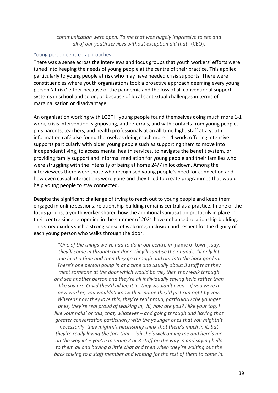### *communication were open. To me that was hugely impressive to see and all of our youth services without exception did that*" (CEO).

#### Young person-centred approaches

There was a sense across the interviews and focus groups that youth workers' efforts were tuned into keeping the needs of young people at the centre of their practice. This applied particularly to young people at risk who may have needed crisis supports. There were constituencies where youth organisations took a proactive approach deeming every young person 'at risk' either because of the pandemic and the loss of all conventional support systems in school and so on, or because of local contextual challenges in terms of marginalisation or disadvantage.

An organisation working with LGBTI+ young people found themselves doing much more 1-1 work, crisis intervention, signposting, and referrals, and with contacts from young people, plus parents, teachers, and health professionals at an all-time high. Staff at a youth information café also found themselves doing much more 1-1 work, offering intensive supports particularly with older young people such as supporting them to move into independent living, to access mental health services, to navigate the benefit system, or providing family support and informal mediation for young people and their families who were struggling with the intensity of being at home 24/7 in lockdown. Among the interviewees there were those who recognised young people's need for connection and how even casual interactions were gone and they tried to create programmes that would help young people to stay connected.

Despite the significant challenge of trying to reach out to young people and keep them engaged in online sessions, relationship-building remains central as a practice. In one of the focus groups, a youth worker shared how the additional sanitisation protocols in place in their centre since re-opening in the summer of 2021 have enhanced relationship-building. This story exudes such a strong sense of welcome, inclusion and respect for the dignity of each young person who walks through the door:

*"One of the things we've had to do in our centre in* [name of town], *say, they'll come in through our door, they'll sanitise their hands, I'll only let one in at a time and then they go through and out into the back garden. There's one person going in at a time and usually about 3 staff that they meet someone at the door which would be me, then they walk through and see another person and they're all individually saying hello rather than like say pre-Covid they'd all leg it in, they wouldn't even – if you were a new worker, you wouldn't know their name they'd just run right by you. Whereas now they love this, they're real proud, particularly the younger ones, they're real proud of walking in, 'hi, how are you? I like your top, I like your nails' or this, that, whatever – and going through and having that greater conversation particularly with the younger ones that you mightn't necessarily, they mightn't necessarily think that there's much in it, but they're really loving the fact that – 'oh she's welcoming me and here's me on the way in' – you're meeting 2 or 3 staff on the way in and saying hello to them all and having a little chat and then when they're waiting out the back talking to a staff member and waiting for the rest of them to come in.*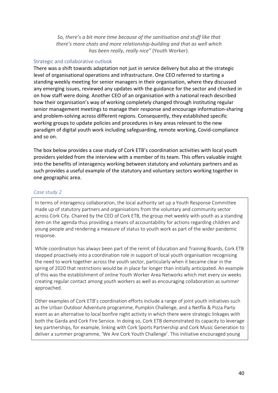*So, there's a bit more time because of the sanitisation and stuff like that there's more chats and more relationship-building and that as well which has been really, really nice"* (Youth Worker).

### Strategic and collaborative outlook

There was a shift towards adaptation not just in service delivery but also at the strategic level of organisational operations and infrastructure. One CEO referred to starting a standing weekly meeting for senior managers in their organisation, where they discussed any emerging issues, reviewed any updates with the guidance for the sector and checked in on how staff were doing. Another CEO of an organisation with a national reach described how their organisation's way of working completely changed through instituting regular senior management meetings to manage their response and encourage information-sharing and problem-solving across different regions. Consequently, they established specific working groups to update policies and procedures in key areas relevant to the new paradigm of digital youth work including safeguarding, remote working, Covid-compliance and so on.

The box below provides a case study of Cork ETB's coordination activities with local youth providers yielded from the interview with a member of its team. This offers valuable insight into the benefits of interagency working between statutory and voluntary partners and as such provides a useful example of the statutory and voluntary sectors working together in one geographic area.

### *Case study 2*

In terms of interagency collaboration, the local authority set up a Youth Response Committee made up of statutory partners and organisations from the voluntary and community sector across Cork City. Chaired by the CEO of Cork ETB, the group met weekly with youth as a standing item on the agenda thus providing a means of accountability for actions regarding children and young people and rendering a measure of status to youth work as part of the wider pandemic response.

While coordination has always been part of the remit of Education and Training Boards, Cork ETB stepped proactively into a coordination role in support of local youth organisation recognising the need to work together across the youth sector, particularly when it became clear in the spring of 2020 that restrictions would be in place far longer than initially anticipated. An example of this was the establishment of online Youth Worker Area Networks which met every six weeks creating regular contact among youth workers as well as encouraging collaboration as summer approached.

Other examples of Cork ETB's coordination efforts include a range of joint youth initiatives such as the Urban Outdoor Adventure programme, Pumpkin Challenge, and a Netflix & Pizza Party event as an alternative to local bonfire night activity in which there were strategic linkages with both the Garda and Cork Fire Service. In doing so, Cork ETB demonstrated its capacity to leverage key partnerships, for example, linking with Cork Sports Partnership and Cork Music Generation to deliver a summer programme, 'We Are Cork Youth Challenge'. This initiative encouraged young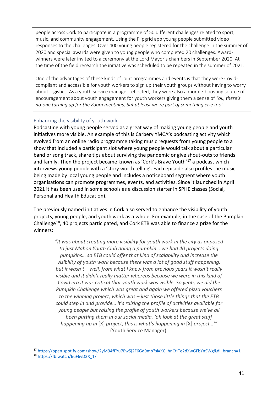people across Cork to participate in a programme of 50 different challenges related to sport, music, and community engagement. Using the Flipgrid app young people submitted video responses to the challenges. Over 400 young people registered for the challenge in the summer of 2020 and special awards were given to young people who completed 20 challenges. Awardwinners were later invited to a ceremony at the Lord Mayor's chambers in September 2020. At the time of the field research the initiative was scheduled to be repeated in the summer of 2021.

One of the advantages of these kinds of joint programmes and events is that they were Covidcompliant and accessible for youth workers to sign up their youth groups without having to worry about logistics. As a youth service manager reflected, they were also a morale-boosting source of encouragement about youth engagement for youth workers giving them a sense of *"ok, there's no-one turning up for the Zoom meetings, but at least we're part of something else too".*

# Enhancing the visibility of youth work

Podcasting with young people served as a great way of making young people and youth initiatives more visible. An example of this is Carbery YMCA's podcasting activity which evolved from an online radio programme taking music requests from young people to a show that included a participant slot where young people would talk about a particular band or song track, share tips about surviving the pandemic or give shout-outs to friends and family. Then the project became known as 'Cork's Brave Youth'[17](#page-40-0) a podcast which interviews young people with a 'story worth telling'. Each episode also profiles the music being made by local young people and includes a noticeboard segment where youth organisations can promote programmes, events, and activities. Since it launched in April 2021 it has been used in some schools as a discussion starter in SPHE classes (Social, Personal and Health Education).

The previously named initiatives in Cork also served to enhance the visibility of youth projects, young people, and youth work as a whole. For example, in the case of the Pumpkin Challenge[18](#page-40-1), 40 projects participated, and Cork ETB was able to finance a prize for the winners:

> *"It was about creating more visibility for youth work in the city as opposed to just Mahon Youth Club doing a pumpkin… we had 40 projects doing pumpkins… so ETB could offer that kind of scalability and increase the visibility of youth work because there was a lot of good stuff happening, but it wasn't – well, from what I knew from previous years it wasn't really visible and it didn't really matter whereas because we were in this kind of Covid era it was critical that youth work was visible. So yeah, we did the Pumpkin Challenge which was great and again we offered pizza vouchers to the winning project, which was – just those little things that the ETB could step in and provide… it's raising the profile of activities available for young people but raising the profile of youth workers because we've all been putting them in our social media, 'oh look at the great stuff happening up in* [X] *project, this is what's happening in* [X] *project…'"*  (Youth Service Manager).

<span id="page-40-0"></span><sup>&</sup>lt;sup>17</sup> [https://open.spotify.com/show/2yM94fFYu7Ew5j2F6Gd9mb?si=XC\\_hnCtITe2dXwGFbYnSWg&dl\\_branch=1](https://open.spotify.com/show/2yM94fFYu7Ew5j2F6Gd9mb?si=XC_hnCtITe2dXwGFbYnSWg&dl_branch=1)

<span id="page-40-1"></span><sup>18</sup> [https://fb.watch/6uF6yD3X\\_1/](https://fb.watch/6uF6yD3X_1/)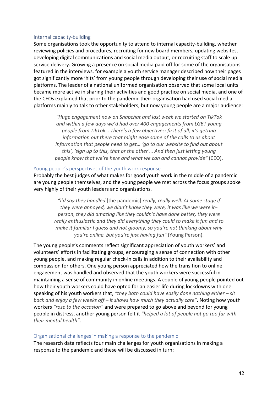#### Internal capacity-building

Some organisations took the opportunity to attend to internal capacity-building, whether reviewing policies and procedures, recruiting for new board members, updating websites, developing digital communications and social media output, or recruiting staff to scale up service delivery. Growing a presence on social media paid off for some of the organisations featured in the interviews, for example a youth service manager described how their pages got significantly more 'hits' from young people through developing their use of social media platforms. The leader of a national uniformed organisation observed that some local units became more active in sharing their activities and good practice on social media, and one of the CEOs explained that prior to the pandemic their organisation had used social media platforms mainly to talk to other stakeholders, but now young people are a major audience:

> *"Huge engagement now on Snapchat and last week we started on TikTok and within a few days we'd had over 400 engagements from LGBT young people from TikTok… There's a few objectives: first of all, it's getting information out there that might ease some of the calls to us about information that people need to get… 'go to our website to find out about this', 'sign up to this, that or the other'… And then just letting young people know that we're here and what we can and cannot provide"* (CEO).

#### Young people's perspectives of the youth work response

Probably the best judges of what makes for good youth work in the middle of a pandemic are young people themselves, and the young people we met across the focus groups spoke very highly of their youth leaders and organisations.

> *"I'd say they handled* [the pandemic] *really, really well. At some stage if they were annoyed, we didn't know they were, it was like we were inperson, they did amazing like they couldn't have done better, they were really enthusiastic and they did everything they could to make it fun and to make it familiar I guess and not gloomy, so you're not thinking about why you're online, but you're just having fun"* (Young Person).

The young people's comments reflect significant appreciation of youth workers' and volunteers' efforts in facilitating groups, encouraging a sense of connection with other young people, and making regular check-in calls in addition to their availability and compassion for others. One young person appreciated how the transition to online engagement was handled and observed that the youth workers were successful in maintaining a sense of community in online meetings. A couple of young people pointed out how their youth workers could have opted for an easier life during lockdowns with one speaking of his youth workers that, *"they both could have easily done nothing either – sit back and enjoy a few weeks off – it shows how much they actually care"*. Noting how youth workers *"rose to the occasion"* and were prepared to go above and beyond for young people in distress, another young person felt it *"helped a lot of people not go too far with their mental health"*.

#### Organisational challenges in making a response to the pandemic

The research data reflects four main challenges for youth organisations in making a response to the pandemic and these will be discussed in turn: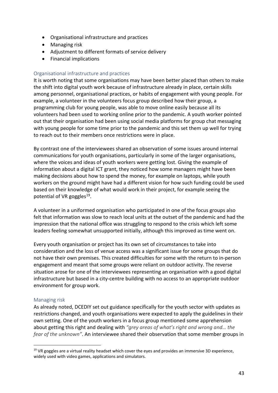- Organisational infrastructure and practices
- Managing risk
- Adjustment to different formats of service delivery
- Financial implications

# Organisational infrastructure and practices

It is worth noting that some organisations may have been better placed than others to make the shift into digital youth work because of infrastructure already in place, certain skills among personnel, organisational practices, or habits of engagement with young people. For example, a volunteer in the volunteers focus group described how their group, a programming club for young people, was able to move online easily because all its volunteers had been used to working online prior to the pandemic. A youth worker pointed out that their organisation had been using social media platforms for group chat messaging with young people for some time prior to the pandemic and this set them up well for trying to reach out to their members once restrictions were in place.

By contrast one of the interviewees shared an observation of some issues around internal communications for youth organisations, particularly in some of the larger organisations, where the voices and ideas of youth workers were getting lost. Giving the example of information about a digital ICT grant, they noticed how some managers might have been making decisions about how to spend the money, for example on laptops, while youth workers on the ground might have had a different vision for how such funding could be used based on their knowledge of what would work in their project, for example seeing the potential of VR goggles<sup>19</sup>.

A volunteer in a uniformed organisation who participated in one of the focus groups also felt that information was slow to reach local units at the outset of the pandemic and had the impression that the national office was struggling to respond to the crisis which left some leaders feeling somewhat unsupported initially, although this improved as time went on.

Every youth organisation or project has its own set of circumstances to take into consideration and the loss of venue access was a significant issue for some groups that do not have their own premises. This created difficulties for some with the return to in-person engagement and meant that some groups were reliant on outdoor activity. The reverse situation arose for one of the interviewees representing an organisation with a good digital infrastructure but based in a city-centre building with no access to an appropriate outdoor environment for group work.

# Managing risk

As already noted, DCEDIY set out guidance specifically for the youth sector with updates as restrictions changed, and youth organisations were expected to apply the guidelines in their own setting. One of the youth workers in a focus group mentioned some apprehension about getting this right and dealing with *"grey areas of what's right and wrong and… the fear of the unknown"*. An interviewee shared their observation that some member groups in

<span id="page-42-0"></span> $19$  VR goggles are a virtual reality headset which cover the eyes and provides an immersive 3D experience, widely used with video games, applications and simulators.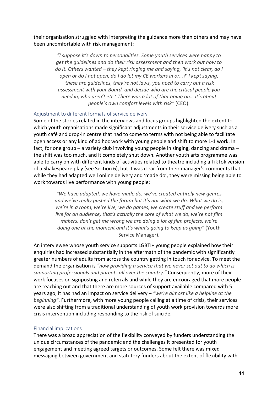their organisation struggled with interpreting the guidance more than others and may have been uncomfortable with risk management:

> *"I suppose it's down to personalities. Some youth services were happy to get the guidelines and do their risk assessment and then work out how to do it. Others wanted – they kept ringing me and saying, 'it's not clear, do I open or do I not open, do I do let my CE workers in or…?' I kept saying, 'these are guidelines, they're not laws, you need to carry out a risk assessment with your Board, and decide who are the critical people you need in, who aren't etc.' There was a lot of that going on… it's about people's own comfort levels with risk"* (CEO).

### Adjustment to different formats of service delivery

Some of the stories related in the interviews and focus groups highlighted the extent to which youth organisations made significant adjustments in their service delivery such as a youth café and drop-in centre that had to come to terms with not being able to facilitate open access or any kind of ad hoc work with young people and shift to more 1-1 work. In fact, for one group – a variety club involving young people in singing, dancing and drama – the shift was too much, and it completely shut down. Another youth arts programme was able to carry on with different kinds of activities related to theatre including a TikTok version of a Shakespeare play (see Section 6), but it was clear from their manager's comments that while they had adapted well online delivery and 'made do', they were missing being able to work towards live performance with young people:

> *"We have adapted, we have made do, we've created entirely new genres and we've really pushed the forum but it's not what we do. What we do is, we're in a room, we're live, we do games, we create stuff and we perform live for an audience, that's actually the core of what we do, we're not film makers, don't get me wrong we are doing a lot of film projects, we're doing one at the moment and it's what's going to keep us going"* (Youth Service Manager).

An interviewee whose youth service supports LGBTI+ young people explained how their enquiries had increased substantially in the aftermath of the pandemic with significantly greater numbers of adults from across the country getting in touch for advice. To meet the demand the organisation is *"now providing a service that we never set out to do which is supporting professionals and parents all over the country."* Consequently, more of their work focuses on signposting and referrals and while they are encouraged that more people are reaching out and that there are more sources of support available compared with 5 years ago, it has had an impact on service delivery – *"we're almost like a helpline at the beginning"*. Furthermore, with more young people calling at a time of crisis, their services were also shifting from a traditional understanding of youth work provision towards more crisis intervention including responding to the risk of suicide.

# Financial implications

There was a broad appreciation of the flexibility conveyed by funders understanding the unique circumstances of the pandemic and the challenges it presented for youth engagement and meeting agreed targets or outcomes. Some felt there was mixed messaging between government and statutory funders about the extent of flexibility with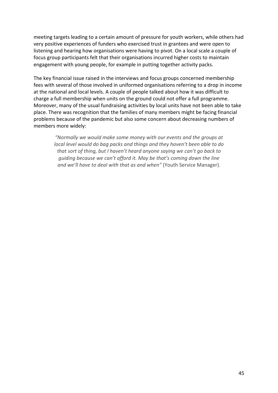meeting targets leading to a certain amount of pressure for youth workers, while others had very positive experiences of funders who exercised trust in grantees and were open to listening and hearing how organisations were having to pivot. On a local scale a couple of focus group participants felt that their organisations incurred higher costs to maintain engagement with young people, for example in putting together activity packs.

The key financial issue raised in the interviews and focus groups concerned membership fees with several of those involved in uniformed organisations referring to a drop in income at the national and local levels. A couple of people talked about how it was difficult to charge a full membership when units on the ground could not offer a full programme. Moreover, many of the usual fundraising activities by local units have not been able to take place. There was recognition that the families of many members might be facing financial problems because of the pandemic but also some concern about decreasing numbers of members more widely:

*"Normally we would make some money with our events and the groups at local level would do bag packs and things and they haven't been able to do that sort of thing, but I haven't heard anyone saying we can't go back to guiding because we can't afford it. May be that's coming down the line and we'll have to deal with that as and when"* (Youth Service Manager).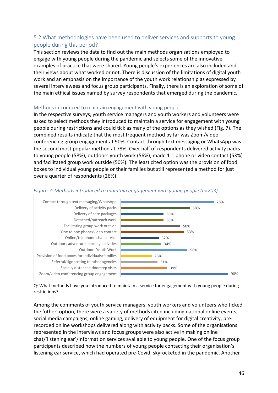# 5.2 What methodologies have been used to deliver services and supports to young people during this period?

This section reviews the data to find out the main methods organisations employed to engage with young people during the pandemic and selects some of the innovative examples of practice that were shared. Young people's experiences are also included and their views about what worked or not. There is discussion of the limitations of digital youth work and an emphasis on the importance of the youth work relationship as expressed by several interviewees and focus group participants. Finally, there is an exploration of some of the main ethical issues named by survey respondents that emerged during the pandemic.

#### Methods introduced to maintain engagement with young people

In the respective surveys, youth service managers and youth workers and volunteers were asked to select methods they introduced to maintain a service for engagement with young people during restrictions and could tick as many of the options as they wished (Fig. 7). The combined results indicate that the most frequent method by far was Zoom/video conferencing group engagement at 90%. Contact through text messaging or WhatsApp was the second most popular method at 78%. Over half of respondents delivered activity packs to young people (58%), outdoors youth work (56%), made 1-1 phone or video contact (53%) and facilitated group work outside (50%). The least cited option was the provision of food boxes to individual young people or their families but still represented a method for just over a quarter of respondents (26%).



#### *Figure 7: Methods introduced to maintain engagement with young people (n=203)*

Q: What methods have you introduced to maintain a service for engagement with young people during restrictions?

Among the comments of youth service managers, youth workers and volunteers who ticked the 'other' option, there were a variety of methods cited including national online events, social media campaigns, online gaming, delivery of equipment for digital creativity, prerecorded online workshops delivered along with activity packs. Some of the organisations represented in the interviews and focus groups were also active in making online chat/'listening ear'/information services available to young people. One of the focus group participants described how the numbers of young people contacting their organisation's listening ear service, which had operated pre-Covid, skyrocketed in the pandemic. Another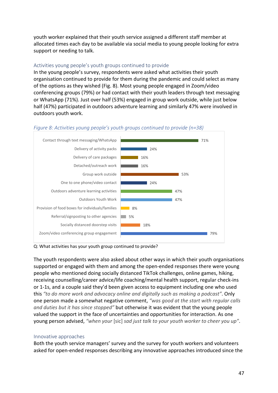youth worker explained that their youth service assigned a different staff member at allocated times each day to be available via social media to young people looking for extra support or needing to talk.

#### Activities young people's youth groups continued to provide

In the young people's survey, respondents were asked what activities their youth organisation continued to provide for them during the pandemic and could select as many of the options as they wished (Fig. 8). Most young people engaged in Zoom/video conferencing groups (79%) or had contact with their youth leaders through text messaging or WhatsApp (71%). Just over half (53%) engaged in group work outside, while just below half (47%) participated in outdoors adventure learning and similarly 47% were involved in outdoors youth work.



### *Figure 8: Activities young people's youth groups continued to provide (n=38)*

Q: What activities has your youth group continued to provide?

The youth respondents were also asked about other ways in which their youth organisations supported or engaged with them and among the open-ended responses there were young people who mentioned doing socially distanced TikTok challenges, online games, hiking, receiving counselling/career advice/life coaching/mental health support, regular check-ins or 1-1s, and a couple said they'd been given access to equipment including one who used this *"to do more work and advocacy online and digitally such as making a podcast"*. Only one person made a somewhat negative comment, *"was good at the start with regular calls and duties but it has since stopped"* but otherwise it was evident that the young people valued the support in the face of uncertainties and opportunities for interaction. As one young person advised, *"when your* [sic] *sad just talk to your youth worker to cheer you up"*.

# Innovative approaches

Both the youth service managers' survey and the survey for youth workers and volunteers asked for open-ended responses describing any innovative approaches introduced since the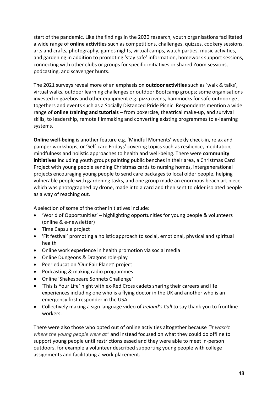start of the pandemic. Like the findings in the 2020 research, youth organisations facilitated a wide range of **online activities** such as competitions, challenges, quizzes, cookery sessions, arts and crafts, photography, games nights, virtual camps, watch parties, music activities, and gardening in addition to promoting 'stay safe' information, homework support sessions, connecting with other clubs or groups for specific initiatives or shared Zoom sessions, podcasting, and scavenger hunts.

The 2021 surveys reveal more of an emphasis on **outdoor activities** such as 'walk & talks', virtual walks, outdoor learning challenges or outdoor Bootcamp groups; some organisations invested in gazebos and other equipment e.g. pizza ovens, hammocks for safe outdoor gettogethers and events such as a Socially Distanced Pride Picnic. Respondents mention a wide range of **online training and tutorials** – from boxercise, theatrical make-up, and survival skills, to leadership, remote filmmaking and converting existing programmes to e-learning systems.

**Online well-being** is another feature e.g. 'Mindful Moments' weekly check-in, relax and pamper workshops, or 'Self-care Fridays' covering topics such as resilience, meditation, mindfulness and holistic approaches to health and well-being. There were **community initiatives** including youth groups painting public benches in their area, a Christmas Card Project with young people sending Christmas cards to nursing homes, intergenerational projects encouraging young people to send care packages to local older people, helping vulnerable people with gardening tasks, and one group made an enormous beach art piece which was photographed by drone, made into a card and then sent to older isolated people as a way of reaching out.

A selection of some of the other initiatives include:

- 'World of Opportunities' highlighting opportunities for young people & volunteers (online & e-newsletter)
- Time Capsule project
- 'Fit festival' promoting a holistic approach to social, emotional, physical and spiritual health
- Online work experience in health promotion via social media
- Online Dungeons & Dragons role-play
- Peer education 'Our Fair Planet' project
- Podcasting & making radio programmes
- Online 'Shakespeare Sonnets Challenge'
- 'This Is Your Life' night with ex-Red Cross cadets sharing their careers and life experiences including one who is a flying doctor in the UK and another who is an emergency first responder in the USA
- Collectively making a sign language video of *Ireland's Call* to say thank you to frontline workers.

There were also those who opted out of online activities altogether because *"it wasn't where the young people were at"* and instead focused on what they could do offline to support young people until restrictions eased and they were able to meet in-person outdoors, for example a volunteer described supporting young people with college assignments and facilitating a work placement.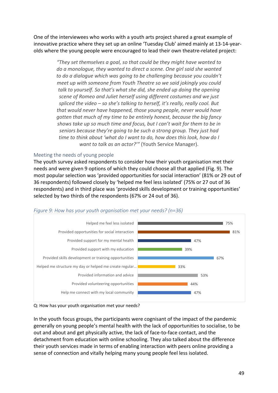One of the interviewees who works with a youth arts project shared a great example of innovative practice where they set up an online 'Tuesday Club' aimed mainly at 13-14-yearolds where the young people were encouraged to lead their own theatre-related project:

> *"They set themselves a goal, so that could be they might have wanted to do a monologue, they wanted to direct a scene. One girl said she wanted to do a dialogue which was going to be challenging because you couldn't meet up with someone from Youth Theatre so we said jokingly you could talk to yourself. So that's what she did, she ended up doing the opening scene of Romeo and Juliet herself using different costumes and we just spliced the video – so she's talking to herself, it's really, really cool. But that would never have happened, those young people, never would have gotten that much of my time to be entirely honest, because the big fancy shows take up so much time and focus, but I can't wait for them to be in seniors because they're going to be such a strong group. They just had time to think about 'what do I want to do, how does this look, how do I want to talk as an actor?'"* (Youth Service Manager).

# Meeting the needs of young people

The youth survey asked respondents to consider how their youth organisation met their needs and were given 9 options of which they could choose all that applied (Fig. 9). The most popular selection was 'provided opportunities for social interaction' (81% or 29 out of 36 respondents) followed closely by 'helped me feel less isolated' (75% or 27 out of 36 respondents) and in third place was 'provided skills development or training opportunities' selected by two thirds of the respondents (67% or 24 out of 36).



# *Figure 9: How has your youth organisation met your needs? (n=36)*

In the youth focus groups, the participants were cognisant of the impact of the pandemic generally on young people's mental health with the lack of opportunities to socialise, to be out and about and get physically active, the lack of face-to-face contact, and the detachment from education with online schooling. They also talked about the difference their youth services made in terms of enabling interaction with peers online providing a sense of connection and vitally helping many young people feel less isolated.

Q: How has your youth organisation met your needs?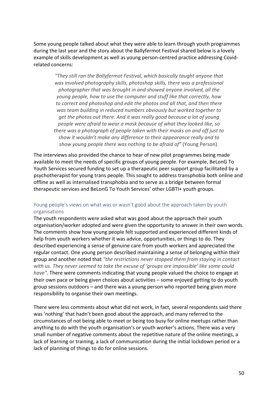Some young people talked about what they were able to learn through youth programmes during the last year and the story about the Ballyfermot Festival shared below is a lovely example of skills development as well as young person-centred practice addressing Covidrelated concerns:

*"They still ran the Ballyfermot Festival, which basically taught anyone that was involved photography skills, photoshop skills, there was a professional photographer that was brought in and showed anyone involved, all the young people, how to use the computer and stuff like that correctly, how to correct and photoshop and edit the photos and all that, and then there was team building in reduced numbers obviously but worked together to get the photos out there. And it was really good because a lot of young people were afraid to wear a mask because of what they looked like, so there was a photograph of people taken with their masks on and off just to show it wouldn't make any difference to their appearance really and to show young people there was nothing to be afraid of"* (Young Person).

The interviews also provided the chance to hear of new pilot programmes being made available to meet the needs of specific groups of young people. For example, BeLonG To Youth Services secured funding to set up a therapeutic peer support group facilitated by a psychotherapist for young trans people. This sought to address transphobia both online and offline as well as internalised transphobia and to serve as a bridge between formal therapeutic services and BeLonG To Youth Services' other LGBTI+ youth groups.

# Young people's views on what was or wasn't good about the approach taken by youth organisations

The youth respondents were asked what was good about the approach their youth organisation/worker adopted and were given the opportunity to answer in their own words. The comments show how young people felt supported and experienced different kinds of help from youth workers whether it was advice, opportunities, or things to do. They described experiencing a sense of genuine care from youth workers and appreciated the regular contact. One young person described maintaining a sense of belonging within their group and another noted that *"the restrictions never stopped them from staying in contact with us. They never seemed to take the excuse of 'groups are impossible' like some could have"*. There were comments indicating that young people valued the choice to engage at their own pace or being given choices about activities – some enjoyed getting to do youth group sessions outdoors – and there was a young person who reported being given more responsibility to organise their own meetings.

There were less comments about what did not work, in fact, several respondents said there was 'nothing' that hadn't been good about the approach, and many referred to the circumstances of not being able to meet or being too busy for online meetups rather than anything to do with the youth organisation's or youth worker's actions. There was a very small number of negative comments about the repetitive nature of the online meetings, a lack of learning or training, a lack of communication during the initial lockdown period or a lack of planning of things to do for online sessions.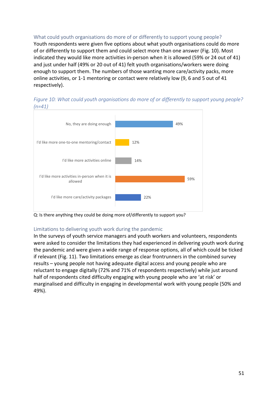What could youth organisations do more of or differently to support young people? Youth respondents were given five options about what youth organisations could do more of or differently to support them and could select more than one answer (Fig. 10). Most indicated they would like more activities in-person when it is allowed (59% or 24 out of 41) and just under half (49% or 20 out of 41) felt youth organisations/workers were doing enough to support them. The numbers of those wanting more care/activity packs, more online activities, or 1-1 mentoring or contact were relatively low (9, 6 and 5 out of 41 respectively).



*Figure 10: What could youth organisations do more of or differently to support young people? (n=41)*

Q: Is there anything they could be doing more of/differently to support you?

# Limitations to delivering youth work during the pandemic

In the surveys of youth service managers and youth workers and volunteers, respondents were asked to consider the limitations they had experienced in delivering youth work during the pandemic and were given a wide range of response options, all of which could be ticked if relevant (Fig. 11). Two limitations emerge as clear frontrunners in the combined survey results – young people not having adequate digital access and young people who are reluctant to engage digitally (72% and 71% of respondents respectively) while just around half of respondents cited difficulty engaging with young people who are 'at risk' or marginalised and difficulty in engaging in developmental work with young people (50% and 49%).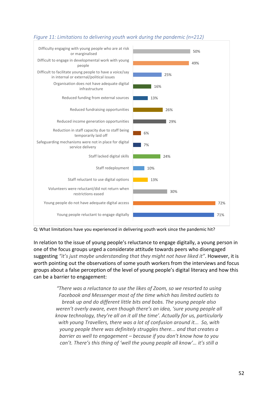

#### *Figure 11: Limitations to delivering youth work during the pandemic (n=212)*

Q: What limitations have you experienced in delivering youth work since the pandemic hit?

In relation to the issue of young people's reluctance to engage digitally, a young person in one of the focus groups urged a considerate attitude towards peers who disengaged suggesting *"it's just maybe understanding that they might not have liked it"*. However, it is worth pointing out the observations of some youth workers from the interviews and focus groups about a false perception of the level of young people's digital literacy and how this can be a barrier to engagement:

> *"There was a reluctance to use the likes of Zoom, so we resorted to using Facebook and Messenger most of the time which has limited outlets to break up and do different little bits and bobs. The young people also weren't overly aware, even though there's an idea, 'sure young people all know technology, they're all on it all the time'. Actually for us, particularly with young Travellers, there was a lot of confusion around it... So, with young people there was definitely struggles there... and that creates a barrier as well to engagement – because if you don't know how to you can't. There's this thing of 'well the young people all know'… it's still a*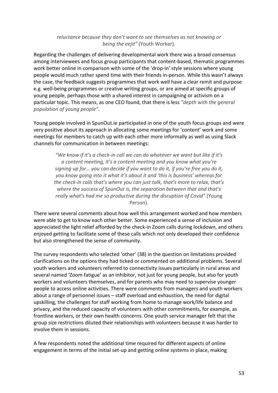# *reluctance because they don't want to see themselves as not knowing or being the eejit"* (Youth Worker).

Regarding the challenges of delivering developmental work there was a broad consensus among interviewees and focus group participants that content-based, thematic programmes work better online in comparison with some of the 'drop-in' style sessions where young people would much rather spend time with their friends in-person. While this wasn't always the case, the feedback suggests programmes that work well have a clear remit and purpose e.g. well-being programmes or creative writing groups, or are aimed at specific groups of young people, perhaps those with a shared interest in campaigning or activism on a particular topic. This means, as one CEO found, that there is less *"depth with the general population of young people"*.

Young people involved in SpunOut.ie participated in one of the youth focus groups and were very positive about its approach in allocating some meetings for 'content' work and some meetings for members to catch up with each other more informally as well as using Slack channels for communication in between meetings:

*"We know if it's a check-in call we can do whatever we want but like if it's a content meeting, it's a content meeting and you know what you're signing up for… you can decide if you want to do it, if you're free you do it, you know going into it what it's about it and 'this is business' whereas for the check-in calls that's where you can just talk, that's more to relax, that's where the success of SpunOut is, the separation between that and that's really what's had me so productive during the disruption of Covid"* (Young Person).

There were several comments about how well this arrangement worked and how members were able to get to know each other better. Some experienced a sense of inclusion and appreciated the light relief afforded by the check-in Zoom calls during lockdown, and others enjoyed getting to facilitate some of these calls which not only developed their confidence but also strengthened the sense of community.

The survey respondents who selected 'other' (38) in the question on limitations provided clarifications on the options they had ticked or commented on additional problems. Several youth workers and volunteers referred to connectivity issues particularly in rural areas and several named 'Zoom fatigue' as an inhibitor, not just for young people, but also for youth workers and volunteers themselves, and for parents who may need to supervise younger people to access online activities. There were comments from managers and youth workers about a range of personnel issues – staff overload and exhaustion, the need for digital upskilling, the challenges for staff working from home to manage work/life balance and privacy, and the reduced capacity of volunteers with other commitments, for example, as frontline workers, or their own health concerns. One youth service manager felt that the group size restrictions diluted their relationships with volunteers because it was harder to involve them in sessions.

A few respondents noted the additional time required for different aspects of online engagement in terms of the initial set-up and getting online systems in place, making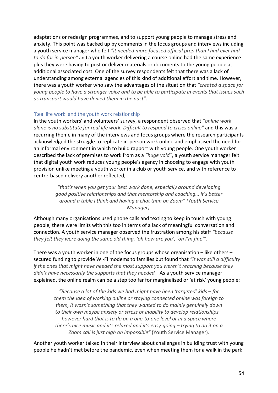adaptations or redesign programmes, and to support young people to manage stress and anxiety. This point was backed up by comments in the focus groups and interviews including a youth service manager who felt *"it needed more focused official prep than I had ever had to do for in-person"* and a youth worker delivering a course online had the same experience plus they were having to post or deliver materials or documents to the young people at additional associated cost. One of the survey respondents felt that there was a lack of understanding among external agencies of this kind of additional effort and time. However, there was a youth worker who saw the advantages of the situation that *"created a space for young people to have a stronger voice and to be able to participate in events that issues such as transport would have denied them in the past"*.

### 'Real life work' and the youth work relationship

In the youth workers' and volunteers' survey, a respondent observed that *"online work alone is no substitute for real life work. Difficult to respond to crises online"* and this was a recurring theme in many of the interviews and focus groups where the research participants acknowledged the struggle to replicate in-person work online and emphasised the need for an informal environment in which to build rapport with young people. One youth worker described the lack of premises to work from as a *"huge void"*, a youth service manager felt that digital youth work reduces young people's agency in choosing to engage with youth provision unlike meeting a youth worker in a club or youth service, and with reference to centre-based delivery another reflected,

> *"that's when you get your best work done, especially around developing good positive relationships and that mentorship and coaching… it's better around a table I think and having a chat than on Zoom" (Youth Service Manager).*

Although many organisations used phone calls and texting to keep in touch with young people, there were limits with this too in terms of a lack of meaningful conversation and connection. A youth service manager observed the frustration among his staff *"because they felt they were doing the same old thing, 'oh how are you', 'oh I'm fine'"*.

There was a youth worker in one of the focus groups whose organisation – like others – secured funding to provide Wi-Fi modems to families but found that *"it was still a difficulty if the ones that might have needed the most support you weren't reaching because they didn't have necessarily the supports that they needed."* As a youth service manager explained, the online realm can be a step too far for marginalised or 'at risk' young people:

*"Because a lot of the kids we had might have been 'targeted' kids – for them the idea of working online or staying connected online was foreign to them, it wasn't something that they wanted to do mainly genuinely down to their own maybe anxiety or stress or inability to develop relationships – however hard that is to do on a one-to-one level or in a space where there's nice music and it's relaxed and it's easy-going – trying to do it on a Zoom call is just nigh on impossible"* (Youth Service Manager).

Another youth worker talked in their interview about challenges in building trust with young people he hadn't met before the pandemic, even when meeting them for a walk in the park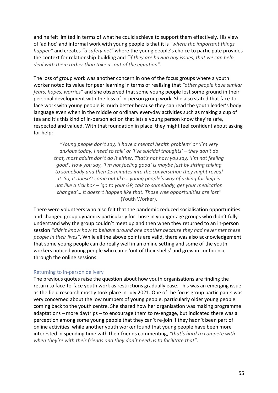and he felt limited in terms of what he could achieve to support them effectively. His view of 'ad hoc' and informal work with young people is that it is *"where the important things happen"* and creates *"a safety net"* where the young people's choice to participate provides the context for relationship-building and *"if they are having any issues, that we can help deal with them rather than take us out of the equation".*

The loss of group work was another concern in one of the focus groups where a youth worker noted its value for peer learning in terms of realising that *"other people have similar fears, hopes, worries"* and she observed that some young people lost some ground in their personal development with the loss of in-person group work. She also stated that face-toface work with young people is much better because they can read the youth leader's body language even when in the middle or ordinary everyday activities such as making a cup of tea and it's this kind of in-person action that lets a young person know they're safe, respected and valued. With that foundation in place, they might feel confident about asking for help:

*"Young people don't say, 'I have a mental health problem' or 'I'm very anxious today, I need to talk' or 'I've suicidal thoughts' – they don't do that, most adults don't do it either. That's not how you say, 'I'm not feeling good'. How you say, 'I'm not feeling good' is maybe just by sitting talking to somebody and then 15 minutes into the conversation they might reveal it. So, it doesn't come out like… young people's way of asking for help is not like a tick box – 'go to your GP, talk to somebody, get your medication changed'… It doesn't happen like that. Those wee opportunities are lost"*  (Youth Worker).

There were volunteers who also felt that the pandemic reduced socialisation opportunities and changed group dynamics particularly for those in younger age groups who didn't fully understand why the group couldn't meet up and then when they returned to an in-person session *"didn't know how to behave around one another because they had never met these people in their lives"*. While all the above points are valid, there was also acknowledgement that some young people can do really well in an online setting and some of the youth workers noticed young people who came 'out of their shells' and grew in confidence through the online sessions.

#### Returning to in-person delivery

The previous quotes raise the question about how youth organisations are finding the return to face-to-face youth work as restrictions gradually ease. This was an emerging issue as the field research mostly took place in July 2021. One of the focus group participants was very concerned about the low numbers of young people, particularly older young people coming back to the youth centre. She shared how her organisation was making programme adaptations – more daytrips – to encourage them to re-engage, but indicated there was a perception among some young people that they can't re-join if they hadn't been part of online activities, while another youth worker found that young people have been more interested in spending time with their friends commenting, *"that's hard to compete with when they're with their friends and they don't need us to facilitate that"*.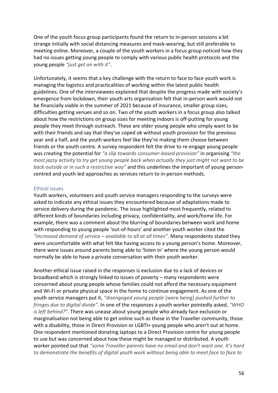One of the youth focus group participants found the return to in-person sessions a bit strange initially with social distancing measures and mask-wearing, but still preferable to meeting online. Moreover, a couple of the youth workers in a focus group noticed how they had no issues getting young people to comply with various public health protocols and the young people *"just get on with it"*.

Unfortunately, it seems that a key challenge with the return to face to face youth work is managing the logistics and practicalities of working within the latest public health guidelines. One of the interviewees explained that despite the progress made with society's emergence from lockdown, their youth arts organisation felt that in-person work would not be financially viable in the summer of 2021 because of insurance, smaller group sizes, difficulties getting venues and so on. Two of the youth workers in a focus group also talked about how the restrictions on group sizes for meeting indoors is off-putting for young people they meet through outreach. These are older young people who simply want to be with their friends and say that they've coped ok without youth provision for the previous year and a half, and the youth workers feel like they're making them choose between friends or the youth centre. A survey respondent felt the drive to re-engage young people was creating the potential for *"a slip towards consumer-based provision"* in organising *"the most jazzy activity to try get young people back when actually they just might not want to be back outside or in such a restrictive way"* and this underlines the important of young personcentred and youth-led approaches as services return to in-person methods.

#### Ethical issues

Youth workers, volunteers and youth service managers responding to the surveys were asked to indicate any ethical issues they encountered because of adaptations made to service delivery during the pandemic. The issue highlighted most frequently, related to different kinds of boundaries including privacy, confidentiality, and work/home life. For example, there was a comment about the blurring of boundaries between work and home with responding to young people 'out-of-hours' and another youth worker cited the *"increased demand of service – available to all at all times"*. Many respondents stated they were uncomfortable with what felt like having access to a young person's home. Moreover, there were issues around parents being able to 'listen in' where the young person would normally be able to have a private conversation with their youth worker.

Another ethical issue raised in the responses is exclusion due to a lack of devices or broadband which is strongly linked to issues of poverty – many respondents were concerned about young people whose families could not afford the necessary equipment and Wi-Fi or private physical space in the home to continue engagement. As one of the youth service managers put it, *"disengaged young people* [were being] *pushed further to fringes due to digital divide"*. In one of the responses a youth worker pointedly asked, *"WHO is left behind?"*. There was unease about young people who already face exclusion or marginalisation not being able to get online such as those in the Traveller community, those with a disability, those in Direct Provision or LGBTI+ young people who aren't out at home. One respondent mentioned donating laptops to a Direct Provision centre for young people to use but was concerned about how these might be managed or distributed. A youth worker pointed out that *"some Traveller parents have no email and don't want one. It's hard to demonstrate the benefits of digital youth work without being able to meet face to face to*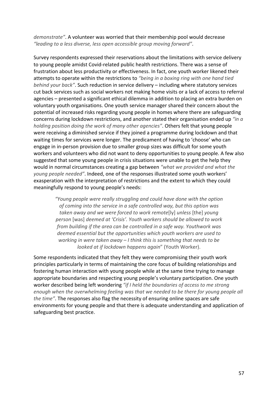*demonstrate"*. A volunteer was worried that their membership pool would decrease *"leading to a less diverse, less open accessible group moving forward"*.

Survey respondents expressed their reservations about the limitations with service delivery to young people amidst Covid-related public health restrictions. There was a sense of frustration about less productivity or effectiveness. In fact, one youth worker likened their attempts to operate within the restrictions to *"being in a boxing ring with one hand tied behind your back"*. Such reduction in service delivery – including where statutory services cut back services such as social workers not making home visits or a lack of access to referral agencies – presented a significant ethical dilemma in addition to placing an extra burden on voluntary youth organisations. One youth service manager shared their concern about the potential of increased risks regarding young people in homes where there are safeguarding concerns during lockdown restrictions, and another stated their organisation ended up *"in a holding position doing the work of many other agencies"*. Others felt that young people were receiving a diminished service if they joined a programme during lockdown and that waiting times for services were longer. The predicament of having to 'choose' who can engage in in-person provision due to smaller group sizes was difficult for some youth workers and volunteers who did not want to deny opportunities to young people. A few also suggested that some young people in crisis situations were unable to get the help they would in normal circumstances creating a gap between *"what we provided and what the young people needed"*. Indeed, one of the responses illustrated some youth workers' exasperation with the interpretation of restrictions and the extent to which they could meaningfully respond to young people's needs:

> *"Young people were really struggling and could have done with the option of coming into the service in a safe controlled way, but this option was taken away and we were forced to work remote*[ly] *unless* [the] *young person* [was] *deemed at 'Crisis'. Youth workers should be allowed to work from building if the area can be controlled in a safe way. Youthwork was deemed essential but the opportunities which youth workers are used to working in were taken away – I think this is something that needs to be looked at if lockdown happens again*" (Youth Worker).

Some respondents indicated that they felt they were compromising their youth work principles particularly in terms of maintaining the core focus of building relationships and fostering human interaction with young people while at the same time trying to manage appropriate boundaries and respecting young people's voluntary participation. One youth worker described being left wondering *"if I held the boundaries of access to me strong enough when the overwhelming feeling was that we needed to be there for young people all the time"*. The responses also flag the necessity of ensuring online spaces are safe environments for young people and that there is adequate understanding and application of safeguarding best practice.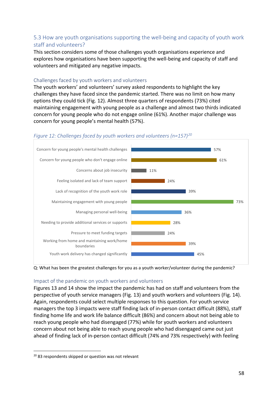# 5.3 How are youth organisations supporting the well-being and capacity of youth work staff and volunteers?

This section considers some of those challenges youth organisations experience and explores how organisations have been supporting the well-being and capacity of staff and volunteers and mitigated any negative impacts.

### Challenges faced by youth workers and volunteers

The youth workers' and volunteers' survey asked respondents to highlight the key challenges they have faced since the pandemic started. There was no limit on how many options they could tick (Fig. 12). Almost three quarters of respondents (73%) cited maintaining engagement with young people as a challenge and almost two thirds indicated concern for young people who do not engage online (61%). Another major challenge was concern for young people's mental health (57%).



### *Figure 12: Challenges faced by youth workers and volunteers (n=157)[20](#page-57-0)*

Q: What has been the greatest challenges for you as a youth worker/volunteer during the pandemic?

# Impact of the pandemic on youth workers and volunteers

Figures 13 and 14 show the impact the pandemic has had on staff and volunteers from the perspective of youth service managers (Fig. 13) and youth workers and volunteers (Fig. 14). Again, respondents could select multiple responses to this question. For youth service managers the top 3 impacts were staff finding lack of in-person contact difficult (88%), staff finding home life and work life balance difficult (86%) and concern about not being able to reach young people who had disengaged (77%) while for youth workers and volunteers concern about not being able to reach young people who had disengaged came out just ahead of finding lack of in-person contact difficult (74% and 73% respectively) with feeling

<span id="page-57-0"></span><sup>&</sup>lt;sup>20</sup> 83 respondents skipped or question was not relevant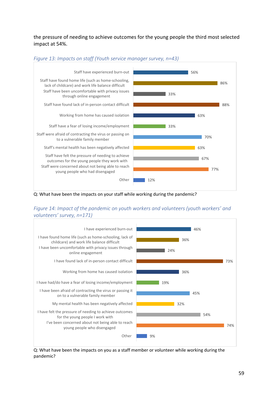the pressure of needing to achieve outcomes for the young people the third most selected impact at 54%.



*Figure 13: Impacts on staff (Youth service manager survey, n=43)*

Q: What have been the impacts on your staff while working during the pandemic?

# *Figure 14: Impact of the pandemic on youth workers and volunteers (youth workers' and volunteers' survey, n=171)*



Q: What have been the impacts on you as a staff member or volunteer while working during the pandemic?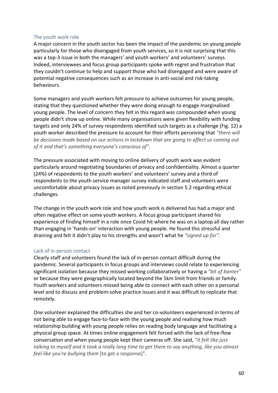#### The youth work role

A major concern in the youth sector has been the impact of the pandemic on young people particularly for those who disengaged from youth services, so it is not surprising that this was a top-3 issue in both the managers' and youth workers' and volunteers' surveys. Indeed, interviewees and focus group participants spoke with regret and frustration that they couldn't continue to help and support those who had disengaged and were aware of potential negative consequences such as an increase in anti-social and risk-taking behaviours.

Some managers and youth workers felt pressure to achieve outcomes for young people, stating that they questioned whether they were doing enough to engage marginalised young people. The level of concern they felt in this regard was compounded when young people didn't show up online. While many organisations were given flexibility with funding targets and only 24% of survey respondents identified such targets as a challenge (Fig. 12) a youth worker described the pressure to account for their efforts perceiving that *"there will be decisions made based on our actions in lockdown that are going to affect us coming out of it and that's something everyone's conscious of"*.

The pressure associated with moving to online delivery of youth work was evident particularly around negotiating boundaries of privacy and confidentiality. Almost a quarter (24%) of respondents to the youth workers' and volunteers' survey and a third of respondents to the youth service manager survey indicated staff and volunteers were uncomfortable about privacy issues as noted previously in section 5.2 regarding ethical challenges.

The change in the youth work role and how youth work is delivered has had a major and often negative effect on some youth workers. A focus group participant shared his experience of finding himself in a role once Covid hit where he was on a laptop all day rather than engaging in 'hands-on' interaction with young people. He found this stressful and draining and felt it didn't play to his strengths and wasn't what he *"signed up for"*.

# Lack of in-person contact

Clearly staff and volunteers found the lack of in-person contact difficult during the pandemic. Several participants in focus groups and interviews could relate to experiencing significant isolation because they missed working collaboratively or having a *"bit of banter"* or because they were geographically located beyond the 5km limit from friends or family. Youth workers and volunteers missed being able to connect with each other on a personal level and to discuss and problem-solve practice issues and it was difficult to replicate that remotely.

One volunteer explained the difficulties she and her co-volunteers experienced in terms of not being able to engage face-to-face with the young people and realising how much relationship building with young people relies on reading body language and facilitating a physical group space. At times online engagement felt forced with the lack of free-flow conversation and when young people kept their cameras off. She said, *"it felt like just talking to myself and it took a really long time to get them to say anything, like you almost feel like you're bullying them* [to get a response]"*.*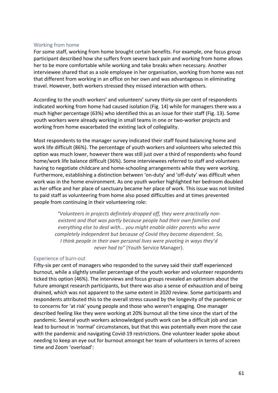### Working from home

For some staff, working from home brought certain benefits. For example, one focus group participant described how she suffers from severe back pain and working from home allows her to be more comfortable while working and take breaks when necessary. Another interviewee shared that as a sole employee in her organisation, working from home was not that different from working in an office on her own and was advantageous in eliminating travel. However, both workers stressed they missed interaction with others.

According to the youth workers' and volunteers' survey thirty-six per cent of respondents indicated working from home had caused isolation (Fig. 14) while for managers there was a much higher percentage (63%) who identified this as an issue for their staff (Fig. 13). Some youth workers were already working in small teams in one or two-worker projects and working from home exacerbated the existing lack of collegiality.

Most respondents to the manager survey indicated their staff found balancing home and work life difficult (86%). The percentage of youth workers and volunteers who selected this option was much lower, however there was still just over a third of respondents who found home/work life balance difficult (36%). Some interviewees referred to staff and volunteers having to negotiate childcare and home-schooling arrangements while they were working. Furthermore, establishing a distinction between 'on-duty' and 'off-duty' was difficult when work was in the home environment. As one youth worker highlighted her bedroom doubled as her office and her place of sanctuary became her place of work. This issue was not limited to paid staff as volunteering from home also posed difficulties and at times prevented people from continuing in their volunteering role:

> *"Volunteers in projects definitely dropped off, they were practically nonexistent and that was partly because people had their own families and everything else to deal with… you might enable older parents who were completely independent but because of Covid they became dependent. So, I think people in their own personal lives were pivoting in ways they'd never had to"* (Youth Service Manager).

#### Experience of burn-out

Fifty-six per cent of managers who responded to the survey said their staff experienced burnout, while a slightly smaller percentage of the youth worker and volunteer respondents ticked this option (46%). The interviews and focus groups revealed an optimism about the future amongst research participants, but there was also a sense of exhaustion and of being drained, which was not apparent to the same extent in 2020 review. Some participants and respondents attributed this to the overall stress caused by the longevity of the pandemic or to concerns for 'at risk' young people and those who weren't engaging. One manager described feeling like they were working at 20% burnout all the time since the start of the pandemic. Several youth workers acknowledged youth work can be a difficult job and can lead to burnout in 'normal' circumstances, but that this was potentially even more the case with the pandemic and navigating Covid-19 restrictions. One volunteer leader spoke about needing to keep an eye out for burnout amongst her team of volunteers in terms of screen time and Zoom 'overload':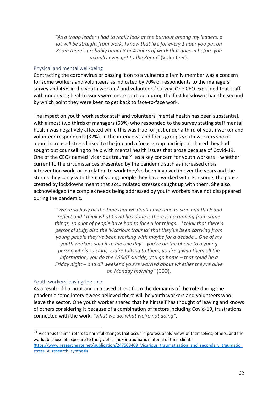*"As a troop leader I had to really look at the burnout among my leaders, a lot will be straight from work, I know that like for every 1 hour you put on Zoom there's probably about 3 or 4 hours of work that goes in before you actually even get to the Zoom"* (Volunteer).

#### Physical and mental well-being

Contracting the coronavirus or passing it on to a vulnerable family member was a concern for some workers and volunteers as indicated by 70% of respondents to the managers' survey and 45% in the youth workers' and volunteers' survey. One CEO explained that staff with underlying health issues were more cautious during the first lockdown than the second by which point they were keen to get back to face-to-face work.

The impact on youth work sector staff and volunteers' mental health has been substantial, with almost two thirds of managers (63%) who responded to the survey stating staff mental health was negatively affected while this was true for just under a third of youth worker and volunteer respondents (32%). In the interviews and focus groups youth workers spoke about increased stress linked to the job and a focus group participant shared they had sought out counselling to help with mental health issues that arose because of Covid-19. One of the CEOs named 'vicarious trauma'<sup>[21](#page-61-0)</sup> as a key concern for youth workers – whether current to the circumstances presented by the pandemic such as increased crisis intervention work, or in relation to work they've been involved in over the years and the stories they carry with them of young people they have worked with. For some, the pause created by lockdowns meant that accumulated stresses caught up with them. She also acknowledged the complex needs being addressed by youth workers have not disappeared during the pandemic.

> *"We're so busy all the time that we don't have time to stop and think and reflect and I think what Covid has done is there is no running from some things, so a lot of people have had to face a lot things... I think that there's personal stuff, also the 'vicarious trauma' that they've been carrying from young people they've been working with maybe for a decade… One of my youth workers said it to me one day – you're on the phone to a young person who's suicidal, you're talking to them, you're giving them all the information, you do the ASSIST suicide, you go home – that could be a Friday night – and all weekend you're worried about whether they're alive on Monday morning"* (CEO).

#### Youth workers leaving the role

As a result of burnout and increased stress from the demands of the role during the pandemic some interviewees believed there will be youth workers and volunteers who leave the sector. One youth worker shared that he himself has thought of leaving and knows of others considering it because of a combination of factors including Covid-19, frustrations connected with the work, *"what we do, what we're not doing"*.

<span id="page-61-0"></span><sup>&</sup>lt;sup>21</sup> Vicarious trauma refers to harmful changes that occur in professionals' views of themselves, others, and the world, because of exposure to the graphic and/or traumatic material of their clients.

https://www.researchgate.net/publication/247508409\_Vicarious\_traumatization\_and\_secondary\_traumatic stress A research synthesis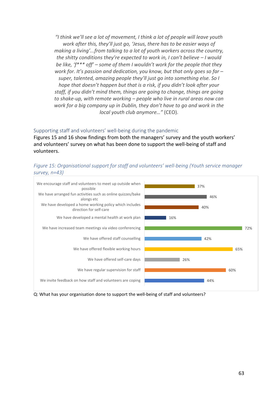*"I think we'll see a lot of movement, I think a lot of people will leave youth work after this, they'll just go, 'Jesus, there has to be easier ways of making a living'...from talking to a lot of youth workers across the country, the shitty conditions they're expected to work in, I can't believe – I would be like, 'f\*\*\* off' – some of them I wouldn't work for the people that they work for. It's passion and dedication, you know, but that only goes so far – super, talented, amazing people they'll just go into something else. So I hope that doesn't happen but that is a risk, if you didn't look after your staff, if you didn't mind them, things are going to change, things are going to shake-up, with remote working – people who live in rural areas now can work for a big company up in Dublin, they don't have to go and work in the local youth club anymore…"* (CEO).

#### Supporting staff and volunteers' well-being during the pandemic

Figures 15 and 16 show findings from both the managers' survey and the youth workers' and volunteers' survey on what has been done to support the well-being of staff and volunteers.





Q: What has your organisation done to support the well-being of staff and volunteers?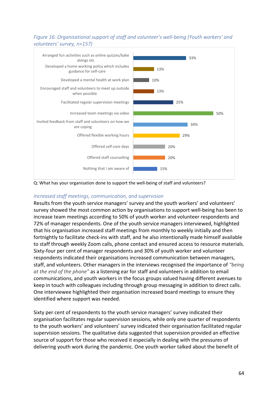*Figure 16: Organisational support of staff and volunteer's well-being (Youth workers' and volunteers' survey, n=157)*



Q: What has your organisation done to support the well-being of staff and volunteers?

### *Increased staff meetings, communication, and supervision*

Results from the youth service managers' survey and the youth workers' and volunteers' survey showed the most common action by organisations to support well-being has been to increase team meetings according to 50% of youth worker and volunteer respondents and 72% of manager respondents. One of the youth service managers interviewed, highlighted that his organisation increased staff meetings from monthly to weekly initially and then fortnightly to facilitate check-ins with staff, and he also intentionally made himself available to staff through weekly Zoom calls, phone contact and ensured access to resource materials. Sixty-four per cent of manager respondents and 30% of youth worker and volunteer respondents indicated their organisations increased communication between managers, staff, and volunteers. Other managers in the interviews recognised the importance of *"being at the end of the phone"* as a listening ear for staff and volunteers in addition to email communications, and youth workers in the focus groups valued having different avenues to keep in touch with colleagues including through group messaging in addition to direct calls. One interviewee highlighted their organisation increased board meetings to ensure they identified where support was needed.

Sixty per cent of respondents to the youth service managers' survey indicated their organisation facilitates regular supervision sessions, while only one quarter of respondents to the youth workers' and volunteers' survey indicated their organisation facilitated regular supervision sessions. The qualitative data suggested that supervision provided an effective source of support for those who received it especially in dealing with the pressures of delivering youth work during the pandemic. One youth worker talked about the benefit of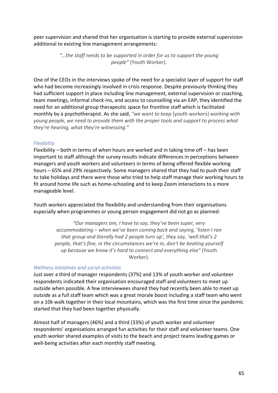peer supervision and shared that her organisation is starting to provide external supervision additional to existing line management arrangements:

> *"…the staff needs to be supported in order for us to support the young people"* (Youth Worker).

One of the CEOs in the interviews spoke of the need for a specialist layer of support for staff who had become increasingly involved in crisis response. Despite previously thinking they had sufficient support in place including line management, external supervision or coaching, team meetings, informal check-ins, and access to counselling via an EAP, they identified the need for an additional group therapeutic space for frontline staff which is facilitated monthly by a psychotherapist. As she said, *"we want to keep* [youth workers] *working with young people, we need to provide them with the proper tools and support to process what they're hearing, what they're witnessing."*

### *Flexibility*

Flexibility – both in terms of when hours are worked and in taking time off – has been important to staff although the survey results indicate differences in perceptions between managers and youth workers and volunteers in terms of being offered flexible working hours – 65% and 29% respectively. Some managers shared that they had to push their staff to take holidays and there were those who tried to help staff manage their working hours to fit around home life such as home-schooling and to keep Zoom interactions to a more manageable level.

Youth workers appreciated the flexibility and understanding from their organisations especially when programmes or young person engagement did not go as planned:

> *"Our managers are, I have to say, they've been super, very accommodating – when we've been coming back and saying, 'listen I ran that group and literally had 2 people turn up', they say, 'well that's 2 people, that's fine, in the circumstances we're in, don't be beating yourself up because we know it's hard to connect and everything else"* (Youth Worker).

#### *Wellness initiatives and social activities*

Just over a third of manager respondents (37%) and 13% of youth worker and volunteer respondents indicated their organisation encouraged staff and volunteers to meet up outside when possible. A few interviewees shared they had recently been able to meet up outside as a full staff team which was a great morale boost including a staff team who went on a 10k walk together in their local mountains, which was the first time since the pandemic started that they had been together physically.

Almost half of managers (46%) and a third (33%) of youth worker and volunteer respondents' organisations arranged fun activities for their staff and volunteer teams. One youth worker shared examples of visits to the beach and project teams leading games or well-being activities after each monthly staff meeting.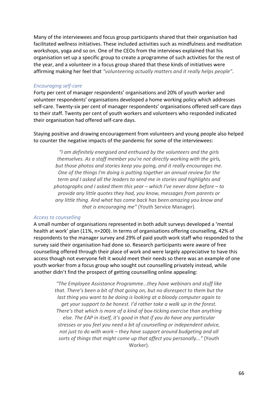Many of the interviewees and focus group participants shared that their organisation had facilitated wellness initiatives. These included activities such as mindfulness and meditation workshops, yoga and so on. One of the CEOs from the interviews explained that his organisation set up a specific group to create a programme of such activities for the rest of the year, and a volunteer in a focus group shared that these kinds of initiatives were affirming making her feel that *"volunteering actually matters and it really helps people"*.

#### *Encouraging self-care*

Forty per cent of manager respondents' organisations and 20% of youth worker and volunteer respondents' organisations developed a home working policy which addresses self-care. Twenty-six per cent of manager respondents' organisations offered self-care days to their staff. Twenty per cent of youth workers and volunteers who responded indicated their organisation had offered self-care days.

Staying positive and drawing encouragement from volunteers and young people also helped to counter the negative impacts of the pandemic for some of the interviewees:

*"I am definitely energised and enthused by the volunteers and the girls themselves. As a staff member you're not directly working with the girls, but those photos and stories keep you going, and it really encourages me. One of the things I'm doing is putting together an annual review for the term and I asked all the leaders to send me in stories and highlights and photographs and I asked them this year – which I've never done before – to provide any little quotes they had, you know, messages from parents or any little thing. And what has come back has been amazing you know and that is encouraging me"* (Youth Service Manager).

#### *Access to counselling*

A small number of organisations represented in both adult surveys developed a 'mental health at work' plan (11%, n=200). In terms of organisations offering counselling, 42% of respondents to the manager survey and 29% of paid youth work staff who responded to the survey said their organisation had done so. Research participants were aware of free counselling offered through their place of work and were largely appreciative to have this access though not everyone felt it would meet their needs so there was an example of one youth worker from a focus group who sought out counselling privately instead, while another didn't find the prospect of getting counselling online appealing:

> *"The Employee Assistance Programme…they have webinars and stuff like that. There's been a bit of that going on, but no disrespect to them but the last thing you want to be doing is looking at a bloody computer again to get your support to be honest. I'd rather take a walk up in the forest. There's that which is more of a kind of box-ticking exercise than anything else. The EAP in itself, it's good in that if you do have any particular stresses or you feel you need a bit of counselling or independent advice, not just to do with work – they have support around budgeting and all sorts of things that might come up that affect you personally..."* (Youth Worker).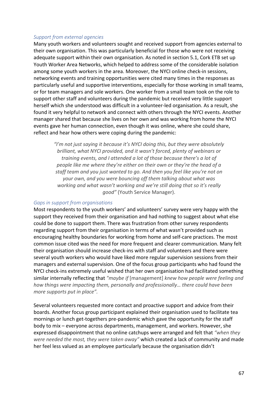#### *Support from external agencies*

Many youth workers and volunteers sought and received support from agencies external to their own organisation. This was particularly beneficial for those who were not receiving adequate support within their own organisation. As noted in section 5.1, Cork ETB set up Youth Worker Area Networks, which helped to address some of the considerable isolation among some youth workers in the area. Moreover, the NYCI online check-in sessions, networking events and training opportunities were cited many times in the responses as particularly useful and supportive interventions, especially for those working in small teams, or for team managers and sole workers. One worker from a small team took on the role to support other staff and volunteers during the pandemic but received very little support herself which she understood was difficult in a volunteer-led organisation. As a result, she found it very helpful to network and connect with others through the NYCI events. Another manager shared that because she lives on her own and was working from home the NYCI events gave her human connection, even though it was online, where she could share, reflect and hear how others were coping during the pandemic:

*"I'm not just saying it because it's NYCI doing this, but they were absolutely brilliant, what NYCI provided, and it wasn't forced, plenty of webinars or training events, and I attended a lot of those because there's a lot of people like me where they're either on their own or they're the head of a staff team and you just wanted to go. And then you feel like you're not on your own, and you were bouncing off them talking about what was working and what wasn't working and we're still doing that so it's really good"* (Youth Service Manager).

#### *Gaps in support from organisations*

Most respondents to the youth workers' and volunteers' survey were very happy with the support they received from their organisation and had nothing to suggest about what else could be done to support them. There was frustration from other survey respondents regarding support from their organisation in terms of what wasn't provided such as encouraging healthy boundaries for working from home and self-care practices. The most common issue cited was the need for more frequent and clearer communication. Many felt their organisation should increase check-ins with staff and volunteers and there were several youth workers who would have liked more regular supervision sessions from their managers and external supervision. One of the focus group participants who had found the NYCI check-ins extremely useful wished that her own organisation had facilitated something similar internally reflecting that *"maybe if* [management] *knew how people were feeling and how things were impacting them, personally and professionally… there could have been more supports put in place".*

Several volunteers requested more contact and proactive support and advice from their boards. Another focus group participant explained their organisation used to facilitate tea mornings or lunch get-togethers pre-pandemic which gave the opportunity for the staff body to mix – everyone across departments, management, and workers. However, she expressed disappointment that no online catchups were arranged and felt that *"when they were needed the most, they were taken away"* which created a lack of community and made her feel less valued as an employee particularly because the organisation didn't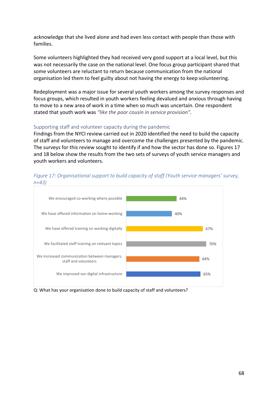acknowledge that she lived alone and had even less contact with people than those with families.

Some volunteers highlighted they had received very good support at a local level, but this was not necessarily the case on the national level. One focus group participant shared that some volunteers are reluctant to return because communication from the national organisation led them to feel guilty about not having the energy to keep volunteering.

Redeployment was a major issue for several youth workers among the survey responses and focus groups, which resulted in youth workers feeling devalued and anxious through having to move to a new area of work in a time when so much was uncertain. One respondent stated that youth work was *"like the poor cousin in service provision"*.

### Supporting staff and volunteer capacity during the pandemic

Findings from the NYCI review carried out in 2020 identified the need to build the capacity of staff and volunteers to manage and overcome the challenges presented by the pandemic. The surveys for this review sought to identify if and how the sector has done so. Figures 17 and 18 below show the results from the two sets of surveys of youth service managers and youth workers and volunteers.

# *Figure 17: Organisational support to build capacity of staff (Youth service managers' survey, n=43)*



Q: What has your organisation done to build capacity of staff and volunteers?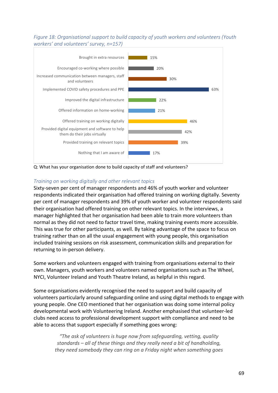*Figure 18: Organisational support to build capacity of youth workers and volunteers (Youth workers' and volunteers' survey, n=157)*



Q: What has your organisation done to build capacity of staff and volunteers?

# *Training on working digitally and other relevant topics*

Sixty-seven per cent of manager respondents and 46% of youth worker and volunteer respondents indicated their organisation had offered training on working digitally. Seventy per cent of manager respondents and 39% of youth worker and volunteer respondents said their organisation had offered training on other relevant topics. In the interviews, a manager highlighted that her organisation had been able to train more volunteers than normal as they did not need to factor travel time, making training events more accessible. This was true for other participants, as well. By taking advantage of the space to focus on training rather than on all the usual engagement with young people, this organisation included training sessions on risk assessment, communication skills and preparation for returning to in-person delivery.

Some workers and volunteers engaged with training from organisations external to their own. Managers, youth workers and volunteers named organisations such as The Wheel, NYCI, Volunteer Ireland and Youth Theatre Ireland, as helpful in this regard.

Some organisations evidently recognised the need to support and build capacity of volunteers particularly around safeguarding online and using digital methods to engage with young people. One CEO mentioned that her organisation was doing some internal policy developmental work with Volunteering Ireland. Another emphasised that volunteer-led clubs need access to professional development support with compliance and need to be able to access that support especially if something goes wrong:

> *"The ask of volunteers is huge now from safeguarding, vetting, quality standards – all of these things and they really need a bit of handholding, they need somebody they can ring on a Friday night when something goes*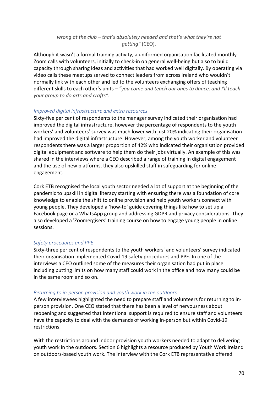# *wrong at the club – that's absolutely needed and that's what they're not getting"* (CEO).

Although it wasn't a formal training activity, a uniformed organisation facilitated monthly Zoom calls with volunteers, initially to check-in on general well-being but also to build capacity through sharing ideas and activities that had worked well digitally. By operating via video calls these meetups served to connect leaders from across Ireland who wouldn't normally link with each other and led to the volunteers exchanging offers of teaching different skills to each other's units – *"you come and teach our ones to dance, and I'll teach your group to do arts and crafts"*.

# *Improved digital infrastructure and extra resources*

Sixty-five per cent of respondents to the manager survey indicated their organisation had improved the digital infrastructure, however the percentage of respondents to the youth workers' and volunteers' survey was much lower with just 20% indicating their organisation had improved the digital infrastructure. However, among the youth worker and volunteer respondents there was a larger proportion of 42% who indicated their organisation provided digital equipment and software to help them do their jobs virtually. An example of this was shared in the interviews where a CEO described a range of training in digital engagement and the use of new platforms, they also upskilled staff in safeguarding for online engagement.

Cork ETB recognised the local youth sector needed a lot of support at the beginning of the pandemic to upskill in digital literacy starting with ensuring there was a foundation of core knowledge to enable the shift to online provision and help youth workers connect with young people. They developed a 'how-to' guide covering things like how to set up a Facebook page or a WhatsApp group and addressing GDPR and privacy considerations. They also developed a 'Zoomergisers' training course on how to engage young people in online sessions.

# *Safety procedures and PPE*

Sixty-three per cent of respondents to the youth workers' and volunteers' survey indicated their organisation implemented Covid-19 safety procedures and PPE. In one of the interviews a CEO outlined some of the measures their organisation had put in place including putting limits on how many staff could work in the office and how many could be in the same room and so on.

# *Returning to in-person provision and youth work in the outdoors*

A few interviewees highlighted the need to prepare staff and volunteers for returning to inperson provision. One CEO stated that there has been a level of nervousness about reopening and suggested that intentional support is required to ensure staff and volunteers have the capacity to deal with the demands of working in-person but within Covid-19 restrictions.

With the restrictions around indoor provision youth workers needed to adapt to delivering youth work in the outdoors. Section 6 highlights a resource produced by Youth Work Ireland on outdoors-based youth work. The interview with the Cork ETB representative offered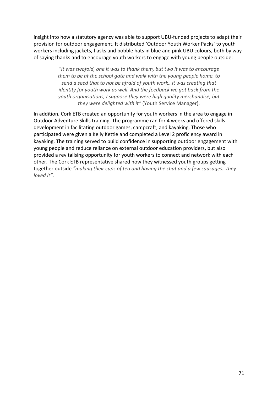insight into how a statutory agency was able to support UBU-funded projects to adapt their provision for outdoor engagement. It distributed 'Outdoor Youth Worker Packs' to youth workers including jackets, flasks and bobble hats in blue and pink UBU colours, both by way of saying thanks and to encourage youth workers to engage with young people outside:

> *"It was twofold, one it was to thank them, but two it was to encourage them to be at the school gate and walk with the young people home, to send a seed that to not be afraid of youth work…it was creating that identity for youth work as well. And the feedback we got back from the youth organisations, I suppose they were high quality merchandise, but they were delighted with it"* (Youth Service Manager).

In addition, Cork ETB created an opportunity for youth workers in the area to engage in Outdoor Adventure Skills training. The programme ran for 4 weeks and offered skills development in facilitating outdoor games, campcraft, and kayaking. Those who participated were given a Kelly Kettle and completed a Level 2 proficiency award in kayaking. The training served to build confidence in supporting outdoor engagement with young people and reduce reliance on external outdoor education providers, but also provided a revitalising opportunity for youth workers to connect and network with each other. The Cork ETB representative shared how they witnessed youth groups getting together outside *"making their cups of tea and having the chat and a few sausages…they loved it"*.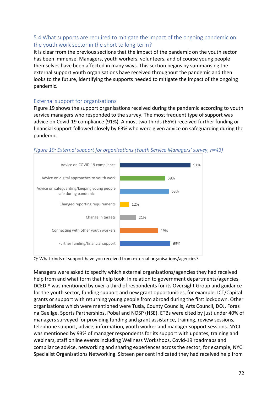# 5.4 What supports are required to mitigate the impact of the ongoing pandemic on the youth work sector in the short to long-term?

It is clear from the previous sections that the impact of the pandemic on the youth sector has been immense. Managers, youth workers, volunteers, and of course young people themselves have been affected in many ways. This section begins by summarising the external support youth organisations have received throughout the pandemic and then looks to the future, identifying the supports needed to mitigate the impact of the ongoing pandemic.

# External support for organisations

Figure 19 shows the support organisations received during the pandemic according to youth service managers who responded to the survey. The most frequent type of support was advice on Covid-19 compliance (91%). Almost two thirds (65%) received further funding or financial support followed closely by 63% who were given advice on safeguarding during the pandemic.



*Figure 19: External support for organisations (Youth Service Managers' survey, n=43)*

Q: What kinds of support have you received from external organisations/agencies?

Managers were asked to specify which external organisations/agencies they had received help from and what form that help took. In relation to government departments/agencies, DCEDIY was mentioned by over a third of respondents for its Oversight Group and guidance for the youth sector, funding support and new grant opportunities, for example, ICT/Capital grants or support with returning young people from abroad during the first lockdown. Other organisations which were mentioned were Tusla, County Councils, Arts Council, DOJ, Foras na Gaeilge, Sports Partnerships, Pobal and NOSP (HSE). ETBs were cited by just under 40% of managers surveyed for providing funding and grant assistance, training, review sessions, telephone support, advice, information, youth worker and manager support sessions. NYCI was mentioned by 93% of manager respondents for its support with updates, training and webinars, staff online events including Wellness Workshops, Covid-19 roadmaps and compliance advice, networking and sharing experiences across the sector, for example, NYCI Specialist Organisations Networking. Sixteen per cent indicated they had received help from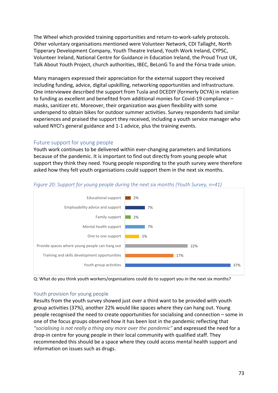The Wheel which provided training opportunities and return-to-work-safely protocols. Other voluntary organisations mentioned were Volunteer Network, CDI Tallaght, North Tipperary Development Company, Youth Theatre Ireland, Youth Work Ireland, CYPSC, Volunteer Ireland, National Centre for Guidance in Education Ireland, the Proud Trust UK, Talk About Youth Project, church authorities, IBEC, BeLonG To and the Fórsa trade union.

Many managers expressed their appreciation for the external support they received including funding, advice, digital upskilling, networking opportunities and infrastructure. One interviewee described the support from Tusla and DCEDIY (formerly DCYA) in relation to funding as excellent and benefited from additional monies for Covid-19 compliance – masks, sanitizer etc. Moreover, their organization was given flexibility with some underspend to obtain bikes for outdoor summer activities. Survey respondents had similar experiences and praised the support they received, including a youth service manager who valued NYCI's general guidance and 1-1 advice, plus the training events.

### Future support for young people

Youth work continues to be delivered within ever-changing parameters and limitations because of the pandemic. It is important to find out directly from young people what support they think they need. Young people responding to the youth survey were therefore asked how they felt youth organisations could support them in the next six months.



#### *Figure 20: Support for young people during the next six months (Youth Survey, n=41)*



#### Youth provision for young people

Results from the youth survey showed just over a third want to be provided with youth group activities (37%), another 22% would like spaces where they can hang out. Young people recognised the need to create opportunities for socialising and connection – some in one of the focus groups observed how it has been lost in the pandemic reflecting that *"socialising is not really a thing any more over the pandemic"* and expressed the need for a drop-in centre for young people in their local community with qualified staff. They recommended this should be a space where they could access mental health support and information on issues such as drugs.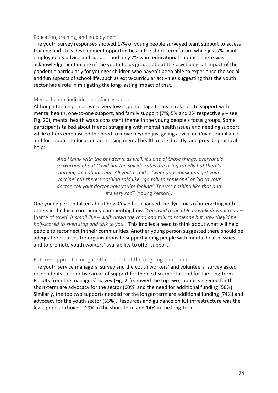#### Education, training, and employment

The youth survey responses showed 17% of young people surveyed want support to access training and skills development opportunities in the short-term future while just 7% want employability advice and support and only 2% want educational support. There was acknowledgement in one of the youth focus groups about the psychological impact of the pandemic particularly for younger children who haven't been able to experience the social and fun aspects of school life, such as extra-curricular activities suggesting that the youth sector has a role in mitigating the long-lasting impact of that.

#### Mental health, individual and family support

Although the responses were very low in percentage terms in relation to support with mental health, one-to-one support, and family support (7%, 5% and 2% respectively – see Fig. 20), mental health was a consistent theme in the young people's focus groups. Some participants talked about friends struggling with mental health issues and needing support while others emphasised the need to move beyond just giving advice on Covid-compliance and for support to focus on addressing mental health more directly, and provide practical help:

> *"And I think with the pandemic as well, it's one of those things, everyone's so worried about Covid but the suicide rates are rising rapidly but there's nothing said about that. All you're told is 'wear your mask and get your vaccine' but there's nothing said like, 'go talk to someone' or 'go to your doctor, tell your doctor how you're feeling'. There's nothing like that and it's very sad"* (Young Person).

One young person talked about how Covid has changed the dynamics of interacting with others in the local community commenting how *"You used to be able to walk down a road –* [name of town] *is small like – walk down the road and talk to someone but now they'd be half-scared to even stop and talk to you."* This implies a need to think about what will help people to reconnect in their communities. Another young person suggested there should be adequate resources for organisations to support young people with mental health issues and to promote youth workers' availability to offer support.

#### Future support to mitigate the impact of the ongoing pandemic

The youth service managers' survey and the youth workers' and volunteers' survey asked respondents to prioritise areas of support for the next six months and for the long-term. Results from the managers' survey (Fig. 21) showed the top two supports needed for the short-term are advocacy for the sector (60%) and the need for additional funding (56%). Similarly, the top two supports needed for the longer-term are additional funding (74%) and advocacy for the youth sector (63%). Resources and guidance on ICT infrastructure was the least popular choice – 19% in the short-term and 14% in the long-term.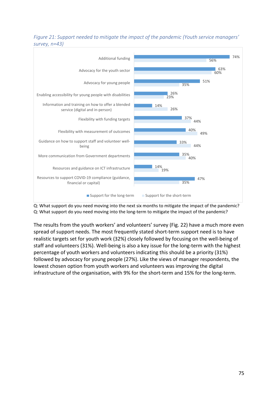## *Figure 21: Support needed to mitigate the impact of the pandemic (Youth service managers' survey, n=43)*



Q: What support do you need moving into the next six months to mitigate the impact of the pandemic? Q: What support do you need moving into the long-term to mitigate the impact of the pandemic?

The results from the youth workers' and volunteers' survey (Fig. 22) have a much more even spread of support needs. The most frequently stated short-term support need is to have realistic targets set for youth work (32%) closely followed by focusing on the well-being of staff and volunteers (31%). Well-being is also a key issue for the long-term with the highest percentage of youth workers and volunteers indicating this should be a priority (31%) followed by advocacy for young people (27%). Like the views of manager respondents, the lowest chosen option from youth workers and volunteers was improving the digital infrastructure of the organisation, with 9% for the short-term and 15% for the long-term.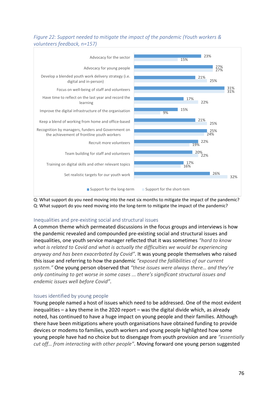## *Figure 22: Support needed to mitigate the impact of the pandemic (Youth workers & volunteers feedback, n=157)*



Q: What support do you need moving into the next six months to mitigate the impact of the pandemic? Q: What support do you need moving into the long-term to mitigate the impact of the pandemic?

### Inequalities and pre-existing social and structural issues

A common theme which permeated discussions in the focus groups and interviews is how the pandemic revealed and compounded pre-existing social and structural issues and inequalities, one youth service manager reflected that it was sometimes *"hard to know what is related to Covid and what is actually the difficulties we would be experiencing anyway and has been exacerbated by Covid"*. It was young people themselves who raised this issue and referring to how the pandemic *"exposed the fallibilities of our current system."* One young person observed that *"these issues were always there… and they're only continuing to get worse in some cases ... there's significant structural issues and endemic issues well before Covid"*.

### Issues identified by young people

Young people named a host of issues which need to be addressed. One of the most evident inequalities – a key theme in the 2020 report – was the digital divide which, as already noted, has continued to have a huge impact on young people and their families. Although there have been mitigations where youth organisations have obtained funding to provide devices or modems to families, youth workers and young people highlighted how some young people have had no choice but to disengage from youth provision and are *"essentially cut off… from interacting with other people"*. Moving forward one young person suggested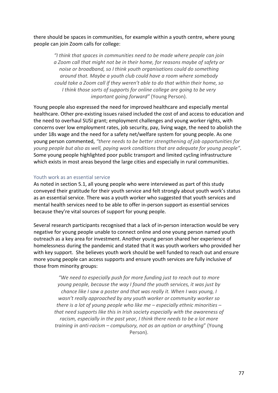there should be spaces in communities, for example within a youth centre, where young people can join Zoom calls for college:

*"I think that spaces in communities need to be made where people can join a Zoom call that might not be in their home, for reasons maybe of safety or noise or broadband, so I think youth organisations could do something around that. Maybe a youth club could have a room where somebody could take a Zoom call if they weren't able to do that within their home, so I think those sorts of supports for online college are going to be very important going forward"* (Young Person).

Young people also expressed the need for improved healthcare and especially mental healthcare. Other pre-existing issues raised included the cost of and access to education and the need to overhaul SUSI grant; employment challenges and young worker rights, with concerns over low employment rates, job security, pay, living wage, the need to abolish the under 18s wage and the need for a safety net/welfare system for young people. As one young person commented, *"there needs to be better strengthening of job opportunities for young people but also as well, paying work conditions that are adequate for young people"*. Some young people highlighted poor public transport and limited cycling infrastructure which exists in most areas beyond the large cities and especially in rural communities.

#### Youth work as an essential service

As noted in section 5.1, all young people who were interviewed as part of this study conveyed their gratitude for their youth service and felt strongly about youth work's status as an essential service. There was a youth worker who suggested that youth services and mental health services need to be able to offer in-person support as essential services because they're vital sources of support for young people.

Several research participants recognised that a lack of in-person interaction would be very negative for young people unable to connect online and one young person named youth outreach as a key area for investment. Another young person shared her experience of homelessness during the pandemic and stated that it was youth workers who provided her with key support. She believes youth work should be well funded to reach out and ensure more young people can access supports and ensure youth services are fully inclusive of those from minority groups:

> *"We need to especially push for more funding just to reach out to more young people, because the way I found the youth services, it was just by chance like I saw a poster and that was really it. When I was young, I wasn't really approached by any youth worker or community worker so there is a lot of young people who like me – especially ethnic minorities – that need supports like this in Irish society especially with the awareness of racism, especially in the past year, I think there needs to be a lot more training in anti-racism – compulsory, not as an option or anything*" (Young Person).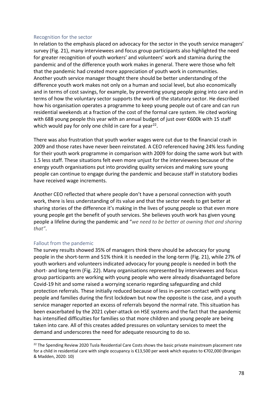#### Recognition for the sector

In relation to the emphasis placed on advocacy for the sector in the youth service managers' survey (Fig. 21), many interviewees and focus group participants also highlighted the need for greater recognition of youth workers' and volunteers' work and stamina during the pandemic and of the difference youth work makes in general. There were those who felt that the pandemic had created more appreciation of youth work in communities. Another youth service manager thought there should be better understanding of the difference youth work makes not only on a human and social level, but also economically and in terms of cost savings, for example, by preventing young people going into care and in terms of how the voluntary sector supports the work of the statutory sector. He described how his organisation operates a programme to keep young people out of care and can run residential weekends at a fraction of the cost of the formal care system. He cited working with 688 young people this year with an annual budget of just over €600k with 15 staff which would pay for only one child in care for a year<sup>[22](#page-77-0)</sup>.

There was also frustration that youth worker wages were cut due to the financial crash in 2009 and those rates have never been reinstated. A CEO referenced having 24% less funding for their youth work programme in comparison with 2009 for doing the same work but with 1.5 less staff. These situations felt even more unjust for the interviewees because of the energy youth organisations put into providing quality services and making sure young people can continue to engage during the pandemic and because staff in statutory bodies have received wage increments.

Another CEO reflected that where people don't have a personal connection with youth work, there is less understanding of its value and that the sector needs to get better at sharing stories of the difference it's making in the lives of young people so that even more young people get the benefit of youth services. She believes youth work has given young people a lifeline during the pandemic and "*we need to be better at owning that and sharing that"*.

#### Fallout from the pandemic

The survey results showed 35% of managers think there should be advocacy for young people in the short-term and 51% think it is needed in the long-term (Fig. 21), while 27% of youth workers and volunteers indicated advocacy for young people is needed in both the short- and long-term (Fig. 22). Many organisations represented by interviewees and focus group participants are working with young people who were already disadvantaged before Covid-19 hit and some raised a worrying scenario regarding safeguarding and child protection referrals. These initially reduced because of less in-person contact with young people and families during the first lockdown but now the opposite is the case, and a youth service manager reported an excess of referrals beyond the normal rate. This situation has been exacerbated by the 2021 cyber-attack on HSE systems and the fact that the pandemic has intensified difficulties for families so that more children and young people are being taken into care. All of this creates added pressures on voluntary services to meet the demand and underscores the need for adequate resourcing to do so.

<span id="page-77-0"></span><sup>&</sup>lt;sup>22</sup> The Spending Review 2020 Tusla Residential Care Costs shows the basic private mainstream placement rate for a child in residential care with single occupancy is €13,500 per week which equates to €702,000 (Branigan & Madden, 2020: 10)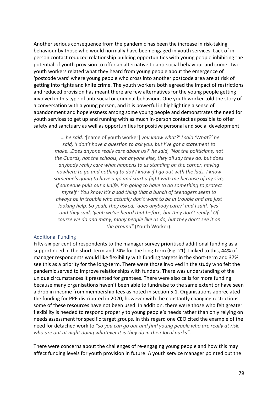Another serious consequence from the pandemic has been the increase in risk-taking behaviour by those who would normally have been engaged in youth services. Lack of inperson contact reduced relationship building opportunities with young people inhibiting the potential of youth provision to offer an alternative to anti-social behaviour and crime. Two youth workers related what they heard from young people about the emergence of 'postcode wars' where young people who cross into another postcode area are at risk of getting into fights and knife crime. The youth workers both agreed the impact of restrictions and reduced provision has meant there are few alternatives for the young people getting involved in this type of anti-social or criminal behaviour. One youth worker told the story of a conversation with a young person, and it is powerful in highlighting a sense of abandonment and hopelessness among some young people and demonstrates the need for youth services to get up and running with as much in-person contact as possible to offer safety and sanctuary as well as opportunities for positive personal and social development:

"… *he said, '*[name of youth worker] *you know what?' I said 'What?' he said, 'I don't have a question to ask you, but I've got a statement to make…Does anyone really care about us?' he said, 'Not the politicians, not the Guards, not the schools, not anyone else, they all say they do, but does anybody really care what happens to us standing on the corner, having nowhere to go and nothing to do? I know if I go out with the lads, I know someone's going to have a go and start a fight with me because of my size, if someone pulls out a knife, I'm going to have to do something to protect myself.' You know it's a sad thing that a bunch of teenagers seem to always be in trouble who actually don't want to be in trouble and are just looking help. So yeah, they asked, 'does anybody care?' and I said, 'yes' and they said, 'yeah we've heard that before, but they don't really.' Of course we do and many, many people like us do, but they don't see it on the ground"* (Youth Worker).

#### Additional Funding

Fifty-six per cent of respondents to the manager survey prioritised additional funding as a support need in the short-term and 74% for the long-term (Fig. 21). Linked to this, 44% of manager respondents would like flexibility with funding targets in the short-term and 37% see this as a priority for the long-term. There were those involved in the study who felt the pandemic served to improve relationships with funders. There was understanding of the unique circumstances it presented for grantees. There were also calls for more funding because many organisations haven't been able to fundraise to the same extent or have seen a drop in income from membership fees as noted in section 5.1. Organisations appreciated the funding for PPE distributed in 2020, however with the constantly changing restrictions, some of these resources have not been used. In addition, there were those who felt greater flexibility is needed to respond properly to young people's needs rather than only relying on needs assessment for specific target groups. In this regard one CEO cited the example of the need for detached work to *"so you can go out and find young people who are really at risk, who are out at night doing whatever it is they do in their local parks"*.

There were concerns about the challenges of re-engaging young people and how this may affect funding levels for youth provision in future. A youth service manager pointed out the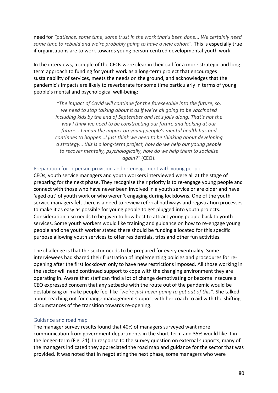need for *"patience, some time, some trust in the work that's been done... We certainly need some time to rebuild and we're probably going to have a new cohort"*. This is especially true if organisations are to work towards young person-centred developmental youth work.

In the interviews, a couple of the CEOs were clear in their call for a more strategic and longterm approach to funding for youth work as a long-term project that encourages sustainability of services, meets the needs on the ground, and acknowledges that the pandemic's impacts are likely to reverberate for some time particularly in terms of young people's mental and psychological well-being:

> *"The impact of Covid will continue for the foreseeable into the future, so, we need to stop talking about it as if we're all going to be vaccinated including kids by the end of September and let's jolly along. That's not the way I think we need to be constructing our future and looking at our future... I mean the impact on young people's mental health has and continues to happen…I just think we need to be thinking about developing a strategy… this is a long-term project, how do we help our young people to recover mentally, psychologically, how do we help them to socialise again?"* (CEO).

### Preparation for in-person provision and re-engagement with young people

CEOs, youth service managers and youth workers interviewed were all at the stage of preparing for the next phase. They recognise their priority is to re-engage young people and connect with those who have never been involved in a youth service or are older and have 'aged out' of youth work or who weren't engaging during lockdowns. One of the youth service managers felt there is a need to review referral pathways and registration processes to make it as easy as possible for young people to get plugged into youth projects. Consideration also needs to be given to how best to attract young people back to youth services. Some youth workers would like training and guidance on how to re-engage young people and one youth worker stated there should be funding allocated for this specific purpose allowing youth services to offer residentials, trips and other fun activities.

The challenge is that the sector needs to be prepared for every eventuality. Some interviewees had shared their frustration of implementing policies and procedures for reopening after the first lockdown only to have new restrictions imposed. All those working in the sector will need continued support to cope with the changing environment they are operating in. Aware that staff can find a lot of change demotivating or become insecure a CEO expressed concern that any setbacks with the route out of the pandemic would be destabilising or make people feel like *"we're just never going to get out of this"*. She talked about reaching out for change management support with her coach to aid with the shifting circumstances of the transition towards re-opening.

#### Guidance and road map

The manager survey results found that 40% of managers surveyed want more communication from government departments in the short-term and 35% would like it in the longer-term (Fig. 21). In response to the survey question on external supports, many of the managers indicated they appreciated the road map and guidance for the sector that was provided. It was noted that in negotiating the next phase, some managers who were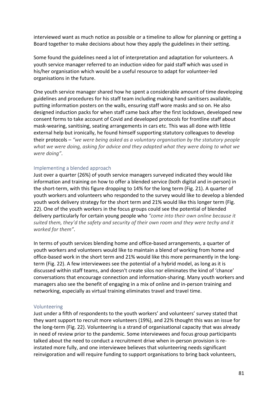interviewed want as much notice as possible or a timeline to allow for planning or getting a Board together to make decisions about how they apply the guidelines in their setting.

Some found the guidelines need a lot of interpretation and adaptation for volunteers. A youth service manager referred to an induction video for paid staff which was used in his/her organisation which would be a useful resource to adapt for volunteer-led organisations in the future.

One youth service manager shared how he spent a considerable amount of time developing guidelines and procedures for his staff team including making hand sanitisers available, putting information posters on the walls, ensuring staff wore masks and so on. He also designed induction packs for when staff came back after the first lockdown, developed new consent forms to take account of Covid and developed protocols for frontline staff about mask-wearing, sanitising, seating arrangements in cars etc. This was all done with little external help but ironically, he found himself supporting statutory colleagues to develop their protocols – *"we were being asked as a voluntary organisation by the statutory people what we were doing, asking for advice and they adapted what they were doing to what we were doing"*.

### Implementing a blended approach

Just over a quarter (26%) of youth service managers surveyed indicated they would like information and training on how to offer a blended service (both digital and in-person) in the short-term, with this figure dropping to 14% for the long term (Fig. 21). A quarter of youth workers and volunteers who responded to the survey would like to develop a blended youth work delivery strategy for the short term and 21% would like this longer term (Fig. 22). One of the youth workers in the focus groups could see the potential of blended delivery particularly for certain young people who *"come into their own online because it suited them, they'd the safety and security of their own room and they were techy and it worked for them"*.

In terms of youth services blending home and office-based arrangements, a quarter of youth workers and volunteers would like to maintain a blend of working from home and office-based work in the short term and 21% would like this more permanently in the longterm (Fig. 22). A few interviewees see the potential of a hybrid model, as long as it is discussed within staff teams, and doesn't create silos nor eliminates the kind of 'chance' conversations that encourage connection and information-sharing. Many youth workers and managers also see the benefit of engaging in a mix of online and in-person training and networking, especially as virtual training eliminates travel and travel time.

#### Volunteering

Just under a fifth of respondents to the youth workers' and volunteers' survey stated that they want support to recruit more volunteers (19%), and 22% thought this was an issue for the long-term (Fig. 22). Volunteering is a strand of organisational capacity that was already in need of review prior to the pandemic. Some interviewees and focus group participants talked about the need to conduct a recruitment drive when in-person provision is reinstated more fully, and one interviewee believes that volunteering needs significant reinvigoration and will require funding to support organisations to bring back volunteers,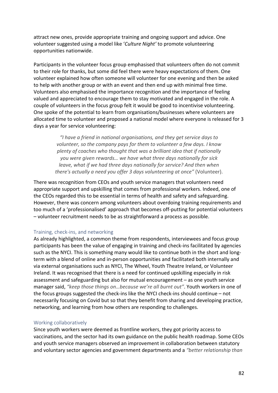attract new ones, provide appropriate training and ongoing support and advice. One volunteer suggested using a model like '*Culture Night'* to promote volunteering opportunities nationwide.

Participants in the volunteer focus group emphasised that volunteers often do not commit to their role for thanks, but some did feel there were heavy expectations of them. One volunteer explained how often someone will volunteer for one evening and then be asked to help with another group or with an event and then end up with minimal free time. Volunteers also emphasised the importance recognition and the importance of feeling valued and appreciated to encourage them to stay motivated and engaged in the role. A couple of volunteers in the focus group felt it would be good to incentivise volunteering. One spoke of the potential to learn from organisations/businesses where volunteers are allocated time to volunteer and proposed a national model where everyone is released for 3 days a year for service volunteering:

> *"I have a friend in national organisations, and they get service days to volunteer, so the company pays for them to volunteer a few days. I know plenty of coaches who thought that was a brilliant idea that if nationally you were given rewards… we have what three days nationally for sick leave, what if we had three days nationally for service? And then when there's actually a need you offer 3 days volunteering at once"* (Volunteer).

There was recognition from CEOs and youth service managers that volunteers need appropriate support and upskilling that comes from professional workers. Indeed, one of the CEOs regarded this to be essential in terms of health and safety and safeguarding. However, there was concern among volunteers about overdoing training requirements and too much of a 'professionalised' approach that becomes off-putting for potential volunteers – volunteer recruitment needs to be as straightforward a process as possible.

#### Training, check-ins, and networking

As already highlighted, a common theme from respondents, interviewees and focus group participants has been the value of engaging in training and check-ins facilitated by agencies such as the NYCI. This is something many would like to continue both in the short and longterm with a blend of online and in-person opportunities and facilitated both internally and via external organisations such as NYCI, The Wheel, Youth Theatre Ireland, or Volunteer Ireland. It was recognised that there is a need for continued upskilling especially in risk assessment and safeguarding but also for mutual encouragement – as one youth service manager said, *"keep those things on…because we're all burnt out"*. Youth workers in one of the focus groups suggested the check-ins like the NYCI check-ins should continue – not necessarily focusing on Covid but so that they benefit from sharing and developing practice, networking, and learning from how others are responding to challenges.

#### Working collaboratively

Since youth workers were deemed as frontline workers, they got priority access to vaccinations, and the sector had its own guidance on the public health roadmap. Some CEOs and youth service managers observed an improvement in collaboration between statutory and voluntary sector agencies and government departments and a *"better relationship than*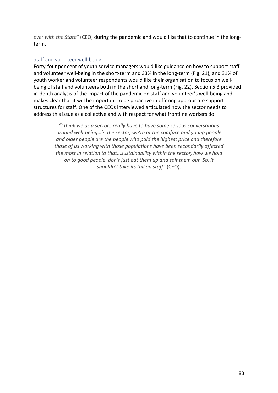*ever with the State"* (CEO) during the pandemic and would like that to continue in the longterm.

#### Staff and volunteer well-being

Forty-four per cent of youth service managers would like guidance on how to support staff and volunteer well-being in the short-term and 33% in the long-term (Fig. 21), and 31% of youth worker and volunteer respondents would like their organisation to focus on wellbeing of staff and volunteers both in the short and long-term (Fig. 22). Section 5.3 provided in-depth analysis of the impact of the pandemic on staff and volunteer's well-being and makes clear that it will be important to be proactive in offering appropriate support structures for staff. One of the CEOs interviewed articulated how the sector needs to address this issue as a collective and with respect for what frontline workers do:

> *"I think we as a sector…really have to have some serious conversations around well-being…in the sector, we're at the coalface and young people and older people are the people who paid the highest price and therefore those of us working with those populations have been secondarily affected the most in relation to that...sustainability within the sector, how we hold on to good people, don't just eat them up and spit them out. So, it shouldn't take its toll on staff"* (CEO).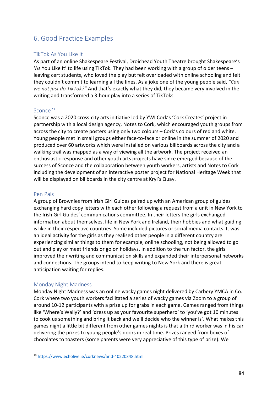## 6. Good Practice Examples

## TikTok As You Like It

As part of an online Shakespeare Festival, Droichead Youth Theatre brought Shakespeare's 'As You Like It' to life using TikTok. They had been working with a group of older teens – leaving cert students, who loved the play but felt overloaded with online schooling and felt they couldn't commit to learning all the lines. As a joke one of the young people said, *"Can we not just do TikTok?"* And that's exactly what they did, they became very involved in the writing and transformed a 3-hour play into a series of TikToks.

## Sconce<sup>[23](#page-83-0)</sup>

Sconce was a 2020 cross-city arts initiative led by YWI Cork's 'Cork Creates' project in partnership with a local design agency, Notes to Cork, which encouraged youth groups from across the city to create posters using only two colours – Cork's colours of red and white. Young people met in small groups either face-to-face or online in the summer of 2020 and produced over 60 artworks which were installed on various billboards across the city and a walking trail was mapped as a way of viewing all the artwork. The project received an enthusiastic response and other youth arts projects have since emerged because of the success of Sconce and the collaboration between youth workers, artists and Notes to Cork including the development of an interactive poster project for National Heritage Week that will be displayed on billboards in the city centre at Kryl's Quay.

## Pen Pals

A group of Brownies from Irish Girl Guides paired up with an American group of guides exchanging hard copy letters with each other following a request from a unit in New York to the Irish Girl Guides' communications committee. In their letters the girls exchanged information about themselves, life in New York and Ireland, their hobbies and what guiding is like in their respective countries. Some included pictures or social media contacts. It was an ideal activity for the girls as they realised other people in a different country are experiencing similar things to them for example, online schooling, not being allowed to go out and play or meet friends or go on holidays. In addition to the fun factor, the girls improved their writing and communication skills and expanded their interpersonal networks and connections. The groups intend to keep writing to New York and there is great anticipation waiting for replies.

### Monday Night Madness

Monday Night Madness was an online wacky games night delivered by Carbery YMCA in Co. Cork where two youth workers facilitated a series of wacky games via Zoom to a group of around 10-12 participants with a prize up for grabs in each game. Games ranged from things like 'Where's Wally?' and 'dress up as your favourite superhero' to 'you've got 10 minutes to cook us something and bring it back and we'll decide who the winner is'. What makes this games night a little bit different from other games nights is that a third worker was in his car delivering the prizes to young people's doors in real time. Prizes ranged from boxes of chocolates to toasters (some parents were very appreciative of this type of prize). We

<span id="page-83-0"></span><sup>23</sup> <https://www.echolive.ie/corknews/arid-40220348.html>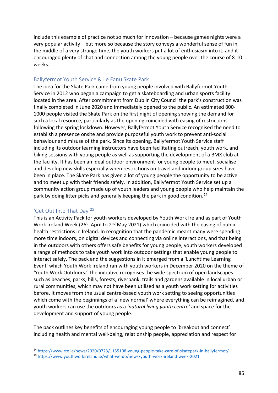include this example of practice not so much for innovation – because games nights were a very popular activity – but more so because the story conveys a wonderful sense of fun in the middle of a very strange time, the youth workers put a lot of enthusiasm into it, and it encouraged plenty of chat and connection among the young people over the course of 8-10 weeks.

## Ballyfermot Youth Service & Le Fanu Skate Park

The idea for the Skate Park came from young people involved with Ballyfermot Youth Service in 2012 who began a campaign to get a skateboarding and urban sports facility located in the area. After commitment from Dublin City Council the park's construction was finally completed in June 2020 and immediately opened to the public. An estimated 800- 1000 people visited the Skate Park on the first night of opening showing the demand for such a local resource, particularly as the opening coincided with easing of restrictions following the spring lockdown. However, Ballyfermot Youth Service recognised the need to establish a presence onsite and provide purposeful youth work to prevent anti-social behaviour and misuse of the park. Since its opening, Ballyfermot Youth Service staff including its outdoor learning instructors have been facilitating outreach, youth work, and biking sessions with young people as well as supporting the development of a BMX club at the facility. It has been an ideal outdoor environment for young people to meet, socialise and develop new skills especially when restrictions on travel and indoor group sizes have been in place. The Skate Park has given a lot of young people the opportunity to be active and to meet up with their friends safely. In addition, Ballyfermot Youth Service set up a community action group made up of youth leaders and young people who help maintain the park by doing litter picks and generally keeping the park in good condition.<sup>[24](#page-84-0)</sup>

## 'Get Out Into That Day'[25](#page-84-1)

This is an Activity Pack for youth workers developed by Youth Work Ireland as part of Youth Work Ireland Week (26<sup>th</sup> April to 2<sup>nd</sup> May 2021) which coincided with the easing of public health restrictions in Ireland. In recognition that the pandemic meant many were spending more time indoors, on digital devices and connecting via online interactions, and that being in the outdoors with others offers safe benefits for young people, youth workers developed a range of methods to take youth work into outdoor settings that enable young people to interact safely. The pack and the suggestions in it emerged from a 'Lunchtime Learning Event' which Youth Work Ireland ran with youth workers in December 2020 on the theme of 'Youth Work Outdoors.' The initiative recognises the wide spectrum of open landscapes such as beaches, parks, hills, forests, riverbank, trails and gardens available in local urban or rural communities, which may not have been utilised as a youth work setting for activities before. It moves from the usual centre-based youth work setting to seeing opportunities which come with the beginnings of a 'new normal' where everything can be reimagined, and youth workers can use the outdoors as a *'natural living youth centre'* and space for the development and support of young people.

The pack outlines key benefits of encouraging young people to 'breakout and connect' including health and mental well-being, relationship people, appreciation and respect for

<span id="page-84-0"></span><sup>24</sup> <https://www.rte.ie/news/2020/0723/1155108-young-people-take-care-of-skatepark-in-ballyfermot/>

<span id="page-84-1"></span><sup>25</sup> <https://www.youthworkireland.ie/what-we-do/news/youth-work-ireland-week-2021>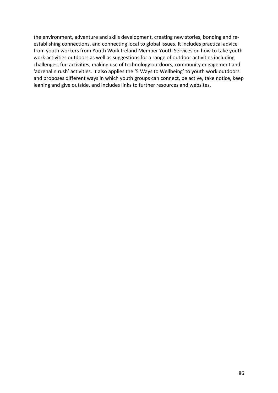the environment, adventure and skills development, creating new stories, bonding and reestablishing connections, and connecting local to global issues. It includes practical advice from youth workers from Youth Work Ireland Member Youth Services on how to take youth work activities outdoors as well as suggestions for a range of outdoor activities including challenges, fun activities, making use of technology outdoors, community engagement and 'adrenalin rush' activities. It also applies the '5 Ways to Wellbeing' to youth work outdoors and proposes different ways in which youth groups can connect, be active, take notice, keep leaning and give outside, and includes links to further resources and websites.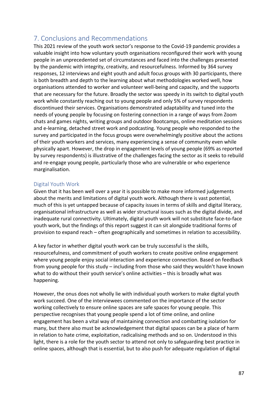## 7. Conclusions and Recommendations

This 2021 review of the youth work sector's response to the Covid-19 pandemic provides a valuable insight into how voluntary youth organisations reconfigured their work with young people in an unprecedented set of circumstances and faced into the challenges presented by the pandemic with integrity, creativity, and resourcefulness. Informed by 364 survey responses, 12 interviews and eight youth and adult focus groups with 30 participants, there is both breadth and depth to the learning about what methodologies worked well, how organisations attended to worker and volunteer well-being and capacity, and the supports that are necessary for the future. Broadly the sector was speedy in its switch to digital youth work while constantly reaching out to young people and only 5% of survey respondents discontinued their services. Organisations demonstrated adaptability and tuned into the needs of young people by focusing on fostering connection in a range of ways from Zoom chats and games nights, writing groups and outdoor Bootcamps, online meditation sessions and e-learning, detached street work and podcasting. Young people who responded to the survey and participated in the focus groups were overwhelmingly positive about the actions of their youth workers and services, many experiencing a sense of community even while physically apart. However, the drop in engagement levels of young people (69% as reported by survey respondents) is illustrative of the challenges facing the sector as it seeks to rebuild and re-engage young people, particularly those who are vulnerable or who experience marginalisation.

## Digital Youth Work

Given that it has been well over a year it is possible to make more informed judgements about the merits and limitations of digital youth work. Although there is vast potential, much of this is yet untapped because of capacity issues in terms of skills and digital literacy, organisational infrastructure as well as wider structural issues such as the digital divide, and inadequate rural connectivity. Ultimately, digital youth work will not substitute face-to-face youth work, but the findings of this report suggest it can sit alongside traditional forms of provision to expand reach – often geographically and sometimes in relation to accessibility.

A key factor in whether digital youth work can be truly successful is the skills, resourcefulness, and commitment of youth workers to create positive online engagement where young people enjoy social interaction and experience connection. Based on feedback from young people for this study – including from those who said they wouldn't have known what to do without their youth service's online activities – this is broadly what was happening.

However, the onus does not wholly lie with individual youth workers to make digital youth work succeed. One of the interviewees commented on the importance of the sector working collectively to ensure online spaces are safe spaces for young people. This perspective recognises that young people spend a lot of time online, and online engagement has been a vital way of maintaining connection and combatting isolation for many, but there also must be acknowledgement that digital spaces can be a place of harm in relation to hate crime, exploitation, radicalising methods and so on. Understood in this light, there is a role for the youth sector to attend not only to safeguarding best practice in online spaces, although that is essential, but to also push for adequate regulation of digital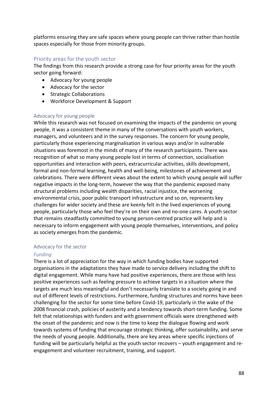platforms ensuring they are safe spaces where young people can thrive rather than hostile spaces especially for those from minority groups.

## Priority areas for the youth sector

The findings from this research provide a strong case for four priority areas for the youth sector going forward:

- Advocacy for young people
- Advocacy for the sector
- Strategic Collaborations
- Workforce Development & Support

### Advocacy for young people

While this research was not focused on examining the impacts of the pandemic on young people, it was a consistent theme in many of the conversations with youth workers, managers, and volunteers and in the survey responses. The concern for young people, particularly those experiencing marginalisation in various ways and/or in vulnerable situations was foremost in the minds of many of the research participants. There was recognition of what so many young people lost in terms of connection, socialisation opportunities and interaction with peers, extracurricular activities, skills development, formal and non-formal learning, health and well-being, milestones of achievement and celebrations. There were different views about the extent to which young people will suffer negative impacts in the long-term, however the way that the pandemic exposed many structural problems including wealth disparities, racial injustice, the worsening environmental crisis, poor public transport infrastructure and so on, represents key challenges for wider society and these are keenly felt in the lived experiences of young people, particularly those who feel they're on their own and no-one cares. A youth sector that remains steadfastly committed to young person-centred practice will help and is necessary to inform engagement with young people themselves, interventions, and policy as society emerges from the pandemic.

### Advocacy for the sector

### *Funding*

There is a lot of appreciation for the way in which funding bodies have supported organisations in the adaptations they have made to service delivery including the shift to digital engagement. While many have had positive experiences, there are those with less positive experiences such as feeling pressure to achieve targets in a situation where the targets are much less meaningful and don't necessarily translate to a society going in and out of different levels of restrictions. Furthermore, funding structures and norms have been challenging for the sector for some time before Covid-19, particularly in the wake of the 2008 financial crash, policies of austerity and a tendency towards short-term funding. Some felt that relationships with funders and with government officials were strengthened with the onset of the pandemic and now is the time to keep the dialogue flowing and work towards systems of funding that encourage strategic thinking, offer sustainability, and serve the needs of young people. Additionally, there are key areas where specific injections of funding will be particularly helpful as the youth sector recovers – youth engagement and reengagement and volunteer recruitment, training, and support.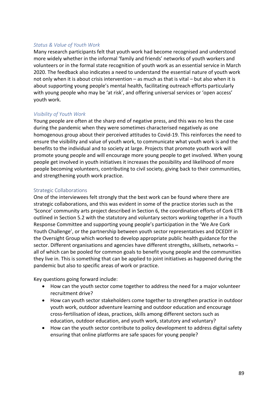#### *Status & Value of Youth Work*

Many research participants felt that youth work had become recognised and understood more widely whether in the informal 'family and friends' networks of youth workers and volunteers or in the formal state recognition of youth work as an essential service in March 2020. The feedback also indicates a need to understand the essential nature of youth work not only when it is about crisis intervention – as much as that is vital – but also when it is about supporting young people's mental health, facilitating outreach efforts particularly with young people who may be 'at risk', and offering universal services or 'open access' youth work.

## *Visibility of Youth Work*

Young people are often at the sharp end of negative press, and this was no less the case during the pandemic when they were sometimes characterised negatively as one homogenous group about their perceived attitudes to Covid-19. This reinforces the need to ensure the visibility and value of youth work, to communicate what youth work is and the benefits to the individual and to society at large. Projects that promote youth work will promote young people and will encourage more young people to get involved. When young people get involved in youth initiatives it increases the possibility and likelihood of more people becoming volunteers, contributing to civil society, giving back to their communities, and strengthening youth work practice.

#### Strategic Collaborations

One of the interviewees felt strongly that the best work can be found where there are strategic collaborations, and this was evident in some of the practice stories such as the 'Sconce' community arts project described in Section 6, the coordination efforts of Cork ETB outlined in Section 5.2 with the statutory and voluntary sectors working together in a Youth Response Committee and supporting young people's participation in the 'We Are Cork Youth Challenge', or the partnership between youth sector representatives and DCEDIY in the Oversight Group which worked to develop appropriate public health guidance for the sector. Different organisations and agencies have different strengths, skillsets, networks – all of which can be pooled for common goals to benefit young people and the communities they live in. This is something that can be applied to joint initiatives as happened during the pandemic but also to specific areas of work or practice.

Key questions going forward include:

- How can the youth sector come together to address the need for a major volunteer recruitment drive?
- How can youth sector stakeholders come together to strengthen practice in outdoor youth work, outdoor adventure learning and outdoor education and encourage cross-fertilisation of ideas, practices, skills among different sectors such as education, outdoor education, and youth work, statutory and voluntary?
- How can the youth sector contribute to policy development to address digital safety ensuring that online platforms are safe spaces for young people?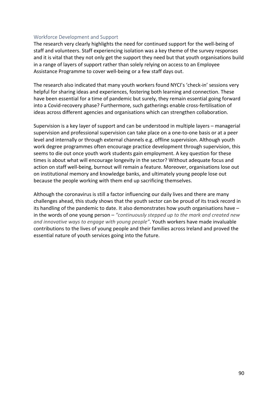#### Workforce Development and Support

The research very clearly highlights the need for continued support for the well-being of staff and volunteers. Staff experiencing isolation was a key theme of the survey responses and it is vital that they not only get the support they need but that youth organisations build in a range of layers of support rather than solely relying on access to an Employee Assistance Programme to cover well-being or a few staff days out.

The research also indicated that many youth workers found NYCI's 'check-in' sessions very helpful for sharing ideas and experiences, fostering both learning and connection. These have been essential for a time of pandemic but surely, they remain essential going forward into a Covid-recovery phase? Furthermore, such gatherings enable cross-fertilisation of ideas across different agencies and organisations which can strengthen collaboration.

Supervision is a key layer of support and can be understood in multiple layers – managerial supervision and professional supervision can take place on a one-to-one basis or at a peer level and internally or through external channels e.g. offline supervision. Although youth work degree programmes often encourage practice development through supervision, this seems to die out once youth work students gain employment. A key question for these times is about what will encourage longevity in the sector? Without adequate focus and action on staff well-being, burnout will remain a feature. Moreover, organisations lose out on institutional memory and knowledge banks, and ultimately young people lose out because the people working with them end up sacrificing themselves.

Although the coronavirus is still a factor influencing our daily lives and there are many challenges ahead, this study shows that the youth sector can be proud of its track record in its handling of the pandemic to date. It also demonstrates how youth organisations have – in the words of one young person – *"continuously stepped up to the mark and created new and innovative ways to engage with young people"*. Youth workers have made invaluable contributions to the lives of young people and their families across Ireland and proved the essential nature of youth services going into the future.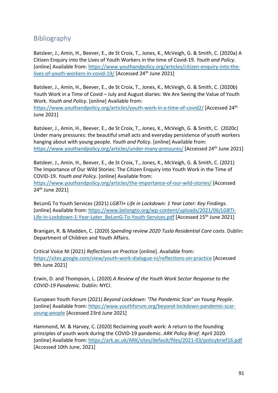## **Bibliography**

Batsleer, J., Amin, H., Beever, E., de St Croix, T., Jones, K., McVeigh, G. & Smith, C. (2020a) A Citizen Enquiry into the Lives of Youth Workers in the time of Covid-19. *Youth and Policy*. [online] Available from: [https://www.youthandpolicy.org/articles/citizen-enquiry-into-the](https://www.youthandpolicy.org/articles/citizen-enquiry-into-the-lives-of-youth-workers-in-covid-19/)[lives-of-youth-workers-in-covid-19/](https://www.youthandpolicy.org/articles/citizen-enquiry-into-the-lives-of-youth-workers-in-covid-19/) [Accessed 24<sup>th</sup> June 2021]

Batsleer, J., Amin, H., Beever, E., de St Croix, T., Jones, K., McVeigh, G. & Smith, C. (2020b) Youth Work in a Time of Covid – July and August diaries: We Are Seeing the Value of Youth Work. *Youth and Policy*. [online] Available from:

<https://www.youthandpolicy.org/articles/youth-work-in-a-time-of-covid2/> [Accessed 24th June 2021]

Batsleer, J., Amin, H., Beever, E., de St Croix, T., Jones, K., McVeigh, G. & Smith, C. (2020c) Under many pressures: the beautiful small acts and everyday persistence of youth workers hanging about with young people. *Youth and Policy*. [online] Available from: <https://www.youthandpolicy.org/articles/under-many-pressures/> [Accessed 24<sup>th</sup> June 2021]

Batsleer, J., Amin, H., Beever, E., de St Croix, T., Jones, K., McVeigh, G. & Smith, C. (2021) The Importance of Our Wild Stories: The Citizen Enquiry into Youth Work in the Time of COVID-19. *Youth and Policy*. [online] Available from:

<https://www.youthandpolicy.org/articles/the-importance-of-our-wild-stories/> [Accessed 24<sup>th</sup> June 2021]

BeLonG To Youth Services (2021) *LGBTI+ Life in Lockdown: 1 Year Later: Key Findings.* [online] Available from: [https://www.belongto.org/wp-content/uploads/2021/06/LGBTI-](https://www.belongto.org/wp-content/uploads/2021/06/LGBTI-Life-in-Lockdown-1-Year-Later_BeLonG-To-Youth-Services.pdf)[Life-in-Lockdown-1-Year-Later\\_BeLonG-To-Youth-Services.pdf](https://www.belongto.org/wp-content/uploads/2021/06/LGBTI-Life-in-Lockdown-1-Year-Later_BeLonG-To-Youth-Services.pdf) [Accessed 15<sup>th</sup> June 2021]

Branigan, R. & Madden, C. (2020) *Spending review 2020 Tusla Residential Care costs*. Dublin: Department of Children and Youth Affairs.

Critical Voice NI (2021) *Reflections on Practice* [online]. Available from: <https://sites.google.com/view/youth-work-dialogue-ni/reflections-on-practice> [Accessed 9th June 2021]

Erwin, D. and Thompson, L. (2020) *A Review of the Youth Work Sector Response to the COVID-19 Pandemic.* Dublin: NYCI.

European Youth Forum (2021) *Beyond Lockdown: 'The Pandemic Scar' on Young People.* [online] Available from: [https://www.youthforum.org/beyond-lockdown-pandemic-scar](https://www.youthforum.org/beyond-lockdown-pandemic-scar-young-people)[young-people](https://www.youthforum.org/beyond-lockdown-pandemic-scar-young-people) [Accessed 23rd June 2021]

Hammond, M. & Harvey, C. (2020) Reclaiming youth work: A return to the founding principles of youth work during the COVID-19 pandemic. *ARK Policy Brief*. April 2020. [online] Available from:<https://ark.ac.uk/ARK/sites/default/files/2021-03/policybrief16.pdf> [Accessed 10th June, 2021]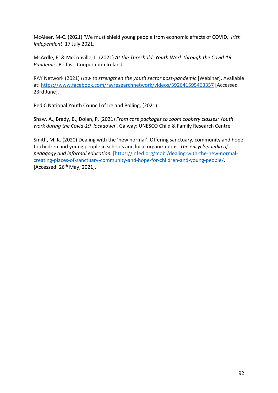McAleer, M-C. (2021) 'We must shield young people from economic effects of COVID,' *Irish Independent*, 17 July 2021.

McArdle, E. & McConville, L. (2021) *At the Threshold: Youth Work through the Covid-19 Pandemic*. Belfast: Cooperation Ireland.

RAY Network (2021) *How to strengthen the youth sector post-pandemic* [Webinar]. Available at:<https://www.facebook.com/rayresearchnetwork/videos/392641595463357> [Accessed 23rd June].

Red C National Youth Council of Ireland Polling, (2021).

Shaw, A., Brady, B., Dolan, P. (2021) *From care packages to zoom cookery classes: Youth work during the Covid-19 'lockdown'*. Galway: UNESCO Child & Family Research Centre.

Smith, M. K. (2020) Dealing with the 'new normal'. Offering sanctuary, community and hope to children and young people in schools and local organizations. *The encyclopaedia of pedagogy and informal education*. [\[https://infed.org/mobi/dealing-with-the-new-normal](https://infed.org/mobi/dealing-with-the-new-normal-creating-places-of-sanctuary-community-and-hope-for-children-and-young-people/)[creating-places-of-sanctuary-community-and-hope-for-children-and-young-people/.](https://infed.org/mobi/dealing-with-the-new-normal-creating-places-of-sanctuary-community-and-hope-for-children-and-young-people/) [Accessed: 26<sup>th</sup> May, 2021].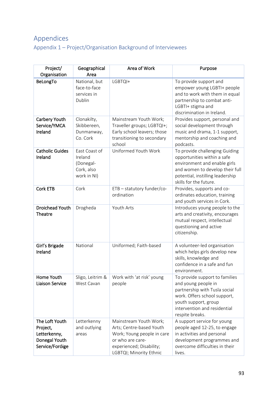# Appendices

Appendix 1 – Project/Organisation Background of Interviewees

| Project/<br>Organisation                                                       | Geographical<br>Area                                               | Area of Work                                                                                                                                                | Purpose                                                                                                                                                                                           |
|--------------------------------------------------------------------------------|--------------------------------------------------------------------|-------------------------------------------------------------------------------------------------------------------------------------------------------------|---------------------------------------------------------------------------------------------------------------------------------------------------------------------------------------------------|
| BeLongTo                                                                       | National, but<br>face-to-face<br>services in<br>Dublin             | LGBTQI+                                                                                                                                                     | To provide support and<br>empower young LGBTI+ people<br>and to work with them in equal<br>partnership to combat anti-<br>LGBTI+ stigma and<br>discrimination in Ireland.                         |
| Carbery Youth<br>Service/YMCA<br>Ireland                                       | Clonakilty,<br>Skibbereen,<br>Dunmanway,<br>Co. Cork               | Mainstream Youth Work;<br>Traveller groups; LGBTQI+;<br>Early school leavers; those<br>transitioning to secondary<br>school                                 | Provides support, personal and<br>social development through<br>music and drama, 1-1 support,<br>mentorship and coaching and<br>podcasts.                                                         |
| <b>Catholic Guides</b><br>Ireland                                              | East Coast of<br>Ireland<br>(Donegal-<br>Cork, also<br>work in NI) | Uniformed Youth Work                                                                                                                                        | To provide challenging Guiding<br>opportunities within a safe<br>environment and enable girls<br>and women to develop their full<br>potential, instilling leadership<br>skills for the future.    |
| <b>Cork ETB</b>                                                                | Cork                                                               | ETB - statutory funder/co-<br>ordination                                                                                                                    | Provides, supports and co-<br>ordinates education, training<br>and youth services in Cork.                                                                                                        |
| Droichead Youth<br><b>Theatre</b>                                              | Drogheda                                                           | Youth Arts                                                                                                                                                  | Introduces young people to the<br>arts and creativity, encourages<br>mutual respect, intellectual<br>questioning and active<br>citizenship.                                                       |
| Girl's Brigade<br>Ireland                                                      | National                                                           | Uniformed; Faith-based                                                                                                                                      | A volunteer-led organisation<br>which helps girls develop new<br>skills, knowledge and<br>confidence in a safe and fun<br>environment.                                                            |
| Home Youth<br><b>Liaison Service</b>                                           | Sligo, Leitrim &<br>West Cavan                                     | Work with 'at risk' young<br>people                                                                                                                         | To provide support to families<br>and young people in<br>partnership with Tusla social<br>work. Offers school support,<br>youth support, group<br>intervention and residential<br>respite breaks. |
| The Loft Youth<br>Project,<br>Letterkenny,<br>Donegal Youth<br>Service/Foróige | Letterkenny<br>and outlying<br>areas                               | Mainstream Youth Work;<br>Arts; Centre-based Youth<br>Work; Young people in care<br>or who are care-<br>experienced; Disability;<br>LGBTQI; Minority Ethnic | A support service for young<br>people aged 12-25, to engage<br>in activities and personal<br>development programmes and<br>overcome difficulties in their<br>lives.                               |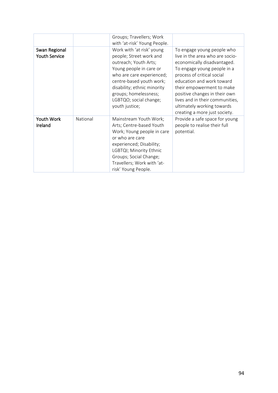|                                       |          | Groups; Travellers; Work<br>with 'at-risk' Young People.                                                                                                                                                                                                              |                                                                                                                                                                                                                                                                                                                                                        |
|---------------------------------------|----------|-----------------------------------------------------------------------------------------------------------------------------------------------------------------------------------------------------------------------------------------------------------------------|--------------------------------------------------------------------------------------------------------------------------------------------------------------------------------------------------------------------------------------------------------------------------------------------------------------------------------------------------------|
| Swan Regional<br><b>Youth Service</b> |          | Work with 'at risk' young<br>people; Street work and<br>outreach; Youth Arts;<br>Young people in care or<br>who are care experienced;<br>centre-based youth work;<br>disability; ethnic minority<br>groups; homelessness;<br>LGBTQO; social change;<br>youth justice; | To engage young people who<br>live in the area who are socio-<br>economically disadvantaged.<br>To engage young people in a<br>process of critical social<br>education and work toward<br>their empowerment to make<br>positive changes in their own<br>lives and in their communities,<br>ultimately working towards<br>creating a more just society. |
| Youth Work<br>Ireland                 | National | Mainstream Youth Work;<br>Arts; Centre-based Youth<br>Work; Young people in care<br>or who are care<br>experienced; Disability;<br>LGBTQI; Minority Ethnic<br>Groups; Social Change;<br>Travellers; Work with 'at-<br>risk' Young People.                             | Provide a safe space for young<br>people to realise their full<br>potential.                                                                                                                                                                                                                                                                           |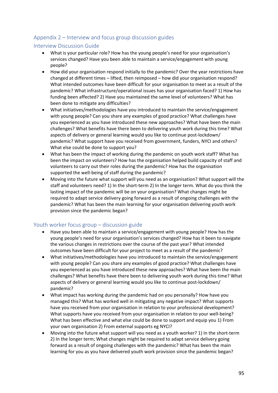## Appendix 2 – Interview and focus group discussion guides

### Interview Discussion Guide

- What is your particular role? How has the young people's need for your organisation's services changed? Have you been able to maintain a service/engagement with young people?
- How did your organisation respond initially to the pandemic? Over the year restrictions have changed at different times – lifted, then reimposed – how did your organisation respond? What intended outcomes have been difficult for your organisation to meet as a result of the pandemic? What infrastructure/operational issues has your organisation faced? 1) How has funding been affected? 2) Have you maintained the same level of volunteers? What has been done to mitigate any difficulties?
- What initiatives/methodologies have you introduced to maintain the service/engagement with young people? Can you share any examples of good practice? What challenges have you experienced as you have introduced these new approaches? What have been the main challenges? What benefits have there been to delivering youth work during this time? What aspects of delivery or general learning would you like to continue post-lockdown/ pandemic? What support have you received from government, funders, NYCI and others? What else could be done to support you?
- What has been the impact of working during the pandemic on youth work staff? What has been the impact on volunteers? How has the organisation helped build capacity of staff and volunteers to carry out their roles during the pandemic? How has the organisation supported the well-being of staff during the pandemic?
- Moving into the future what support will you need as an organisation? What support will the staff and volunteers need? 1) In the short-term 2) In the longer term. What do you think the lasting impact of the pandemic will be on your organisation? What changes might be required to adapt service delivery going forward as a result of ongoing challenges with the pandemic? What has been the main learning for your organisation delivering youth work provision since the pandemic began?

## Youth worker focus group – discussion guide

- Have you been able to maintain a service/engagement with young people? How has the young people's need for your organisation's services changed? How has it been to navigate the various changes in restrictions over the course of the past year? What intended outcomes have been difficult for your project to meet as a result of the pandemic?
- What initiatives/methodologies have you introduced to maintain the service/engagement with young people? Can you share any examples of good practice? What challenges have you experienced as you have introduced these new approaches? What have been the main challenges? What benefits have there been to delivering youth work during this time? What aspects of delivery or general learning would you like to continue post-lockdown/ pandemic?
- What impact has working during the pandemic had on you personally? How have you managed this? What has worked well in mitigating any negative impact? What supports have you received from your organisation in relation to your professional development? What supports have you received from your organisation in relation to your well-being? What has been effective and what else could be done to support and equip you 1) From your own organisation 2) From external supports eg NYCI?
- Moving into the future what support will you need as a youth worker? 1) In the short-term 2) In the longer term; What changes might be required to adapt service delivery going forward as a result of ongoing challenges with the pandemic? What has been the main learning for you as you have delivered youth work provision since the pandemic began?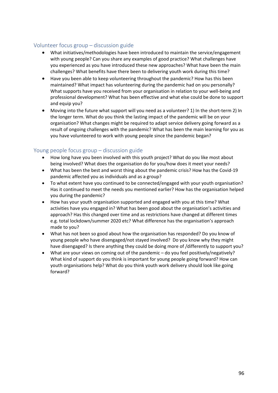## Volunteer focus group – discussion guide

- What initiatives/methodologies have been introduced to maintain the service/engagement with young people? Can you share any examples of good practice? What challenges have you experienced as you have introduced these new approaches? What have been the main challenges? What benefits have there been to delivering youth work during this time?
- Have you been able to keep volunteering throughout the pandemic? How has this been maintained? What impact has volunteering during the pandemic had on you personally? What supports have you received from your organisation in relation to your well-being and professional development? What has been effective and what else could be done to support and equip you?
- Moving into the future what support will you need as a volunteer? 1) In the short-term 2) In the longer term. What do you think the lasting impact of the pandemic will be on your organisation? What changes might be required to adapt service delivery going forward as a result of ongoing challenges with the pandemic? What has been the main learning for you as you have volunteered to work with young people since the pandemic began?

## Young people focus group – discussion guide

- How long have you been involved with this youth project? What do you like most about being involved? What does the organisation do for you/how does it meet your needs?
- What has been the best and worst thing about the pandemic crisis? How has the Covid-19 pandemic affected you as individuals and as a group?
- To what extent have you continued to be connected/engaged with your youth organisation? Has it continued to meet the needs you mentioned earlier? How has the organisation helped you during the pandemic?
- How has your youth organisation supported and engaged with you at this time? What activities have you engaged in? What has been good about the organisation's activities and approach? Has this changed over time and as restrictions have changed at different times e.g. total lockdown/summer 2020 etc? What difference has the organisation's approach made to you?
- What has not been so good about how the organisation has responded? Do you know of young people who have disengaged/not stayed involved? Do you know why they might have disengaged? Is there anything they could be doing more of /differently to support you?
- What are your views on coming out of the pandemic  $-$  do you feel positively/negatively? What kind of support do you think is important for young people going forward? How can youth organisations help? What do you think youth work delivery should look like going forward?